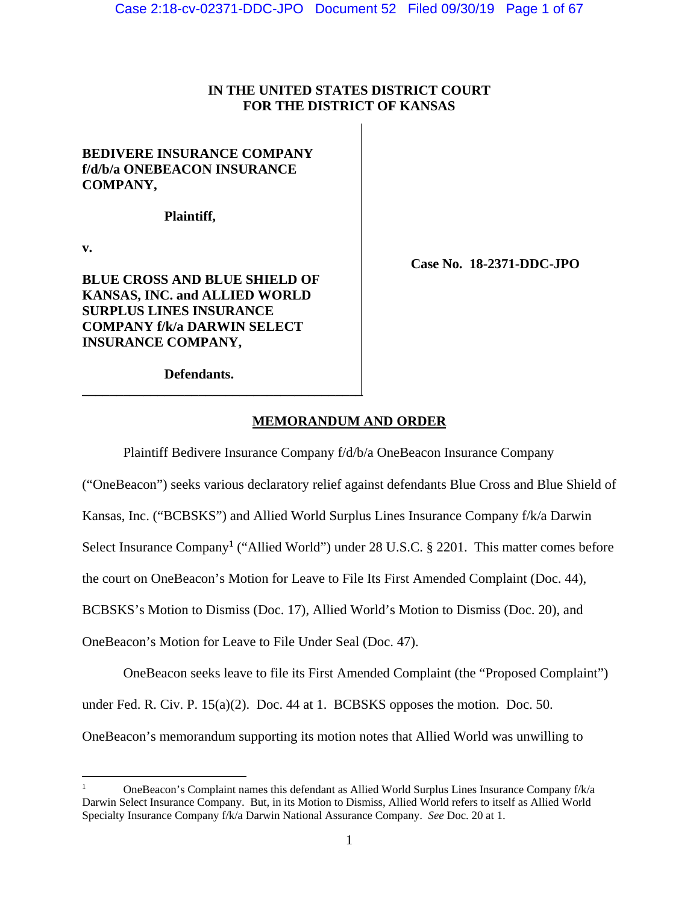# **IN THE UNITED STATES DISTRICT COURT FOR THE DISTRICT OF KANSAS**

# **BEDIVERE INSURANCE COMPANY f/d/b/a ONEBEACON INSURANCE COMPANY,**

**Plaintiff,** 

**v.** 

**BLUE CROSS AND BLUE SHIELD OF KANSAS, INC. and ALLIED WORLD SURPLUS LINES INSURANCE COMPANY f/k/a DARWIN SELECT INSURANCE COMPANY,** 

 **Case No. 18-2371-DDC-JPO** 

**Defendants.** 

**\_\_\_\_\_\_\_\_\_\_\_\_\_\_\_\_\_\_\_\_\_\_\_\_\_\_\_\_\_\_\_\_\_\_\_\_\_\_\_\_\_** 

# **MEMORANDUM AND ORDER**

Plaintiff Bedivere Insurance Company f/d/b/a OneBeacon Insurance Company

("OneBeacon") seeks various declaratory relief against defendants Blue Cross and Blue Shield of

Kansas, Inc. ("BCBSKS") and Allied World Surplus Lines Insurance Company f/k/a Darwin

Select Insurance Company**<sup>1</sup>** ("Allied World") under 28 U.S.C. § 2201. This matter comes before

the court on OneBeacon's Motion for Leave to File Its First Amended Complaint (Doc. 44),

BCBSKS's Motion to Dismiss (Doc. 17), Allied World's Motion to Dismiss (Doc. 20), and

OneBeacon's Motion for Leave to File Under Seal (Doc. 47).

OneBeacon seeks leave to file its First Amended Complaint (the "Proposed Complaint") under Fed. R. Civ. P.  $15(a)(2)$ . Doc. 44 at 1. BCBSKS opposes the motion. Doc. 50. OneBeacon's memorandum supporting its motion notes that Allied World was unwilling to

 1 OneBeacon's Complaint names this defendant as Allied World Surplus Lines Insurance Company f/k/a Darwin Select Insurance Company. But, in its Motion to Dismiss, Allied World refers to itself as Allied World Specialty Insurance Company f/k/a Darwin National Assurance Company. *See* Doc. 20 at 1.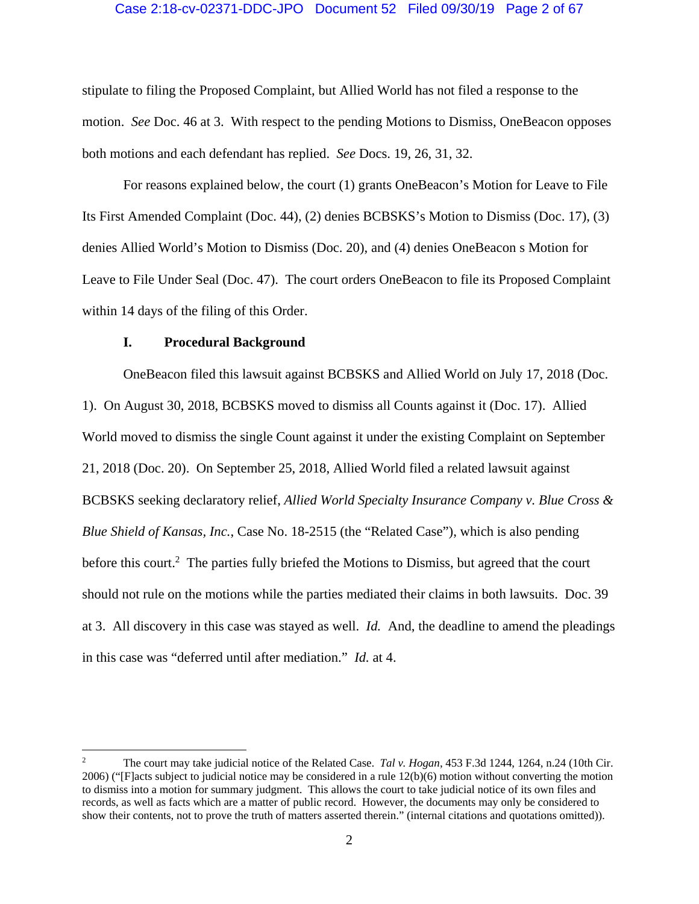# Case 2:18-cv-02371-DDC-JPO Document 52 Filed 09/30/19 Page 2 of 67

stipulate to filing the Proposed Complaint, but Allied World has not filed a response to the motion. *See* Doc. 46 at 3. With respect to the pending Motions to Dismiss, OneBeacon opposes both motions and each defendant has replied. *See* Docs. 19, 26, 31, 32.

For reasons explained below, the court (1) grants OneBeacon's Motion for Leave to File Its First Amended Complaint (Doc. 44), (2) denies BCBSKS's Motion to Dismiss (Doc. 17), (3) denies Allied World's Motion to Dismiss (Doc. 20), and (4) denies OneBeacon s Motion for Leave to File Under Seal (Doc. 47). The court orders OneBeacon to file its Proposed Complaint within 14 days of the filing of this Order.

# **I. Procedural Background**

OneBeacon filed this lawsuit against BCBSKS and Allied World on July 17, 2018 (Doc. 1). On August 30, 2018, BCBSKS moved to dismiss all Counts against it (Doc. 17). Allied World moved to dismiss the single Count against it under the existing Complaint on September 21, 2018 (Doc. 20). On September 25, 2018, Allied World filed a related lawsuit against BCBSKS seeking declaratory relief, *Allied World Specialty Insurance Company v. Blue Cross & Blue Shield of Kansas, Inc.*, Case No. 18-2515 (the "Related Case"), which is also pending before this court.<sup>2</sup> The parties fully briefed the Motions to Dismiss, but agreed that the court should not rule on the motions while the parties mediated their claims in both lawsuits. Doc. 39 at 3. All discovery in this case was stayed as well. *Id.* And, the deadline to amend the pleadings in this case was "deferred until after mediation." *Id.* at 4.

<sup>2</sup> The court may take judicial notice of the Related Case. *Tal v. Hogan*, 453 F.3d 1244, 1264, n.24 (10th Cir. 2006) ("[F]acts subject to judicial notice may be considered in a rule 12(b)(6) motion without converting the motion to dismiss into a motion for summary judgment. This allows the court to take judicial notice of its own files and records, as well as facts which are a matter of public record. However, the documents may only be considered to show their contents, not to prove the truth of matters asserted therein." (internal citations and quotations omitted)).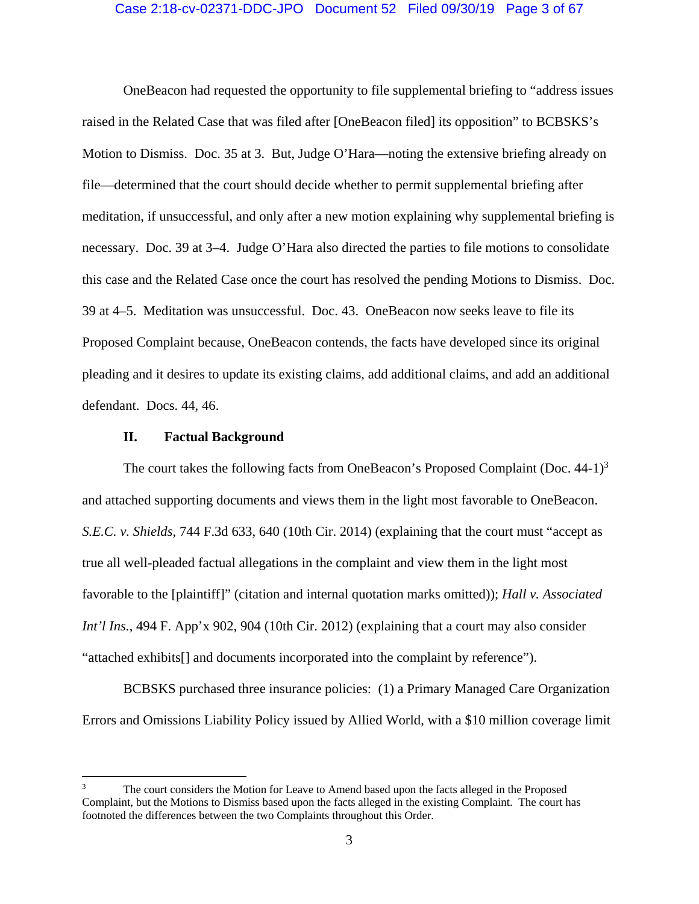# Case 2:18-cv-02371-DDC-JPO Document 52 Filed 09/30/19 Page 3 of 67

OneBeacon had requested the opportunity to file supplemental briefing to "address issues raised in the Related Case that was filed after [OneBeacon filed] its opposition" to BCBSKS's Motion to Dismiss. Doc. 35 at 3. But, Judge O'Hara—noting the extensive briefing already on file—determined that the court should decide whether to permit supplemental briefing after meditation, if unsuccessful, and only after a new motion explaining why supplemental briefing is necessary. Doc. 39 at 3–4. Judge O'Hara also directed the parties to file motions to consolidate this case and the Related Case once the court has resolved the pending Motions to Dismiss. Doc. 39 at 4–5. Meditation was unsuccessful. Doc. 43. OneBeacon now seeks leave to file its Proposed Complaint because, OneBeacon contends, the facts have developed since its original pleading and it desires to update its existing claims, add additional claims, and add an additional defendant. Docs. 44, 46.

# **II. Factual Background**

The court takes the following facts from OneBeacon's Proposed Complaint (Doc.  $44-1$ )<sup>3</sup> and attached supporting documents and views them in the light most favorable to OneBeacon. *S.E.C. v. Shields*, 744 F.3d 633, 640 (10th Cir. 2014) (explaining that the court must "accept as true all well-pleaded factual allegations in the complaint and view them in the light most favorable to the [plaintiff]" (citation and internal quotation marks omitted)); *Hall v. Associated Int'l Ins.*, 494 F. App'x 902, 904 (10th Cir. 2012) (explaining that a court may also consider "attached exhibits[] and documents incorporated into the complaint by reference").

BCBSKS purchased three insurance policies: (1) a Primary Managed Care Organization Errors and Omissions Liability Policy issued by Allied World, with a \$10 million coverage limit

<sup>3</sup> The court considers the Motion for Leave to Amend based upon the facts alleged in the Proposed Complaint, but the Motions to Dismiss based upon the facts alleged in the existing Complaint. The court has footnoted the differences between the two Complaints throughout this Order.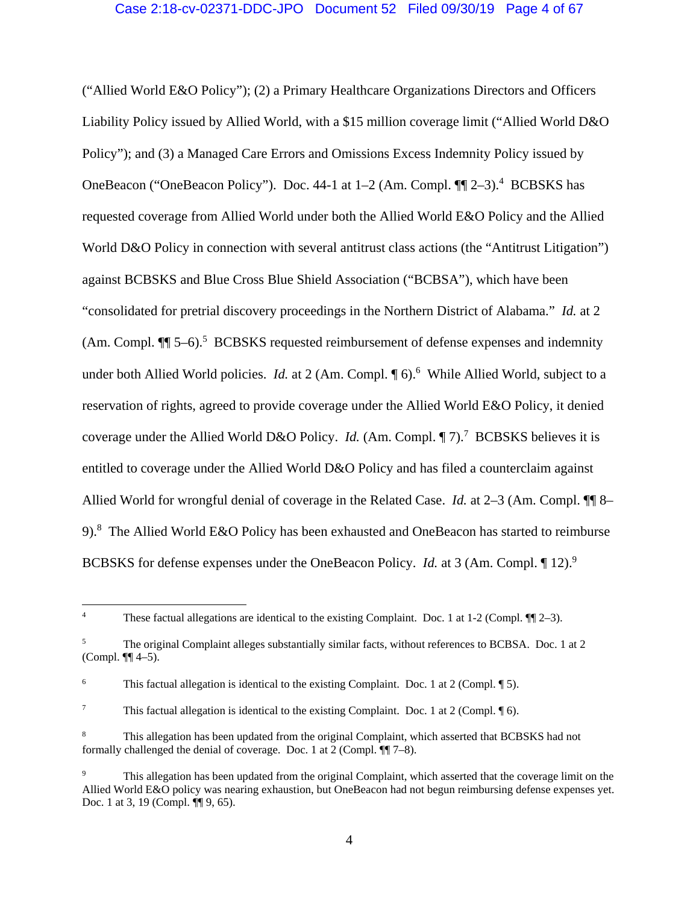("Allied World E&O Policy"); (2) a Primary Healthcare Organizations Directors and Officers Liability Policy issued by Allied World, with a \$15 million coverage limit ("Allied World D&O Policy"); and (3) a Managed Care Errors and Omissions Excess Indemnity Policy issued by OneBeacon ("OneBeacon Policy"). Doc. 44-1 at 1–2 (Am. Compl.  $\P$ [ 2–3).<sup>4</sup> BCBSKS has requested coverage from Allied World under both the Allied World E&O Policy and the Allied World D&O Policy in connection with several antitrust class actions (the "Antitrust Litigation") against BCBSKS and Blue Cross Blue Shield Association ("BCBSA"), which have been "consolidated for pretrial discovery proceedings in the Northern District of Alabama." *Id.* at 2  $(Am. Compl. \P\$  5–6).<sup>5</sup> BCBSKS requested reimbursement of defense expenses and indemnity under both Allied World policies. *Id.* at 2 (Am. Compl. 16).<sup>6</sup> While Allied World, subject to a reservation of rights, agreed to provide coverage under the Allied World E&O Policy, it denied coverage under the Allied World D&O Policy. *Id.* (Am. Compl. 17).<sup>7</sup> BCBSKS believes it is entitled to coverage under the Allied World D&O Policy and has filed a counterclaim against Allied World for wrongful denial of coverage in the Related Case. *Id.* at 2–3 (Am. Compl. ¶¶ 8– 9).<sup>8</sup> The Allied World E&O Policy has been exhausted and OneBeacon has started to reimburse BCBSKS for defense expenses under the OneBeacon Policy. *Id.* at 3 (Am. Compl. 12).<sup>9</sup>

 4 These factual allegations are identical to the existing Complaint. Doc. 1 at  $1-2$  (Compl.  $\P$ [ $\Box$  $-3$ ).

<sup>5</sup> The original Complaint alleges substantially similar facts, without references to BCBSA. Doc. 1 at 2 (Compl. ¶¶ 4–5).

<sup>6</sup> This factual allegation is identical to the existing Complaint. Doc. 1 at 2 (Compl. ¶ 5).

<sup>7</sup> This factual allegation is identical to the existing Complaint. Doc. 1 at 2 (Compl. ¶ 6).

<sup>8</sup> This allegation has been updated from the original Complaint, which asserted that BCBSKS had not formally challenged the denial of coverage. Doc. 1 at 2 (Compl. ¶¶ 7–8).

<sup>9</sup> This allegation has been updated from the original Complaint, which asserted that the coverage limit on the Allied World E&O policy was nearing exhaustion, but OneBeacon had not begun reimbursing defense expenses yet. Doc. 1 at 3, 19 (Compl. ¶ 9, 65).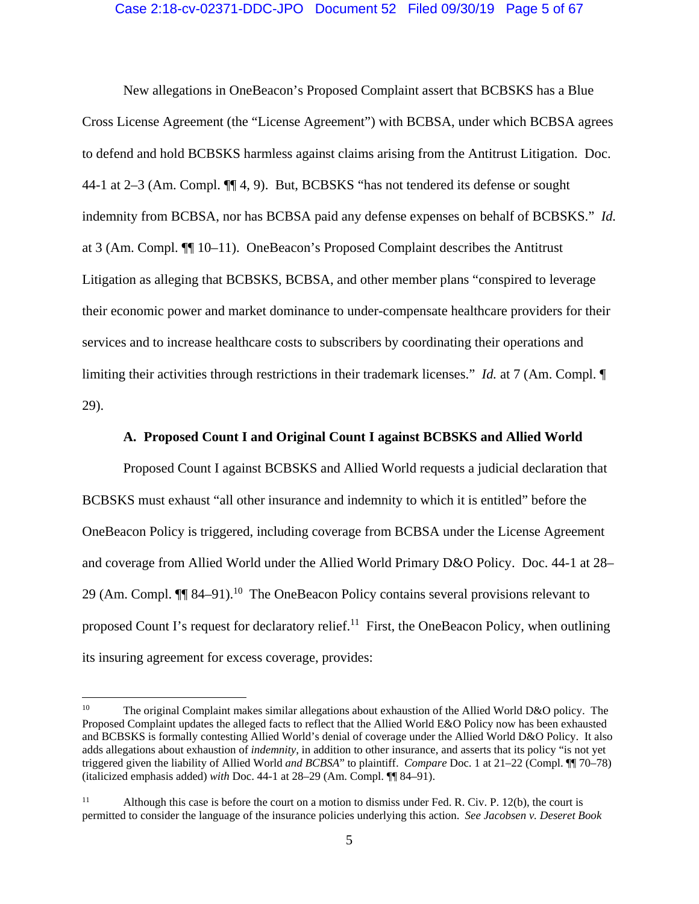# Case 2:18-cv-02371-DDC-JPO Document 52 Filed 09/30/19 Page 5 of 67

New allegations in OneBeacon's Proposed Complaint assert that BCBSKS has a Blue Cross License Agreement (the "License Agreement") with BCBSA, under which BCBSA agrees to defend and hold BCBSKS harmless against claims arising from the Antitrust Litigation. Doc. 44-1 at 2–3 (Am. Compl. ¶¶ 4, 9). But, BCBSKS "has not tendered its defense or sought indemnity from BCBSA, nor has BCBSA paid any defense expenses on behalf of BCBSKS." *Id.* at 3 (Am. Compl. ¶¶ 10–11). OneBeacon's Proposed Complaint describes the Antitrust Litigation as alleging that BCBSKS, BCBSA, and other member plans "conspired to leverage their economic power and market dominance to under-compensate healthcare providers for their services and to increase healthcare costs to subscribers by coordinating their operations and limiting their activities through restrictions in their trademark licenses." *Id.* at 7 (Am. Compl. ¶ 29).

# **A. Proposed Count I and Original Count I against BCBSKS and Allied World**

Proposed Count I against BCBSKS and Allied World requests a judicial declaration that BCBSKS must exhaust "all other insurance and indemnity to which it is entitled" before the OneBeacon Policy is triggered, including coverage from BCBSA under the License Agreement and coverage from Allied World under the Allied World Primary D&O Policy. Doc. 44-1 at 28– 29 (Am. Compl.  $\P$  84–91).<sup>10</sup> The OneBeacon Policy contains several provisions relevant to proposed Count I's request for declaratory relief.<sup>11</sup> First, the OneBeacon Policy, when outlining its insuring agreement for excess coverage, provides:

<sup>&</sup>lt;sup>10</sup> The original Complaint makes similar allegations about exhaustion of the Allied World D&O policy. The Proposed Complaint updates the alleged facts to reflect that the Allied World E&O Policy now has been exhausted and BCBSKS is formally contesting Allied World's denial of coverage under the Allied World D&O Policy. It also adds allegations about exhaustion of *indemnity*, in addition to other insurance, and asserts that its policy "is not yet triggered given the liability of Allied World *and BCBSA*" to plaintiff. *Compare* Doc. 1 at 21–22 (Compl. ¶¶ 70–78) (italicized emphasis added) *with* Doc. 44-1 at 28–29 (Am. Compl. ¶¶ 84–91).

<sup>&</sup>lt;sup>11</sup> Although this case is before the court on a motion to dismiss under Fed. R. Civ. P. 12(b), the court is permitted to consider the language of the insurance policies underlying this action. *See Jacobsen v. Deseret Book*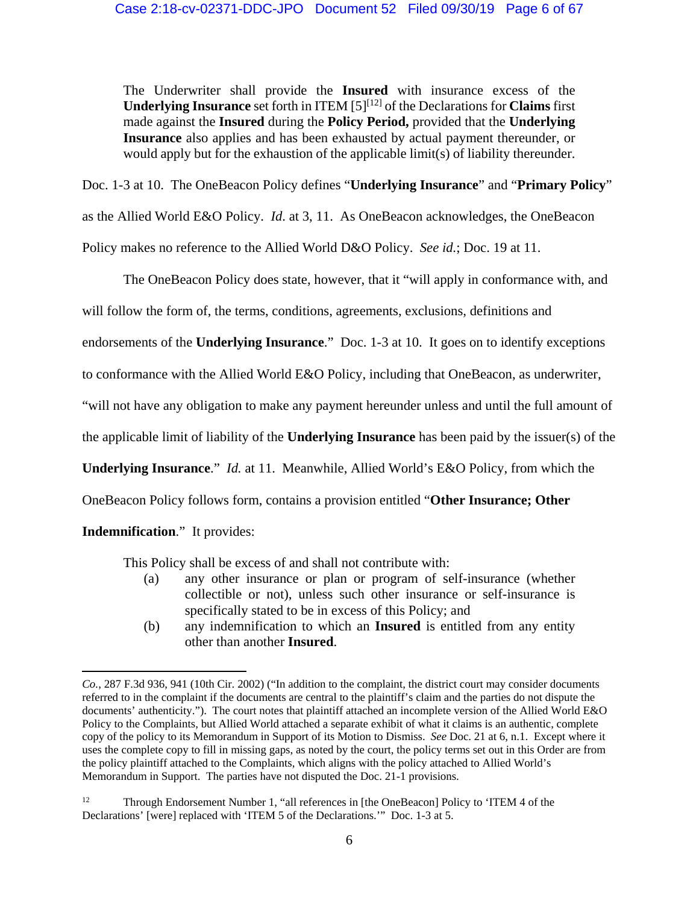The Underwriter shall provide the **Insured** with insurance excess of the **Underlying Insurance** set forth in ITEM [5][12] of the Declarations for **Claims** first made against the **Insured** during the **Policy Period,** provided that the **Underlying Insurance** also applies and has been exhausted by actual payment thereunder, or would apply but for the exhaustion of the applicable limit(s) of liability thereunder.

Doc. 1-3 at 10. The OneBeacon Policy defines "**Underlying Insurance**" and "**Primary Policy**"

as the Allied World E&O Policy. *Id*. at 3, 11. As OneBeacon acknowledges, the OneBeacon

Policy makes no reference to the Allied World D&O Policy. *See id.*; Doc. 19 at 11.

The OneBeacon Policy does state, however, that it "will apply in conformance with, and

will follow the form of, the terms, conditions, agreements, exclusions, definitions and

endorsements of the **Underlying Insurance**." Doc. 1-3 at 10. It goes on to identify exceptions

to conformance with the Allied World E&O Policy, including that OneBeacon, as underwriter,

"will not have any obligation to make any payment hereunder unless and until the full amount of

the applicable limit of liability of the **Underlying Insurance** has been paid by the issuer(s) of the

**Underlying Insurance**." *Id.* at 11. Meanwhile, Allied World's E&O Policy, from which the

OneBeacon Policy follows form, contains a provision entitled "**Other Insurance; Other** 

**Indemnification**." It provides:

This Policy shall be excess of and shall not contribute with:

- (a) any other insurance or plan or program of self-insurance (whether collectible or not), unless such other insurance or self-insurance is specifically stated to be in excess of this Policy; and
- (b) any indemnification to which an **Insured** is entitled from any entity other than another **Insured**.

 *Co.*, 287 F.3d 936, 941 (10th Cir. 2002) ("In addition to the complaint, the district court may consider documents referred to in the complaint if the documents are central to the plaintiff's claim and the parties do not dispute the documents' authenticity."). The court notes that plaintiff attached an incomplete version of the Allied World E&O Policy to the Complaints, but Allied World attached a separate exhibit of what it claims is an authentic, complete copy of the policy to its Memorandum in Support of its Motion to Dismiss. *See* Doc. 21 at 6, n.1. Except where it uses the complete copy to fill in missing gaps, as noted by the court, the policy terms set out in this Order are from the policy plaintiff attached to the Complaints, which aligns with the policy attached to Allied World's Memorandum in Support. The parties have not disputed the Doc. 21-1 provisions.

<sup>&</sup>lt;sup>12</sup> Through Endorsement Number 1, "all references in [the OneBeacon] Policy to 'ITEM 4 of the Declarations' [were] replaced with 'ITEM 5 of the Declarations.'" Doc. 1-3 at 5.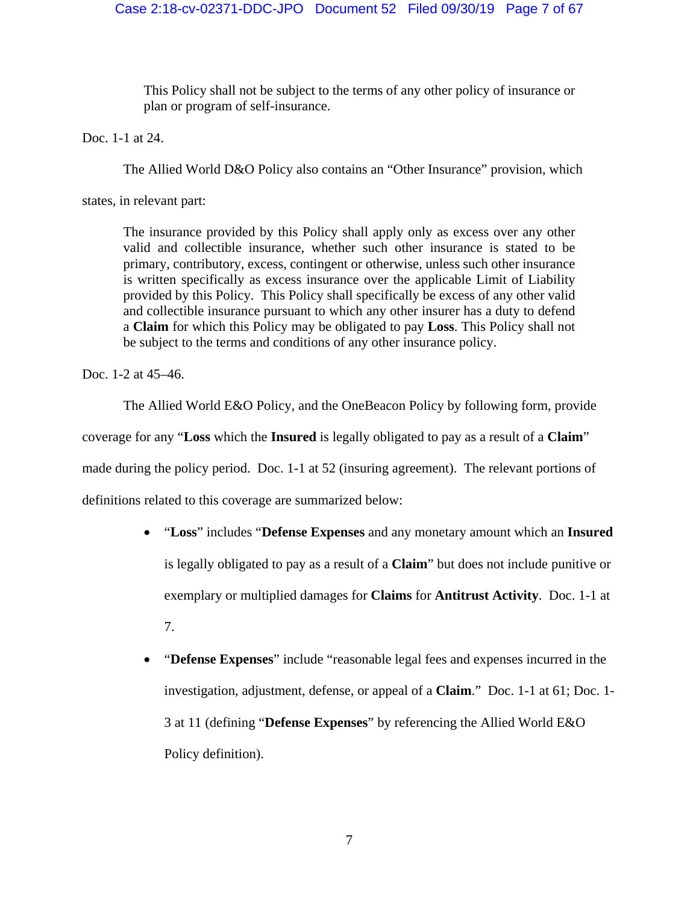This Policy shall not be subject to the terms of any other policy of insurance or plan or program of self-insurance.

Doc. 1-1 at 24.

The Allied World D&O Policy also contains an "Other Insurance" provision, which

states, in relevant part:

The insurance provided by this Policy shall apply only as excess over any other valid and collectible insurance, whether such other insurance is stated to be primary, contributory, excess, contingent or otherwise, unless such other insurance is written specifically as excess insurance over the applicable Limit of Liability provided by this Policy. This Policy shall specifically be excess of any other valid and collectible insurance pursuant to which any other insurer has a duty to defend a **Claim** for which this Policy may be obligated to pay **Loss**. This Policy shall not be subject to the terms and conditions of any other insurance policy.

Doc. 1-2 at 45–46.

The Allied World E&O Policy, and the OneBeacon Policy by following form, provide

coverage for any "**Loss** which the **Insured** is legally obligated to pay as a result of a **Claim**"

made during the policy period. Doc. 1-1 at 52 (insuring agreement). The relevant portions of

definitions related to this coverage are summarized below:

- "**Loss**" includes "**Defense Expenses** and any monetary amount which an **Insured**  is legally obligated to pay as a result of a **Claim**" but does not include punitive or exemplary or multiplied damages for **Claims** for **Antitrust Activity**. Doc. 1-1 at 7.
- "**Defense Expenses**" include "reasonable legal fees and expenses incurred in the investigation, adjustment, defense, or appeal of a **Claim**." Doc. 1-1 at 61; Doc. 1- 3 at 11 (defining "**Defense Expenses**" by referencing the Allied World E&O Policy definition).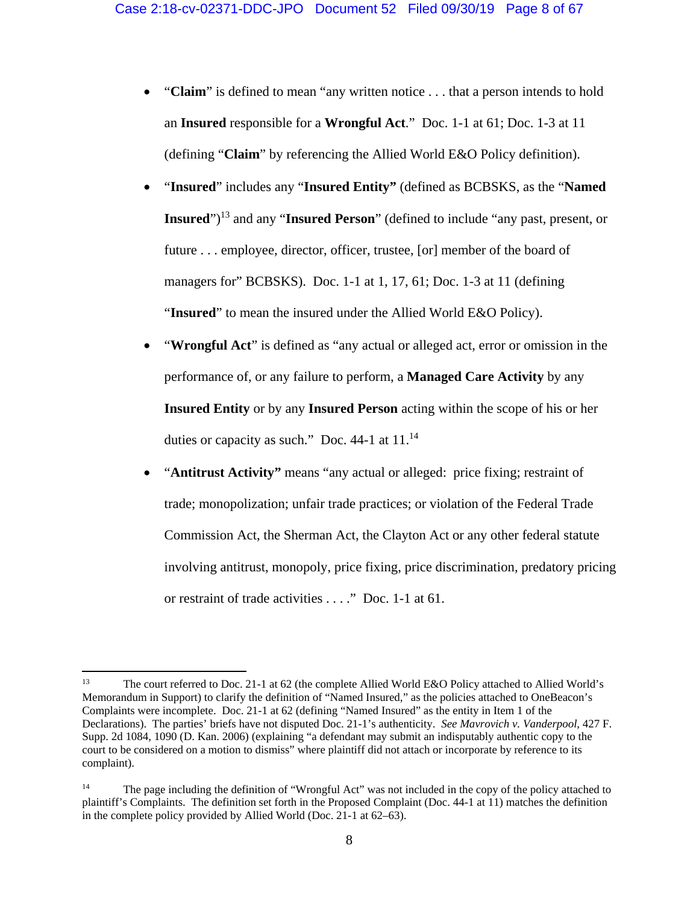- "Claim" is defined to mean "any written notice . . . that a person intends to hold an **Insured** responsible for a **Wrongful Act**." Doc. 1-1 at 61; Doc. 1-3 at 11 (defining "**Claim**" by referencing the Allied World E&O Policy definition).
- "**Insured**" includes any "**Insured Entity"** (defined as BCBSKS, as the "**Named Insured**")13 and any "**Insured Person**" (defined to include "any past, present, or future . . . employee, director, officer, trustee, [or] member of the board of managers for" BCBSKS). Doc. 1-1 at 1, 17, 61; Doc. 1-3 at 11 (defining "**Insured**" to mean the insured under the Allied World E&O Policy).
- "**Wrongful Act**" is defined as "any actual or alleged act, error or omission in the performance of, or any failure to perform, a **Managed Care Activity** by any **Insured Entity** or by any **Insured Person** acting within the scope of his or her duties or capacity as such." Doc. 44-1 at  $11.^{14}$
- "**Antitrust Activity"** means "any actual or alleged: price fixing; restraint of trade; monopolization; unfair trade practices; or violation of the Federal Trade Commission Act, the Sherman Act, the Clayton Act or any other federal statute involving antitrust, monopoly, price fixing, price discrimination, predatory pricing or restraint of trade activities . . . ." Doc. 1-1 at 61.

<sup>13</sup> The court referred to Doc. 21-1 at 62 (the complete Allied World E&O Policy attached to Allied World's Memorandum in Support) to clarify the definition of "Named Insured," as the policies attached to OneBeacon's Complaints were incomplete. Doc. 21-1 at 62 (defining "Named Insured" as the entity in Item 1 of the Declarations). The parties' briefs have not disputed Doc. 21-1's authenticity. *See Mavrovich v. Vanderpool*, 427 F. Supp. 2d 1084, 1090 (D. Kan. 2006) (explaining "a defendant may submit an indisputably authentic copy to the court to be considered on a motion to dismiss" where plaintiff did not attach or incorporate by reference to its complaint).

<sup>&</sup>lt;sup>14</sup> The page including the definition of "Wrongful Act" was not included in the copy of the policy attached to plaintiff's Complaints. The definition set forth in the Proposed Complaint (Doc. 44-1 at 11) matches the definition in the complete policy provided by Allied World (Doc. 21-1 at 62–63).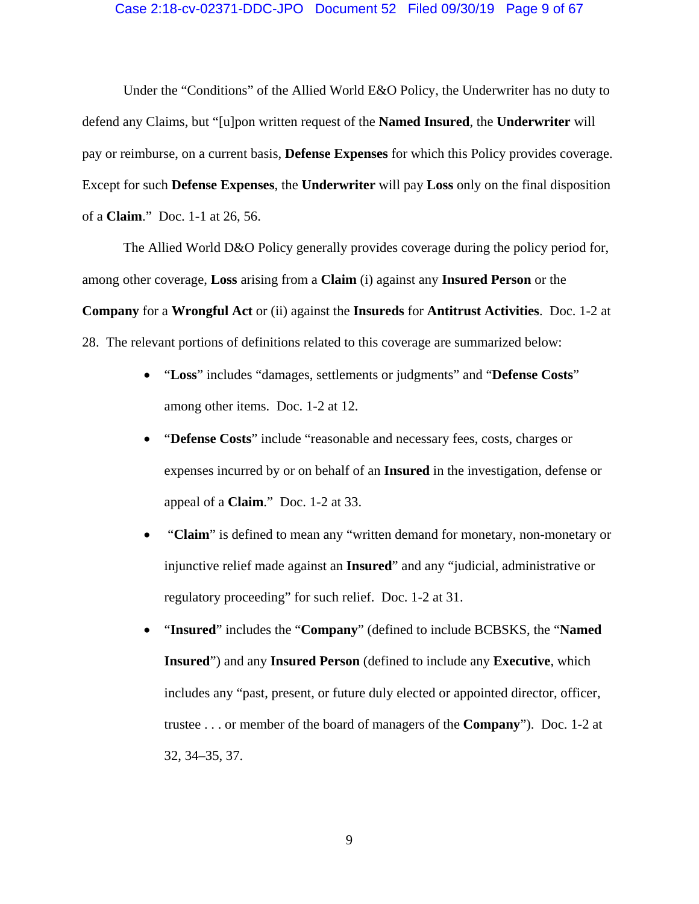# Case 2:18-cv-02371-DDC-JPO Document 52 Filed 09/30/19 Page 9 of 67

Under the "Conditions" of the Allied World E&O Policy, the Underwriter has no duty to defend any Claims, but "[u]pon written request of the **Named Insured**, the **Underwriter** will pay or reimburse, on a current basis, **Defense Expenses** for which this Policy provides coverage. Except for such **Defense Expenses**, the **Underwriter** will pay **Loss** only on the final disposition of a **Claim**." Doc. 1-1 at 26, 56.

The Allied World D&O Policy generally provides coverage during the policy period for, among other coverage, **Loss** arising from a **Claim** (i) against any **Insured Person** or the **Company** for a **Wrongful Act** or (ii) against the **Insureds** for **Antitrust Activities**. Doc. 1-2 at 28. The relevant portions of definitions related to this coverage are summarized below:

- "**Loss**" includes "damages, settlements or judgments" and "**Defense Costs**" among other items. Doc. 1-2 at 12.
- "**Defense Costs**" include "reasonable and necessary fees, costs, charges or expenses incurred by or on behalf of an **Insured** in the investigation, defense or appeal of a **Claim**." Doc. 1-2 at 33.
- "**Claim**" is defined to mean any "written demand for monetary, non-monetary or injunctive relief made against an **Insured**" and any "judicial, administrative or regulatory proceeding" for such relief. Doc. 1-2 at 31.
- "**Insured**" includes the "**Company**" (defined to include BCBSKS, the "**Named Insured**") and any **Insured Person** (defined to include any **Executive**, which includes any "past, present, or future duly elected or appointed director, officer, trustee . . . or member of the board of managers of the **Company**"). Doc. 1-2 at 32, 34–35, 37.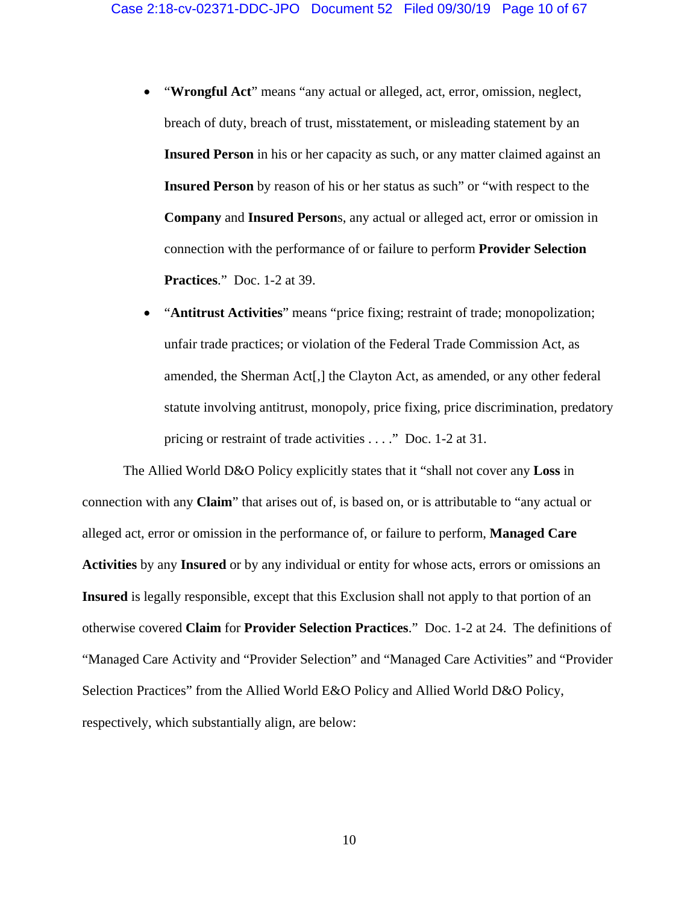- "**Wrongful Act**" means "any actual or alleged, act, error, omission, neglect, breach of duty, breach of trust, misstatement, or misleading statement by an **Insured Person** in his or her capacity as such, or any matter claimed against an **Insured Person** by reason of his or her status as such" or "with respect to the **Company** and **Insured Person**s, any actual or alleged act, error or omission in connection with the performance of or failure to perform **Provider Selection Practices**." Doc. 1-2 at 39.
- "**Antitrust Activities**" means "price fixing; restraint of trade; monopolization; unfair trade practices; or violation of the Federal Trade Commission Act, as amended, the Sherman Act[,] the Clayton Act, as amended, or any other federal statute involving antitrust, monopoly, price fixing, price discrimination, predatory pricing or restraint of trade activities . . . ." Doc. 1-2 at 31.

The Allied World D&O Policy explicitly states that it "shall not cover any **Loss** in connection with any **Claim**" that arises out of, is based on, or is attributable to "any actual or alleged act, error or omission in the performance of, or failure to perform, **Managed Care Activities** by any **Insured** or by any individual or entity for whose acts, errors or omissions an **Insured** is legally responsible, except that this Exclusion shall not apply to that portion of an otherwise covered **Claim** for **Provider Selection Practices**." Doc. 1-2 at 24. The definitions of "Managed Care Activity and "Provider Selection" and "Managed Care Activities" and "Provider Selection Practices" from the Allied World E&O Policy and Allied World D&O Policy, respectively, which substantially align, are below: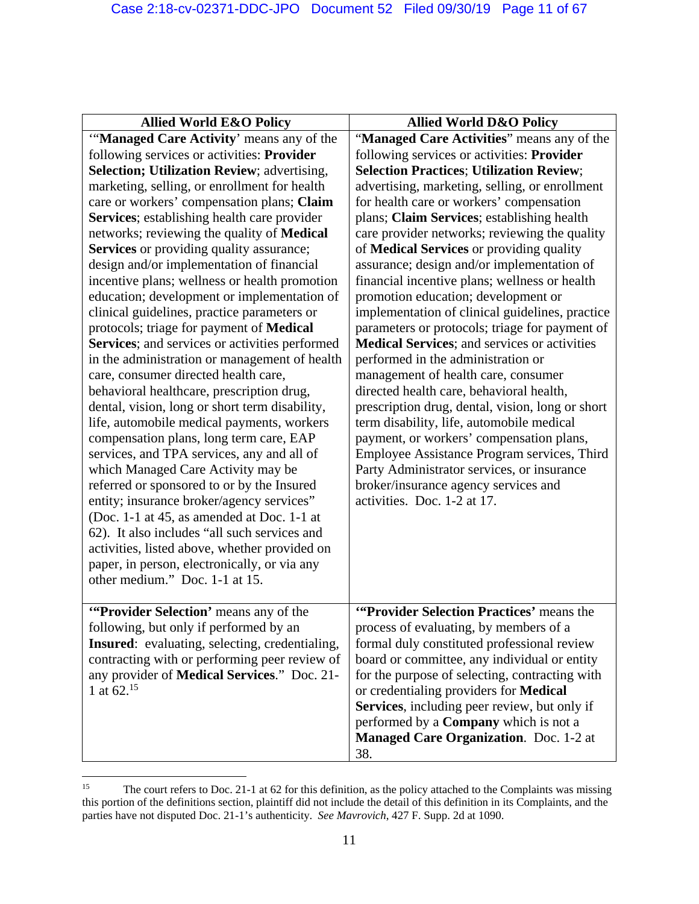| <b>Allied World E&amp;O Policy</b>                                                    | <b>Allied World D&amp;O Policy</b>                                                    |
|---------------------------------------------------------------------------------------|---------------------------------------------------------------------------------------|
| "Managed Care Activity' means any of the                                              | "Managed Care Activities" means any of the                                            |
| following services or activities: Provider                                            | following services or activities: Provider                                            |
| Selection; Utilization Review; advertising,                                           | <b>Selection Practices; Utilization Review;</b>                                       |
| marketing, selling, or enrollment for health                                          | advertising, marketing, selling, or enrollment                                        |
| care or workers' compensation plans; Claim                                            | for health care or workers' compensation                                              |
| Services; establishing health care provider                                           | plans; Claim Services; establishing health                                            |
| networks; reviewing the quality of <b>Medical</b>                                     | care provider networks; reviewing the quality                                         |
| <b>Services</b> or providing quality assurance;                                       | of Medical Services or providing quality                                              |
| design and/or implementation of financial                                             | assurance; design and/or implementation of                                            |
| incentive plans; wellness or health promotion                                         | financial incentive plans; wellness or health                                         |
| education; development or implementation of                                           | promotion education; development or                                                   |
| clinical guidelines, practice parameters or                                           | implementation of clinical guidelines, practice                                       |
| protocols; triage for payment of Medical                                              | parameters or protocols; triage for payment of                                        |
| Services; and services or activities performed                                        | Medical Services; and services or activities                                          |
| in the administration or management of health                                         | performed in the administration or                                                    |
| care, consumer directed health care,                                                  | management of health care, consumer                                                   |
| behavioral healthcare, prescription drug,                                             | directed health care, behavioral health,                                              |
| dental, vision, long or short term disability,                                        | prescription drug, dental, vision, long or short                                      |
| life, automobile medical payments, workers<br>compensation plans, long term care, EAP | term disability, life, automobile medical<br>payment, or workers' compensation plans, |
| services, and TPA services, any and all of                                            | Employee Assistance Program services, Third                                           |
| which Managed Care Activity may be                                                    | Party Administrator services, or insurance                                            |
| referred or sponsored to or by the Insured                                            | broker/insurance agency services and                                                  |
| entity; insurance broker/agency services"                                             | activities. Doc. 1-2 at 17.                                                           |
| (Doc. 1-1 at 45, as amended at Doc. 1-1 at                                            |                                                                                       |
| 62). It also includes "all such services and                                          |                                                                                       |
| activities, listed above, whether provided on                                         |                                                                                       |
| paper, in person, electronically, or via any                                          |                                                                                       |
| other medium." Doc. 1-1 at 15.                                                        |                                                                                       |
|                                                                                       |                                                                                       |
| "Provider Selection' means any of the                                                 | "Provider Selection Practices' means the                                              |
| following, but only if performed by an                                                | process of evaluating, by members of a                                                |
| <b>Insured:</b> evaluating, selecting, credentialing,                                 | formal duly constituted professional review                                           |
| contracting with or performing peer review of                                         | board or committee, any individual or entity                                          |
| any provider of <b>Medical Services</b> ." Doc. 21-                                   | for the purpose of selecting, contracting with                                        |
| 1 at $62^{15}$                                                                        | or credentialing providers for Medical                                                |
|                                                                                       | Services, including peer review, but only if                                          |
|                                                                                       | performed by a <b>Company</b> which is not a                                          |
|                                                                                       | Managed Care Organization. Doc. 1-2 at                                                |
|                                                                                       | 38.                                                                                   |

 <sup>15</sup> The court refers to Doc. 21-1 at 62 for this definition, as the policy attached to the Complaints was missing this portion of the definitions section, plaintiff did not include the detail of this definition in its Complaints, and the parties have not disputed Doc. 21-1's authenticity. *See Mavrovich*, 427 F. Supp. 2d at 1090.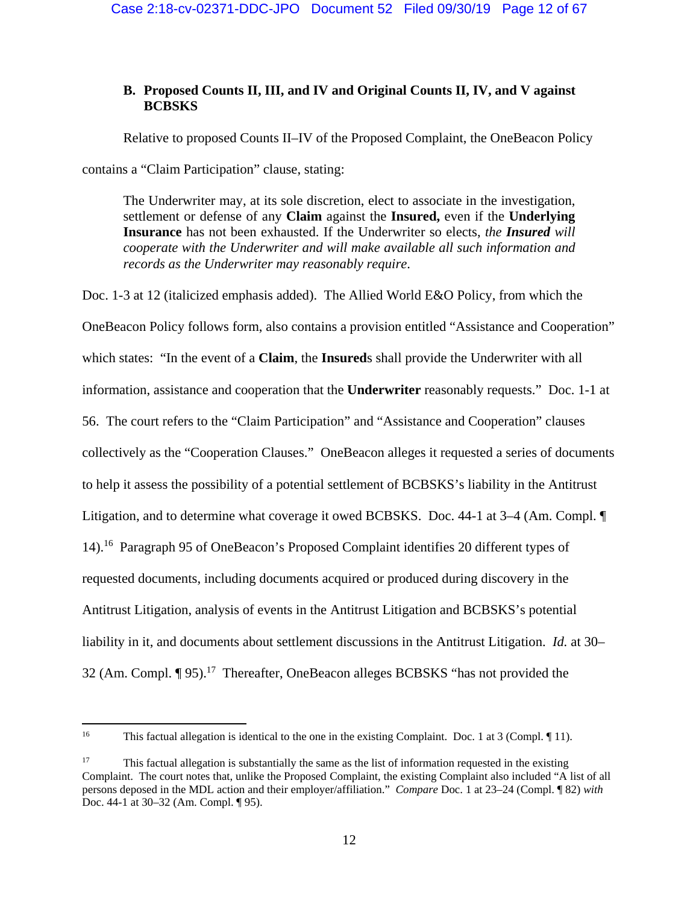# **B. Proposed Counts II, III, and IV and Original Counts II, IV, and V against BCBSKS**

Relative to proposed Counts II–IV of the Proposed Complaint, the OneBeacon Policy

contains a "Claim Participation" clause, stating:

The Underwriter may, at its sole discretion, elect to associate in the investigation, settlement or defense of any **Claim** against the **Insured,** even if the **Underlying Insurance** has not been exhausted. If the Underwriter so elects, *the Insured will cooperate with the Underwriter and will make available all such information and records as the Underwriter may reasonably require*.

Doc. 1-3 at 12 (italicized emphasis added). The Allied World E&O Policy, from which the OneBeacon Policy follows form, also contains a provision entitled "Assistance and Cooperation" which states: "In the event of a **Claim**, the **Insured**s shall provide the Underwriter with all information, assistance and cooperation that the **Underwriter** reasonably requests." Doc. 1-1 at 56. The court refers to the "Claim Participation" and "Assistance and Cooperation" clauses collectively as the "Cooperation Clauses." OneBeacon alleges it requested a series of documents to help it assess the possibility of a potential settlement of BCBSKS's liability in the Antitrust Litigation, and to determine what coverage it owed BCBSKS. Doc. 44-1 at 3–4 (Am. Compl. ¶ 14).16 Paragraph 95 of OneBeacon's Proposed Complaint identifies 20 different types of requested documents, including documents acquired or produced during discovery in the Antitrust Litigation, analysis of events in the Antitrust Litigation and BCBSKS's potential liability in it, and documents about settlement discussions in the Antitrust Litigation. *Id.* at 30– 32 (Am. Compl. ¶ 95).<sup>17</sup> Thereafter, OneBeacon alleges BCBSKS "has not provided the

 <sup>16</sup> This factual allegation is identical to the one in the existing Complaint. Doc. 1 at 3 (Compl. 11).

<sup>&</sup>lt;sup>17</sup> This factual allegation is substantially the same as the list of information requested in the existing Complaint. The court notes that, unlike the Proposed Complaint, the existing Complaint also included "A list of all persons deposed in the MDL action and their employer/affiliation." *Compare* Doc. 1 at 23–24 (Compl. ¶ 82) *with* Doc. 44-1 at 30–32 (Am. Compl. ¶ 95).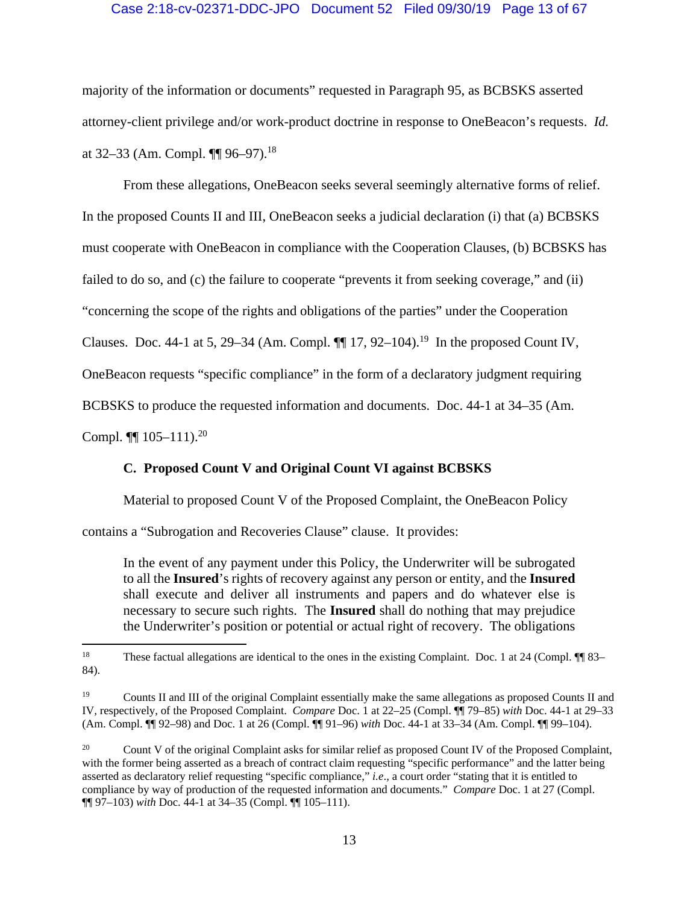# Case 2:18-cv-02371-DDC-JPO Document 52 Filed 09/30/19 Page 13 of 67

majority of the information or documents" requested in Paragraph 95, as BCBSKS asserted attorney-client privilege and/or work-product doctrine in response to OneBeacon's requests. *Id.* at 32–33 (Am. Compl. ¶¶ 96–97).18

 From these allegations, OneBeacon seeks several seemingly alternative forms of relief. In the proposed Counts II and III, OneBeacon seeks a judicial declaration (i) that (a) BCBSKS must cooperate with OneBeacon in compliance with the Cooperation Clauses, (b) BCBSKS has failed to do so, and (c) the failure to cooperate "prevents it from seeking coverage," and (ii) "concerning the scope of the rights and obligations of the parties" under the Cooperation Clauses. Doc. 44-1 at 5, 29–34 (Am. Compl.  $\P\P$  17, 92–104).<sup>19</sup> In the proposed Count IV, OneBeacon requests "specific compliance" in the form of a declaratory judgment requiring BCBSKS to produce the requested information and documents. Doc. 44-1 at 34–35 (Am.

Compl.  $\P\P$  105–111).<sup>20</sup>

# **C. Proposed Count V and Original Count VI against BCBSKS**

Material to proposed Count V of the Proposed Complaint, the OneBeacon Policy

contains a "Subrogation and Recoveries Clause" clause. It provides:

In the event of any payment under this Policy, the Underwriter will be subrogated to all the **Insured**'s rights of recovery against any person or entity, and the **Insured** shall execute and deliver all instruments and papers and do whatever else is necessary to secure such rights. The **Insured** shall do nothing that may prejudice the Underwriter's position or potential or actual right of recovery. The obligations

<sup>&</sup>lt;sup>18</sup> These factual allegations are identical to the ones in the existing Complaint. Doc. 1 at 24 (Compl. ¶¶ 83– 84).

<sup>&</sup>lt;sup>19</sup> Counts II and III of the original Complaint essentially make the same allegations as proposed Counts II and IV, respectively, of the Proposed Complaint. *Compare* Doc. 1 at 22–25 (Compl. ¶¶ 79–85) *with* Doc. 44-1 at 29–33 (Am. Compl. ¶¶ 92–98) and Doc. 1 at 26 (Compl. ¶¶ 91–96) *with* Doc. 44-1 at 33–34 (Am. Compl. ¶¶ 99–104).

<sup>&</sup>lt;sup>20</sup> Count V of the original Complaint asks for similar relief as proposed Count IV of the Proposed Complaint, with the former being asserted as a breach of contract claim requesting "specific performance" and the latter being asserted as declaratory relief requesting "specific compliance," *i.e*., a court order "stating that it is entitled to compliance by way of production of the requested information and documents." *Compare* Doc. 1 at 27 (Compl. ¶¶ 97–103) *with* Doc. 44-1 at 34–35 (Compl. ¶¶ 105–111).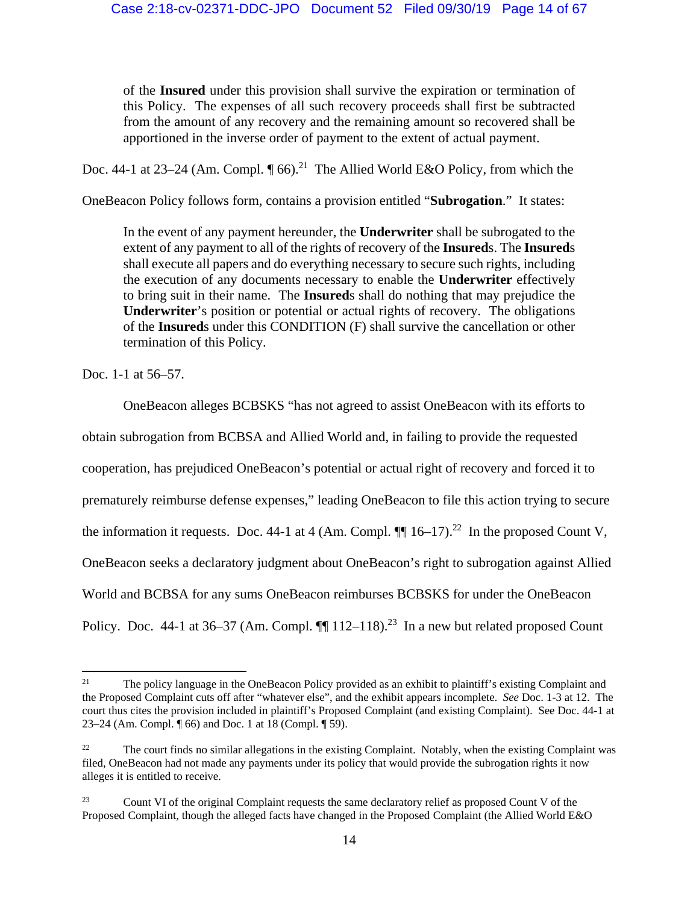of the **Insured** under this provision shall survive the expiration or termination of this Policy. The expenses of all such recovery proceeds shall first be subtracted from the amount of any recovery and the remaining amount so recovered shall be apportioned in the inverse order of payment to the extent of actual payment.

Doc. 44-1 at 23–24 (Am. Compl.  $\P$  66).<sup>21</sup> The Allied World E&O Policy, from which the

OneBeacon Policy follows form, contains a provision entitled "**Subrogation**." It states:

In the event of any payment hereunder, the **Underwriter** shall be subrogated to the extent of any payment to all of the rights of recovery of the **Insured**s. The **Insured**s shall execute all papers and do everything necessary to secure such rights, including the execution of any documents necessary to enable the **Underwriter** effectively to bring suit in their name. The **Insured**s shall do nothing that may prejudice the **Underwriter**'s position or potential or actual rights of recovery. The obligations of the **Insured**s under this CONDITION (F) shall survive the cancellation or other termination of this Policy.

Doc. 1-1 at 56–57.

OneBeacon alleges BCBSKS "has not agreed to assist OneBeacon with its efforts to obtain subrogation from BCBSA and Allied World and, in failing to provide the requested cooperation, has prejudiced OneBeacon's potential or actual right of recovery and forced it to prematurely reimburse defense expenses," leading OneBeacon to file this action trying to secure the information it requests. Doc. 44-1 at 4 (Am. Compl.  $\P\P$  16–17).<sup>22</sup> In the proposed Count V, OneBeacon seeks a declaratory judgment about OneBeacon's right to subrogation against Allied World and BCBSA for any sums OneBeacon reimburses BCBSKS for under the OneBeacon Policy. Doc. 44-1 at 36–37 (Am. Compl.  $\P$  112–118).<sup>23</sup> In a new but related proposed Count

<sup>&</sup>lt;sup>21</sup> The policy language in the OneBeacon Policy provided as an exhibit to plaintiff's existing Complaint and the Proposed Complaint cuts off after "whatever else", and the exhibit appears incomplete. *See* Doc. 1-3 at 12. The court thus cites the provision included in plaintiff's Proposed Complaint (and existing Complaint). See Doc. 44-1 at 23–24 (Am. Compl. ¶ 66) and Doc. 1 at 18 (Compl. ¶ 59).

<sup>&</sup>lt;sup>22</sup> The court finds no similar allegations in the existing Complaint. Notably, when the existing Complaint was filed, OneBeacon had not made any payments under its policy that would provide the subrogation rights it now alleges it is entitled to receive.

<sup>&</sup>lt;sup>23</sup> Count VI of the original Complaint requests the same declaratory relief as proposed Count V of the Proposed Complaint, though the alleged facts have changed in the Proposed Complaint (the Allied World E&O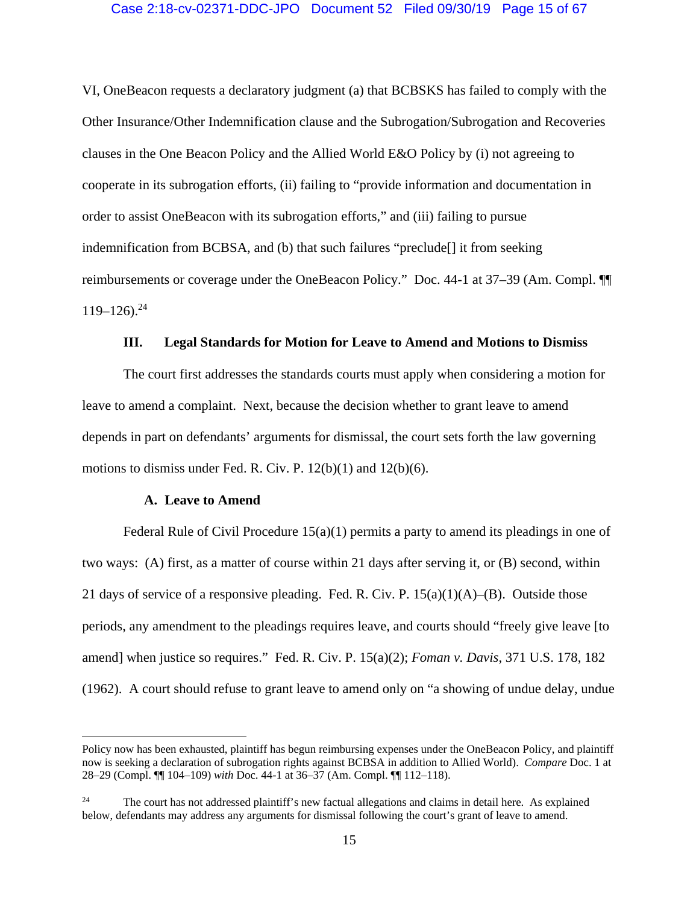VI, OneBeacon requests a declaratory judgment (a) that BCBSKS has failed to comply with the Other Insurance/Other Indemnification clause and the Subrogation/Subrogation and Recoveries clauses in the One Beacon Policy and the Allied World E&O Policy by (i) not agreeing to cooperate in its subrogation efforts, (ii) failing to "provide information and documentation in order to assist OneBeacon with its subrogation efforts," and (iii) failing to pursue indemnification from BCBSA, and (b) that such failures "preclude[] it from seeking reimbursements or coverage under the OneBeacon Policy." Doc. 44-1 at 37–39 (Am. Compl. ¶¶  $119-126$ .<sup>24</sup>

# **III. Legal Standards for Motion for Leave to Amend and Motions to Dismiss**

The court first addresses the standards courts must apply when considering a motion for leave to amend a complaint. Next, because the decision whether to grant leave to amend depends in part on defendants' arguments for dismissal, the court sets forth the law governing motions to dismiss under Fed. R. Civ. P.  $12(b)(1)$  and  $12(b)(6)$ .

#### **A. Leave to Amend**

Federal Rule of Civil Procedure 15(a)(1) permits a party to amend its pleadings in one of two ways: (A) first, as a matter of course within 21 days after serving it, or (B) second, within 21 days of service of a responsive pleading. Fed. R. Civ. P.  $15(a)(1)(A)$ –(B). Outside those periods, any amendment to the pleadings requires leave, and courts should "freely give leave [to amend] when justice so requires." Fed. R. Civ. P. 15(a)(2); *Foman v. Davis*, 371 U.S. 178, 182 (1962). A court should refuse to grant leave to amend only on "a showing of undue delay, undue

Policy now has been exhausted, plaintiff has begun reimbursing expenses under the OneBeacon Policy, and plaintiff now is seeking a declaration of subrogation rights against BCBSA in addition to Allied World). *Compare* Doc. 1 at 28–29 (Compl. ¶¶ 104–109) *with* Doc. 44-1 at 36–37 (Am. Compl. ¶¶ 112–118).

<sup>&</sup>lt;sup>24</sup> The court has not addressed plaintiff's new factual allegations and claims in detail here. As explained below, defendants may address any arguments for dismissal following the court's grant of leave to amend.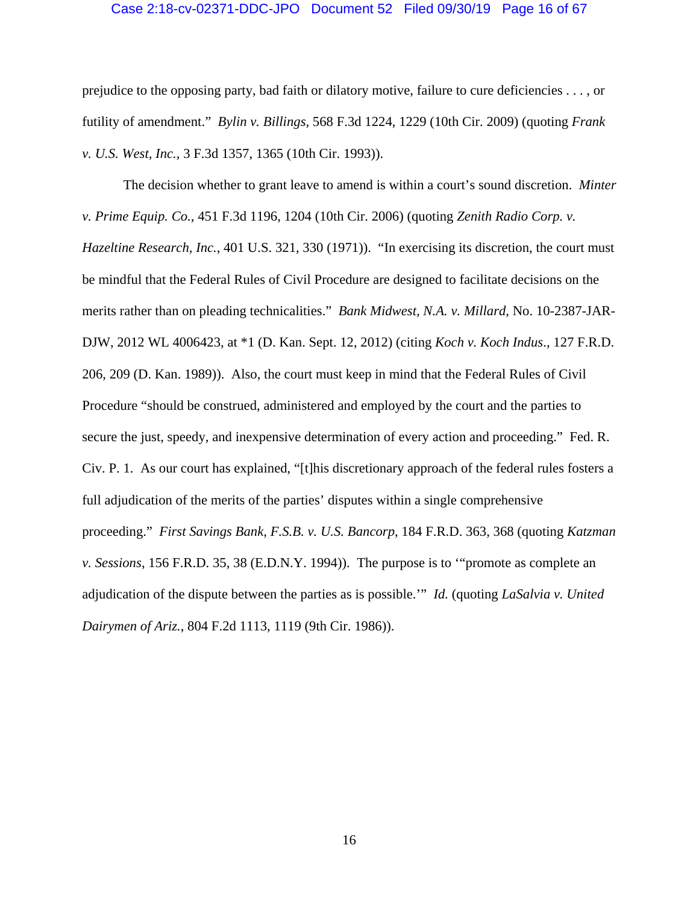## Case 2:18-cv-02371-DDC-JPO Document 52 Filed 09/30/19 Page 16 of 67

prejudice to the opposing party, bad faith or dilatory motive, failure to cure deficiencies . . . , or futility of amendment." *Bylin v. Billings,* 568 F.3d 1224, 1229 (10th Cir. 2009) (quoting *Frank v. U.S. West, Inc.*, 3 F.3d 1357, 1365 (10th Cir. 1993)).

The decision whether to grant leave to amend is within a court's sound discretion. *Minter v. Prime Equip. Co.*, 451 F.3d 1196, 1204 (10th Cir. 2006) (quoting *Zenith Radio Corp. v. Hazeltine Research, Inc.*, 401 U.S. 321, 330 (1971)). "In exercising its discretion, the court must be mindful that the Federal Rules of Civil Procedure are designed to facilitate decisions on the merits rather than on pleading technicalities." *Bank Midwest, N.A. v. Millard*, No. 10-2387-JAR-DJW, 2012 WL 4006423, at \*1 (D. Kan. Sept. 12, 2012) (citing *Koch v. Koch Indus*., 127 F.R.D. 206, 209 (D. Kan. 1989)). Also, the court must keep in mind that the Federal Rules of Civil Procedure "should be construed, administered and employed by the court and the parties to secure the just, speedy, and inexpensive determination of every action and proceeding." Fed. R. Civ. P. 1. As our court has explained, "[t]his discretionary approach of the federal rules fosters a full adjudication of the merits of the parties' disputes within a single comprehensive proceeding." *First Savings Bank, F.S.B. v. U.S. Bancorp*, 184 F.R.D. 363, 368 (quoting *Katzman v. Sessions*, 156 F.R.D. 35, 38 (E.D.N.Y. 1994)). The purpose is to '"promote as complete an adjudication of the dispute between the parties as is possible.'" *Id.* (quoting *LaSalvia v. United Dairymen of Ariz.*, 804 F.2d 1113, 1119 (9th Cir. 1986)).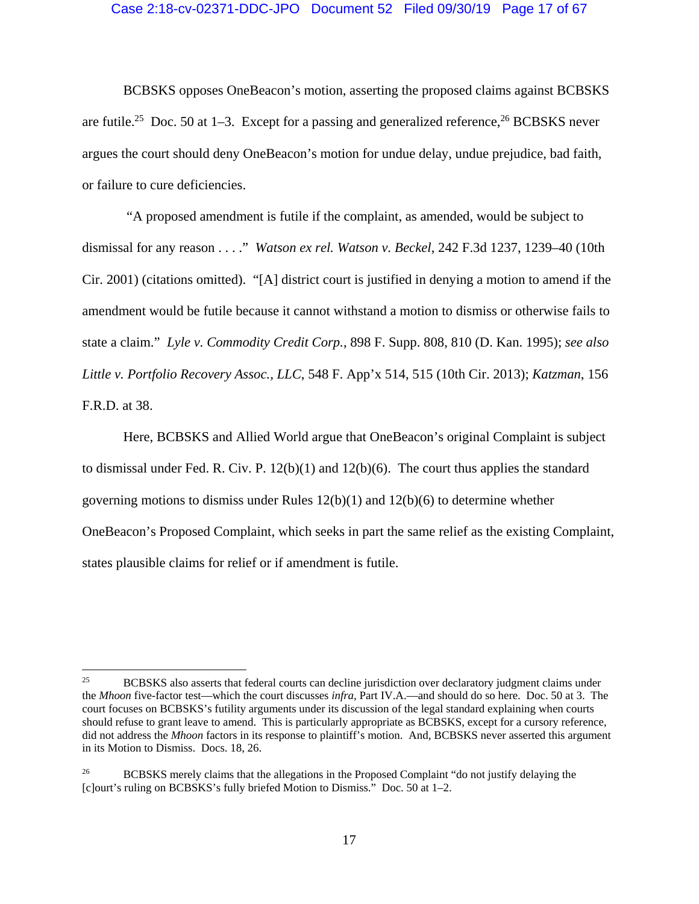#### Case 2:18-cv-02371-DDC-JPO Document 52 Filed 09/30/19 Page 17 of 67

BCBSKS opposes OneBeacon's motion, asserting the proposed claims against BCBSKS are futile.<sup>25</sup> Doc. 50 at 1–3. Except for a passing and generalized reference,<sup>26</sup> BCBSKS never argues the court should deny OneBeacon's motion for undue delay, undue prejudice, bad faith, or failure to cure deficiencies.

 "A proposed amendment is futile if the complaint, as amended, would be subject to dismissal for any reason . . . ." *Watson ex rel. Watson v. Beckel*, 242 F.3d 1237, 1239–40 (10th Cir. 2001) (citations omitted). "[A] district court is justified in denying a motion to amend if the amendment would be futile because it cannot withstand a motion to dismiss or otherwise fails to state a claim." *Lyle v. Commodity Credit Corp.*, 898 F. Supp. 808, 810 (D. Kan. 1995); *see also Little v. Portfolio Recovery Assoc., LLC*, 548 F. App'x 514, 515 (10th Cir. 2013); *Katzman*, 156 F.R.D. at 38.

Here, BCBSKS and Allied World argue that OneBeacon's original Complaint is subject to dismissal under Fed. R. Civ. P.  $12(b)(1)$  and  $12(b)(6)$ . The court thus applies the standard governing motions to dismiss under Rules  $12(b)(1)$  and  $12(b)(6)$  to determine whether OneBeacon's Proposed Complaint, which seeks in part the same relief as the existing Complaint, states plausible claims for relief or if amendment is futile.

<sup>&</sup>lt;sup>25</sup> BCBSKS also asserts that federal courts can decline jurisdiction over declaratory judgment claims under the *Mhoon* five-factor test—which the court discusses *infra*, Part IV.A.—and should do so here. Doc. 50 at 3. The court focuses on BCBSKS's futility arguments under its discussion of the legal standard explaining when courts should refuse to grant leave to amend. This is particularly appropriate as BCBSKS, except for a cursory reference, did not address the *Mhoon* factors in its response to plaintiff's motion. And, BCBSKS never asserted this argument in its Motion to Dismiss. Docs. 18, 26.

<sup>&</sup>lt;sup>26</sup> BCBSKS merely claims that the allegations in the Proposed Complaint "do not justify delaying the [c]ourt's ruling on BCBSKS's fully briefed Motion to Dismiss." Doc. 50 at 1–2.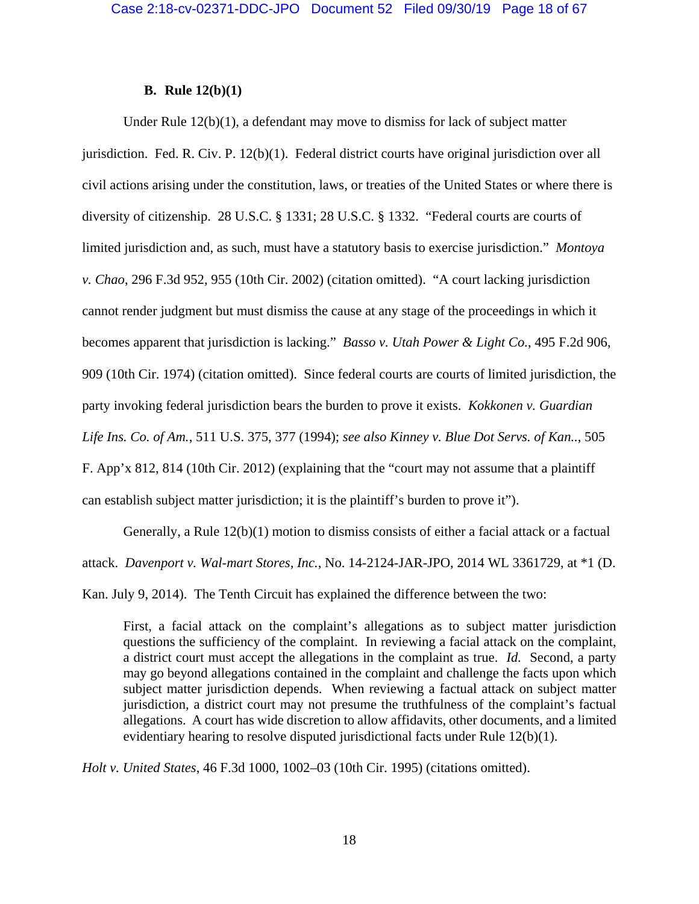# **B. Rule 12(b)(1)**

Under Rule 12(b)(1), a defendant may move to dismiss for lack of subject matter jurisdiction. Fed. R. Civ. P. 12(b)(1). Federal district courts have original jurisdiction over all civil actions arising under the constitution, laws, or treaties of the United States or where there is diversity of citizenship. 28 U.S.C. § 1331; 28 U.S.C. § 1332. "Federal courts are courts of limited jurisdiction and, as such, must have a statutory basis to exercise jurisdiction." *Montoya v. Chao*, 296 F.3d 952, 955 (10th Cir. 2002) (citation omitted). "A court lacking jurisdiction cannot render judgment but must dismiss the cause at any stage of the proceedings in which it becomes apparent that jurisdiction is lacking." *Basso v. Utah Power & Light Co.*, 495 F.2d 906, 909 (10th Cir. 1974) (citation omitted). Since federal courts are courts of limited jurisdiction, the party invoking federal jurisdiction bears the burden to prove it exists. *Kokkonen v. Guardian Life Ins. Co. of Am.*, 511 U.S. 375, 377 (1994); *see also Kinney v. Blue Dot Servs. of Kan..*, 505 F. App'x 812, 814 (10th Cir. 2012) (explaining that the "court may not assume that a plaintiff can establish subject matter jurisdiction; it is the plaintiff's burden to prove it").

Generally, a Rule 12(b)(1) motion to dismiss consists of either a facial attack or a factual attack. *Davenport v. Wal-mart Stores, Inc.*, No. 14-2124-JAR-JPO, 2014 WL 3361729, at \*1 (D.

Kan. July 9, 2014). The Tenth Circuit has explained the difference between the two:

First, a facial attack on the complaint's allegations as to subject matter jurisdiction questions the sufficiency of the complaint. In reviewing a facial attack on the complaint, a district court must accept the allegations in the complaint as true. *Id.* Second, a party may go beyond allegations contained in the complaint and challenge the facts upon which subject matter jurisdiction depends. When reviewing a factual attack on subject matter jurisdiction, a district court may not presume the truthfulness of the complaint's factual allegations. A court has wide discretion to allow affidavits, other documents, and a limited evidentiary hearing to resolve disputed jurisdictional facts under Rule 12(b)(1).

*Holt v. United States*, 46 F.3d 1000, 1002–03 (10th Cir. 1995) (citations omitted).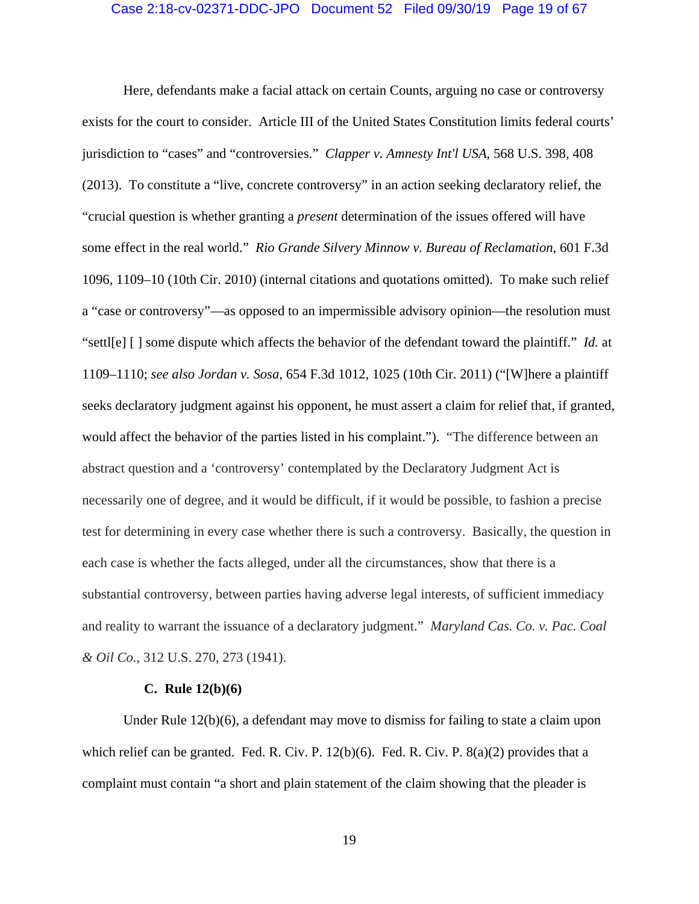### Case 2:18-cv-02371-DDC-JPO Document 52 Filed 09/30/19 Page 19 of 67

Here, defendants make a facial attack on certain Counts, arguing no case or controversy exists for the court to consider. Article III of the United States Constitution limits federal courts' jurisdiction to "cases" and "controversies." *Clapper v. Amnesty Int'l USA*, 568 U.S. 398, 408 (2013). To constitute a "live, concrete controversy" in an action seeking declaratory relief, the "crucial question is whether granting a *present* determination of the issues offered will have some effect in the real world." *Rio Grande Silvery Minnow v. Bureau of Reclamation*, 601 F.3d 1096, 1109–10 (10th Cir. 2010) (internal citations and quotations omitted). To make such relief a "case or controversy"—as opposed to an impermissible advisory opinion—the resolution must "settl[e] [ ] some dispute which affects the behavior of the defendant toward the plaintiff." *Id.* at 1109–1110; *see also Jordan v. Sosa*, 654 F.3d 1012, 1025 (10th Cir. 2011) ("[W]here a plaintiff seeks declaratory judgment against his opponent, he must assert a claim for relief that, if granted, would affect the behavior of the parties listed in his complaint."). "The difference between an abstract question and a 'controversy' contemplated by the Declaratory Judgment Act is necessarily one of degree, and it would be difficult, if it would be possible, to fashion a precise test for determining in every case whether there is such a controversy. Basically, the question in each case is whether the facts alleged, under all the circumstances, show that there is a substantial controversy, between parties having adverse legal interests, of sufficient immediacy and reality to warrant the issuance of a declaratory judgment." *Maryland Cas. Co. v. Pac. Coal & Oil Co.*, 312 U.S. 270, 273 (1941).

#### **C. Rule 12(b)(6)**

Under Rule 12(b)(6), a defendant may move to dismiss for failing to state a claim upon which relief can be granted. Fed. R. Civ. P.  $12(b)(6)$ . Fed. R. Civ. P.  $8(a)(2)$  provides that a complaint must contain "a short and plain statement of the claim showing that the pleader is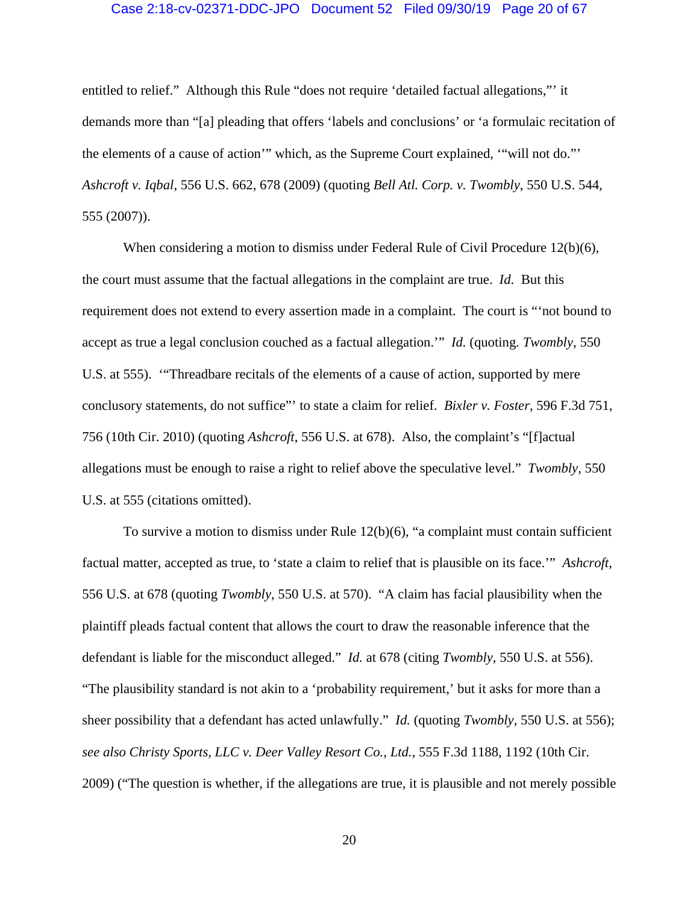## Case 2:18-cv-02371-DDC-JPO Document 52 Filed 09/30/19 Page 20 of 67

entitled to relief." Although this Rule "does not require 'detailed factual allegations,"' it demands more than "[a] pleading that offers 'labels and conclusions' or 'a formulaic recitation of the elements of a cause of action'" which, as the Supreme Court explained, '"will not do."' *Ashcroft v. Iqbal*, 556 U.S. 662, 678 (2009) (quoting *Bell Atl. Corp. v. Twombly*, 550 U.S. 544, 555 (2007)).

When considering a motion to dismiss under Federal Rule of Civil Procedure 12(b)(6), the court must assume that the factual allegations in the complaint are true. *Id*.But this requirement does not extend to every assertion made in a complaint. The court is "'not bound to accept as true a legal conclusion couched as a factual allegation.'" *Id.* (quoting*. Twombly*, 550 U.S. at 555). '"Threadbare recitals of the elements of a cause of action, supported by mere conclusory statements, do not suffice"' to state a claim for relief. *Bixler v. Foster*, 596 F.3d 751, 756 (10th Cir. 2010) (quoting *Ashcroft*, 556 U.S. at 678). Also, the complaint's "[f]actual allegations must be enough to raise a right to relief above the speculative level." *Twombly*, 550 U.S. at 555 (citations omitted).

To survive a motion to dismiss under Rule 12(b)(6), "a complaint must contain sufficient factual matter, accepted as true, to 'state a claim to relief that is plausible on its face.'" *Ashcroft*, 556 U.S. at 678 (quoting *Twombly*, 550 U.S. at 570). "A claim has facial plausibility when the plaintiff pleads factual content that allows the court to draw the reasonable inference that the defendant is liable for the misconduct alleged." *Id.* at 678 (citing *Twombly*, 550 U.S. at 556). "The plausibility standard is not akin to a 'probability requirement,' but it asks for more than a sheer possibility that a defendant has acted unlawfully." *Id.* (quoting *Twombly*, 550 U.S. at 556); *see also Christy Sports, LLC v. Deer Valley Resort Co., Ltd.*, 555 F.3d 1188, 1192 (10th Cir. 2009) ("The question is whether, if the allegations are true, it is plausible and not merely possible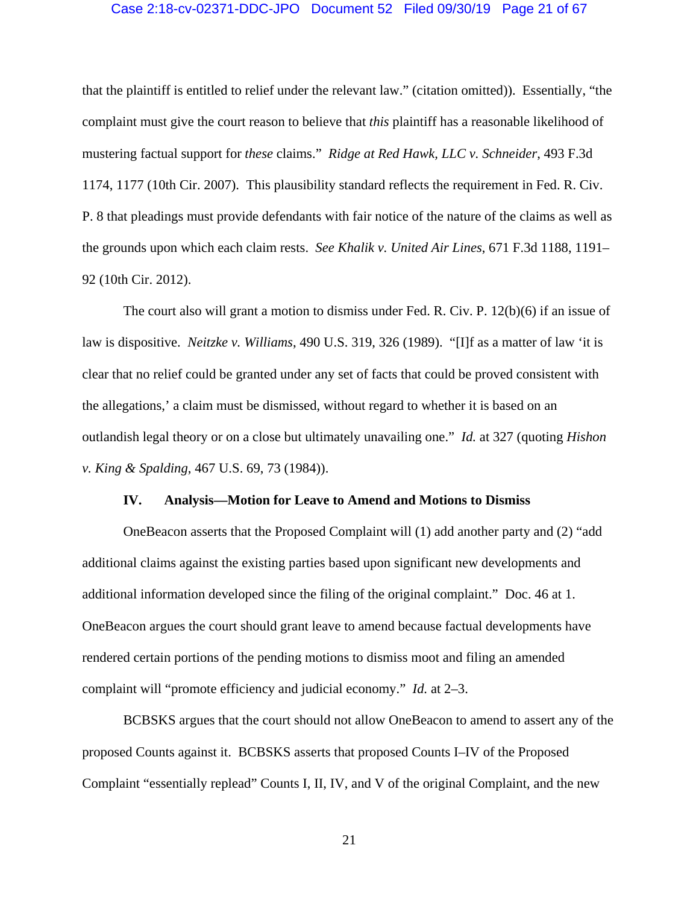#### Case 2:18-cv-02371-DDC-JPO Document 52 Filed 09/30/19 Page 21 of 67

that the plaintiff is entitled to relief under the relevant law." (citation omitted)). Essentially, "the complaint must give the court reason to believe that *this* plaintiff has a reasonable likelihood of mustering factual support for *these* claims." *Ridge at Red Hawk, LLC v. Schneider*, 493 F.3d 1174, 1177 (10th Cir. 2007). This plausibility standard reflects the requirement in Fed. R. Civ. P. 8 that pleadings must provide defendants with fair notice of the nature of the claims as well as the grounds upon which each claim rests. *See Khalik v. United Air Lines*, 671 F.3d 1188, 1191– 92 (10th Cir. 2012).

The court also will grant a motion to dismiss under Fed. R. Civ. P. 12(b)(6) if an issue of law is dispositive. *Neitzke v. Williams*, 490 U.S. 319, 326 (1989). "[I]f as a matter of law 'it is clear that no relief could be granted under any set of facts that could be proved consistent with the allegations,' a claim must be dismissed, without regard to whether it is based on an outlandish legal theory or on a close but ultimately unavailing one." *Id.* at 327 (quoting *Hishon v. King & Spalding*, 467 U.S. 69, 73 (1984)).

#### **IV. Analysis—Motion for Leave to Amend and Motions to Dismiss**

OneBeacon asserts that the Proposed Complaint will (1) add another party and (2) "add additional claims against the existing parties based upon significant new developments and additional information developed since the filing of the original complaint." Doc. 46 at 1. OneBeacon argues the court should grant leave to amend because factual developments have rendered certain portions of the pending motions to dismiss moot and filing an amended complaint will "promote efficiency and judicial economy." *Id.* at 2–3.

BCBSKS argues that the court should not allow OneBeacon to amend to assert any of the proposed Counts against it. BCBSKS asserts that proposed Counts I–IV of the Proposed Complaint "essentially replead" Counts I, II, IV, and V of the original Complaint, and the new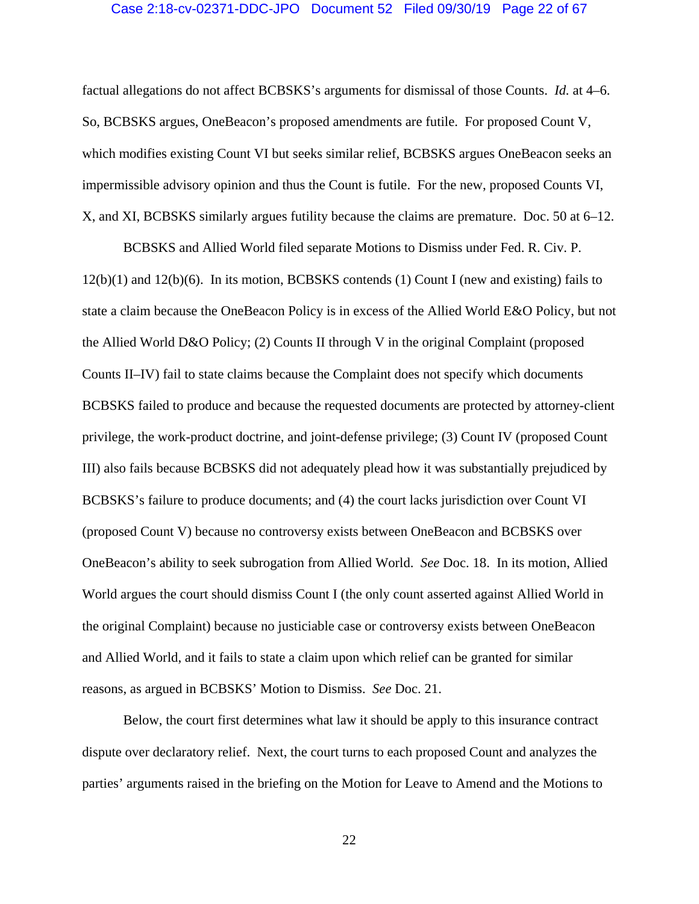#### Case 2:18-cv-02371-DDC-JPO Document 52 Filed 09/30/19 Page 22 of 67

factual allegations do not affect BCBSKS's arguments for dismissal of those Counts. *Id.* at 4–6. So, BCBSKS argues, OneBeacon's proposed amendments are futile. For proposed Count V, which modifies existing Count VI but seeks similar relief, BCBSKS argues OneBeacon seeks an impermissible advisory opinion and thus the Count is futile. For the new, proposed Counts VI, X, and XI, BCBSKS similarly argues futility because the claims are premature. Doc. 50 at 6–12.

BCBSKS and Allied World filed separate Motions to Dismiss under Fed. R. Civ. P.  $12(b)(1)$  and  $12(b)(6)$ . In its motion, BCBSKS contends (1) Count I (new and existing) fails to state a claim because the OneBeacon Policy is in excess of the Allied World E&O Policy, but not the Allied World D&O Policy; (2) Counts II through V in the original Complaint (proposed Counts II–IV) fail to state claims because the Complaint does not specify which documents BCBSKS failed to produce and because the requested documents are protected by attorney-client privilege, the work-product doctrine, and joint-defense privilege; (3) Count IV (proposed Count III) also fails because BCBSKS did not adequately plead how it was substantially prejudiced by BCBSKS's failure to produce documents; and (4) the court lacks jurisdiction over Count VI (proposed Count V) because no controversy exists between OneBeacon and BCBSKS over OneBeacon's ability to seek subrogation from Allied World. *See* Doc. 18. In its motion, Allied World argues the court should dismiss Count I (the only count asserted against Allied World in the original Complaint) because no justiciable case or controversy exists between OneBeacon and Allied World, and it fails to state a claim upon which relief can be granted for similar reasons, as argued in BCBSKS' Motion to Dismiss. *See* Doc. 21.

Below, the court first determines what law it should be apply to this insurance contract dispute over declaratory relief. Next, the court turns to each proposed Count and analyzes the parties' arguments raised in the briefing on the Motion for Leave to Amend and the Motions to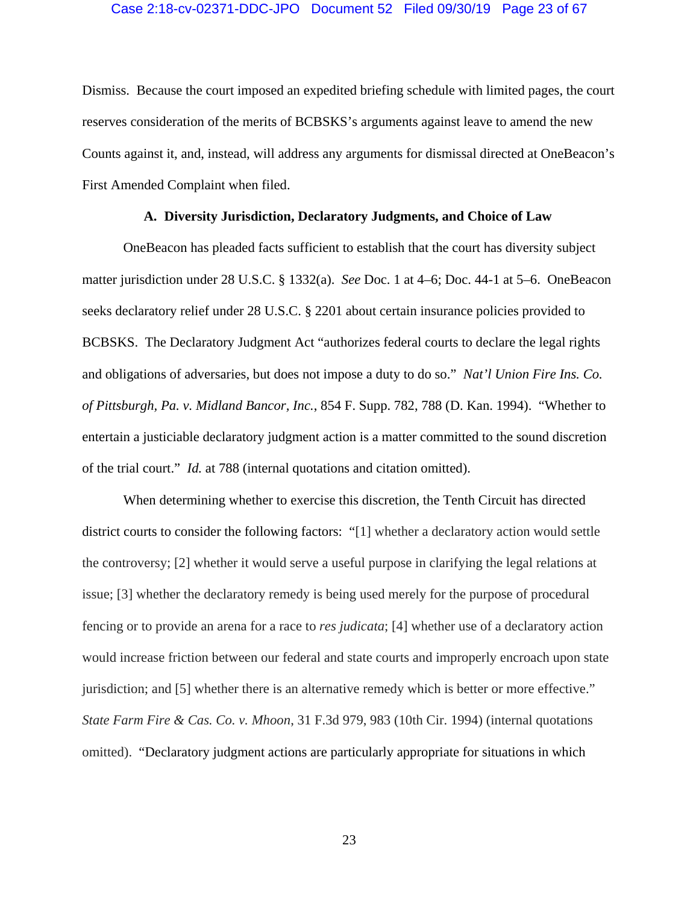## Case 2:18-cv-02371-DDC-JPO Document 52 Filed 09/30/19 Page 23 of 67

Dismiss. Because the court imposed an expedited briefing schedule with limited pages, the court reserves consideration of the merits of BCBSKS's arguments against leave to amend the new Counts against it, and, instead, will address any arguments for dismissal directed at OneBeacon's First Amended Complaint when filed.

# **A. Diversity Jurisdiction, Declaratory Judgments, and Choice of Law**

OneBeacon has pleaded facts sufficient to establish that the court has diversity subject matter jurisdiction under 28 U.S.C. § 1332(a). *See* Doc. 1 at 4–6; Doc. 44-1 at 5–6. OneBeacon seeks declaratory relief under 28 U.S.C. § 2201 about certain insurance policies provided to BCBSKS. The Declaratory Judgment Act "authorizes federal courts to declare the legal rights and obligations of adversaries, but does not impose a duty to do so." *Nat'l Union Fire Ins. Co. of Pittsburgh, Pa. v. Midland Bancor, Inc.*, 854 F. Supp. 782, 788 (D. Kan. 1994). "Whether to entertain a justiciable declaratory judgment action is a matter committed to the sound discretion of the trial court." *Id.* at 788 (internal quotations and citation omitted).

When determining whether to exercise this discretion, the Tenth Circuit has directed district courts to consider the following factors: "[1] whether a declaratory action would settle the controversy; [2] whether it would serve a useful purpose in clarifying the legal relations at issue; [3] whether the declaratory remedy is being used merely for the purpose of procedural fencing or to provide an arena for a race to *res judicata*; [4] whether use of a declaratory action would increase friction between our federal and state courts and improperly encroach upon state jurisdiction; and [5] whether there is an alternative remedy which is better or more effective." *State Farm Fire & Cas. Co. v. Mhoon*, 31 F.3d 979, 983 (10th Cir. 1994) (internal quotations omitted). "Declaratory judgment actions are particularly appropriate for situations in which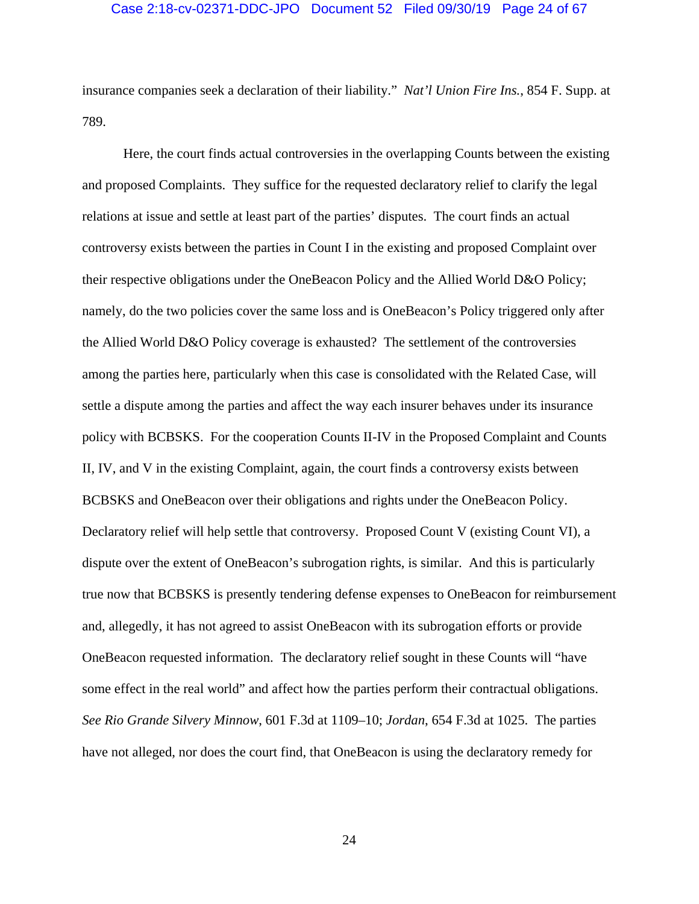#### Case 2:18-cv-02371-DDC-JPO Document 52 Filed 09/30/19 Page 24 of 67

insurance companies seek a declaration of their liability." *Nat'l Union Fire Ins.*, 854 F. Supp. at 789.

Here, the court finds actual controversies in the overlapping Counts between the existing and proposed Complaints. They suffice for the requested declaratory relief to clarify the legal relations at issue and settle at least part of the parties' disputes. The court finds an actual controversy exists between the parties in Count I in the existing and proposed Complaint over their respective obligations under the OneBeacon Policy and the Allied World D&O Policy; namely, do the two policies cover the same loss and is OneBeacon's Policy triggered only after the Allied World D&O Policy coverage is exhausted? The settlement of the controversies among the parties here, particularly when this case is consolidated with the Related Case, will settle a dispute among the parties and affect the way each insurer behaves under its insurance policy with BCBSKS. For the cooperation Counts II-IV in the Proposed Complaint and Counts II, IV, and V in the existing Complaint, again, the court finds a controversy exists between BCBSKS and OneBeacon over their obligations and rights under the OneBeacon Policy. Declaratory relief will help settle that controversy. Proposed Count V (existing Count VI), a dispute over the extent of OneBeacon's subrogation rights, is similar. And this is particularly true now that BCBSKS is presently tendering defense expenses to OneBeacon for reimbursement and, allegedly, it has not agreed to assist OneBeacon with its subrogation efforts or provide OneBeacon requested information. The declaratory relief sought in these Counts will "have some effect in the real world" and affect how the parties perform their contractual obligations. *See Rio Grande Silvery Minnow*, 601 F.3d at 1109–10; *Jordan*, 654 F.3d at 1025. The parties have not alleged, nor does the court find, that OneBeacon is using the declaratory remedy for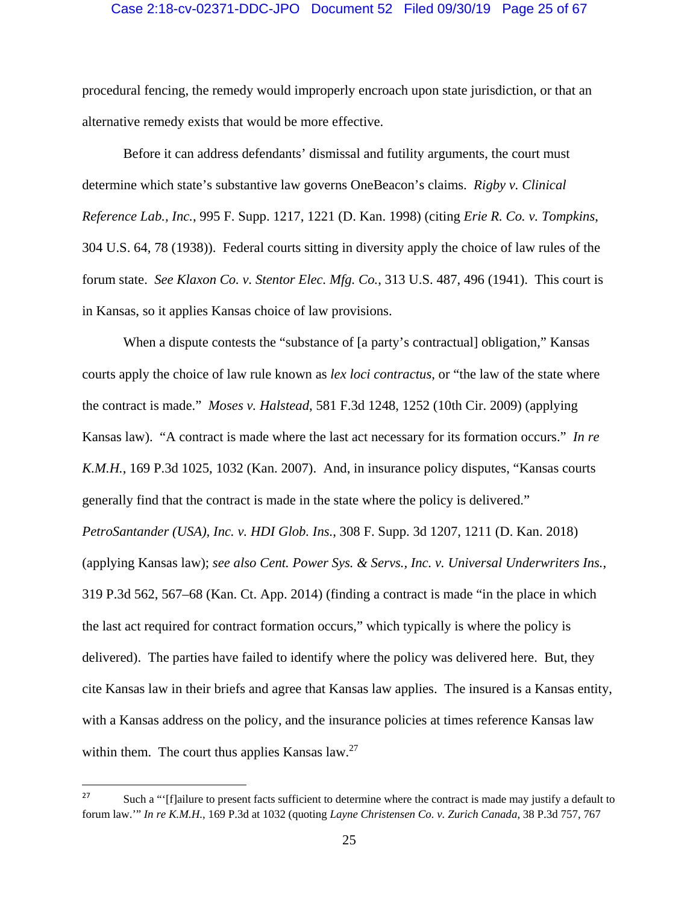#### Case 2:18-cv-02371-DDC-JPO Document 52 Filed 09/30/19 Page 25 of 67

procedural fencing, the remedy would improperly encroach upon state jurisdiction, or that an alternative remedy exists that would be more effective.

Before it can address defendants' dismissal and futility arguments, the court must determine which state's substantive law governs OneBeacon's claims. *Rigby v. Clinical Reference Lab., Inc.*, 995 F. Supp. 1217, 1221 (D. Kan. 1998) (citing *Erie R. Co. v. Tompkins*, 304 U.S. 64, 78 (1938)). Federal courts sitting in diversity apply the choice of law rules of the forum state. *See Klaxon Co. v. Stentor Elec. Mfg. Co.*, 313 U.S. 487, 496 (1941). This court is in Kansas, so it applies Kansas choice of law provisions.

When a dispute contests the "substance of [a party's contractual] obligation," Kansas courts apply the choice of law rule known as *lex loci contractus*, or "the law of the state where the contract is made." *Moses v. Halstead*, 581 F.3d 1248, 1252 (10th Cir. 2009) (applying Kansas law). "A contract is made where the last act necessary for its formation occurs." *In re K.M.H.*, 169 P.3d 1025, 1032 (Kan. 2007). And, in insurance policy disputes, "Kansas courts generally find that the contract is made in the state where the policy is delivered." *PetroSantander (USA), Inc. v. HDI Glob. Ins.*, 308 F. Supp. 3d 1207, 1211 (D. Kan. 2018) (applying Kansas law); *see also Cent. Power Sys. & Servs., Inc. v. Universal Underwriters Ins.*, 319 P.3d 562, 567–68 (Kan. Ct. App. 2014) (finding a contract is made "in the place in which the last act required for contract formation occurs," which typically is where the policy is delivered). The parties have failed to identify where the policy was delivered here. But, they cite Kansas law in their briefs and agree that Kansas law applies. The insured is a Kansas entity, with a Kansas address on the policy, and the insurance policies at times reference Kansas law within them. The court thus applies Kansas law.<sup>27</sup>

<sup>&</sup>lt;sup>27</sup> Such a "'[f]ailure to present facts sufficient to determine where the contract is made may justify a default to forum law.'" *In re K.M.H.*, 169 P.3d at 1032 (quoting *Layne Christensen Co. v. Zurich Canada*, 38 P.3d 757, 767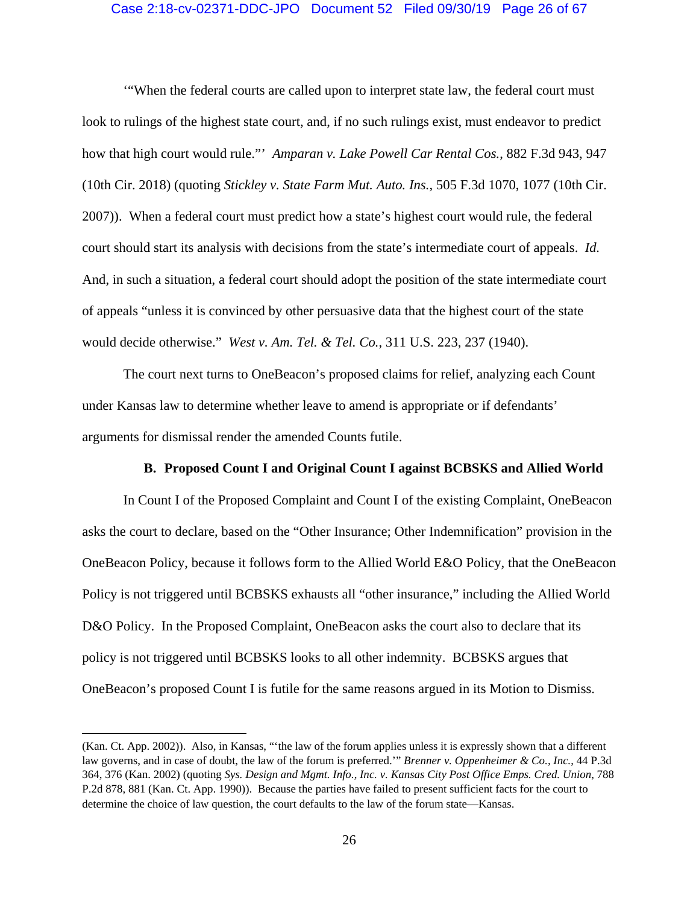# Case 2:18-cv-02371-DDC-JPO Document 52 Filed 09/30/19 Page 26 of 67

'"When the federal courts are called upon to interpret state law, the federal court must look to rulings of the highest state court, and, if no such rulings exist, must endeavor to predict how that high court would rule."' *Amparan v. Lake Powell Car Rental Cos.*, 882 F.3d 943, 947 (10th Cir. 2018) (quoting *Stickley v. State Farm Mut. Auto. Ins.*, 505 F.3d 1070, 1077 (10th Cir. 2007)). When a federal court must predict how a state's highest court would rule, the federal court should start its analysis with decisions from the state's intermediate court of appeals. *Id.*  And, in such a situation, a federal court should adopt the position of the state intermediate court of appeals "unless it is convinced by other persuasive data that the highest court of the state would decide otherwise." *West v. Am. Tel. & Tel. Co.*, 311 U.S. 223, 237 (1940).

The court next turns to OneBeacon's proposed claims for relief, analyzing each Count under Kansas law to determine whether leave to amend is appropriate or if defendants' arguments for dismissal render the amended Counts futile.

## **B. Proposed Count I and Original Count I against BCBSKS and Allied World**

In Count I of the Proposed Complaint and Count I of the existing Complaint, OneBeacon asks the court to declare, based on the "Other Insurance; Other Indemnification" provision in the OneBeacon Policy, because it follows form to the Allied World E&O Policy, that the OneBeacon Policy is not triggered until BCBSKS exhausts all "other insurance," including the Allied World D&O Policy. In the Proposed Complaint, OneBeacon asks the court also to declare that its policy is not triggered until BCBSKS looks to all other indemnity. BCBSKS argues that OneBeacon's proposed Count I is futile for the same reasons argued in its Motion to Dismiss.

<sup>(</sup>Kan. Ct. App. 2002)). Also, in Kansas, "'the law of the forum applies unless it is expressly shown that a different law governs, and in case of doubt, the law of the forum is preferred.'" *Brenner v. Oppenheimer & Co., Inc.*, 44 P.3d 364, 376 (Kan. 2002) (quoting *Sys. Design and Mgmt. Info., Inc. v. Kansas City Post Office Emps. Cred. Union*, 788 P.2d 878, 881 (Kan. Ct. App. 1990)). Because the parties have failed to present sufficient facts for the court to determine the choice of law question, the court defaults to the law of the forum state—Kansas.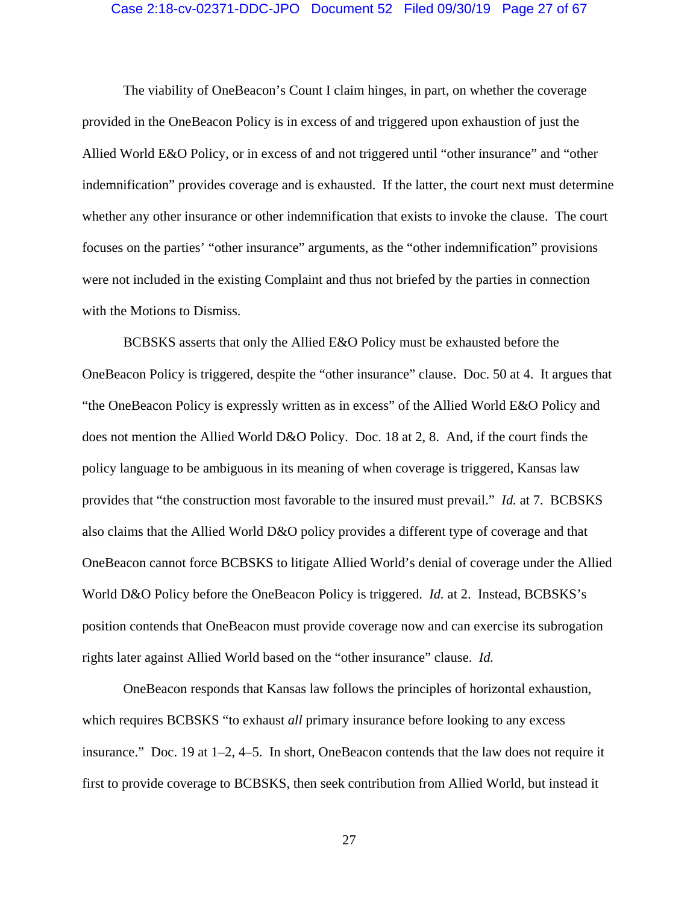#### Case 2:18-cv-02371-DDC-JPO Document 52 Filed 09/30/19 Page 27 of 67

The viability of OneBeacon's Count I claim hinges, in part, on whether the coverage provided in the OneBeacon Policy is in excess of and triggered upon exhaustion of just the Allied World E&O Policy, or in excess of and not triggered until "other insurance" and "other indemnification" provides coverage and is exhausted. If the latter, the court next must determine whether any other insurance or other indemnification that exists to invoke the clause. The court focuses on the parties' "other insurance" arguments, as the "other indemnification" provisions were not included in the existing Complaint and thus not briefed by the parties in connection with the Motions to Dismiss.

BCBSKS asserts that only the Allied E&O Policy must be exhausted before the OneBeacon Policy is triggered, despite the "other insurance" clause. Doc. 50 at 4. It argues that "the OneBeacon Policy is expressly written as in excess" of the Allied World E&O Policy and does not mention the Allied World D&O Policy. Doc. 18 at 2, 8. And, if the court finds the policy language to be ambiguous in its meaning of when coverage is triggered, Kansas law provides that "the construction most favorable to the insured must prevail." *Id.* at 7. BCBSKS also claims that the Allied World D&O policy provides a different type of coverage and that OneBeacon cannot force BCBSKS to litigate Allied World's denial of coverage under the Allied World D&O Policy before the OneBeacon Policy is triggered. *Id.* at 2. Instead, BCBSKS's position contends that OneBeacon must provide coverage now and can exercise its subrogation rights later against Allied World based on the "other insurance" clause. *Id.* 

OneBeacon responds that Kansas law follows the principles of horizontal exhaustion, which requires BCBSKS "to exhaust *all* primary insurance before looking to any excess insurance." Doc. 19 at 1–2, 4–5. In short, OneBeacon contends that the law does not require it first to provide coverage to BCBSKS, then seek contribution from Allied World, but instead it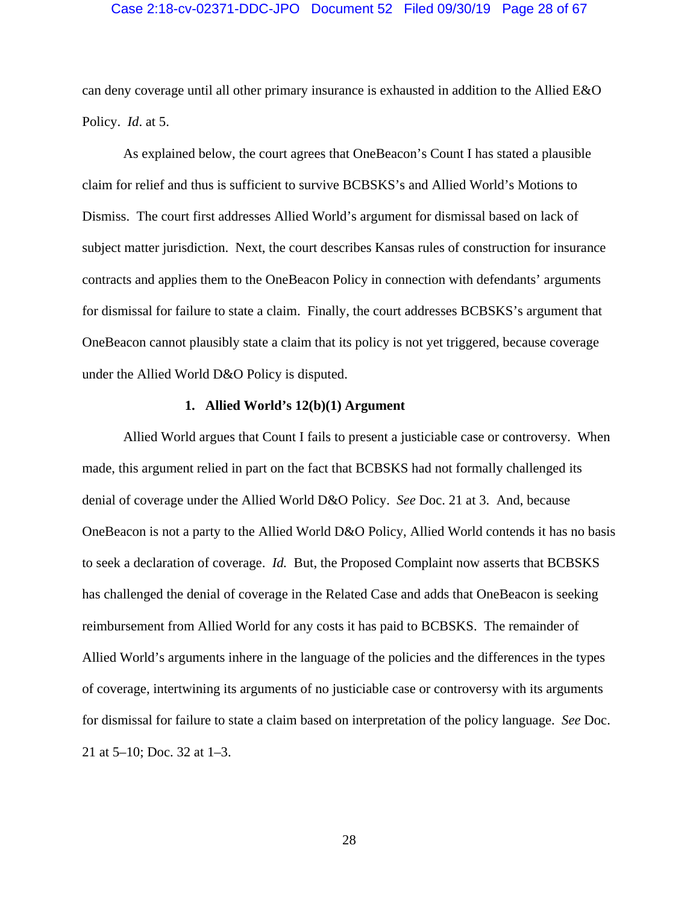#### Case 2:18-cv-02371-DDC-JPO Document 52 Filed 09/30/19 Page 28 of 67

can deny coverage until all other primary insurance is exhausted in addition to the Allied E&O Policy. *Id*. at 5.

As explained below, the court agrees that OneBeacon's Count I has stated a plausible claim for relief and thus is sufficient to survive BCBSKS's and Allied World's Motions to Dismiss. The court first addresses Allied World's argument for dismissal based on lack of subject matter jurisdiction. Next, the court describes Kansas rules of construction for insurance contracts and applies them to the OneBeacon Policy in connection with defendants' arguments for dismissal for failure to state a claim. Finally, the court addresses BCBSKS's argument that OneBeacon cannot plausibly state a claim that its policy is not yet triggered, because coverage under the Allied World D&O Policy is disputed.

# **1. Allied World's 12(b)(1) Argument**

Allied World argues that Count I fails to present a justiciable case or controversy. When made, this argument relied in part on the fact that BCBSKS had not formally challenged its denial of coverage under the Allied World D&O Policy. *See* Doc. 21 at 3. And, because OneBeacon is not a party to the Allied World D&O Policy, Allied World contends it has no basis to seek a declaration of coverage. *Id.* But, the Proposed Complaint now asserts that BCBSKS has challenged the denial of coverage in the Related Case and adds that OneBeacon is seeking reimbursement from Allied World for any costs it has paid to BCBSKS. The remainder of Allied World's arguments inhere in the language of the policies and the differences in the types of coverage, intertwining its arguments of no justiciable case or controversy with its arguments for dismissal for failure to state a claim based on interpretation of the policy language. *See* Doc. 21 at 5–10; Doc. 32 at 1–3.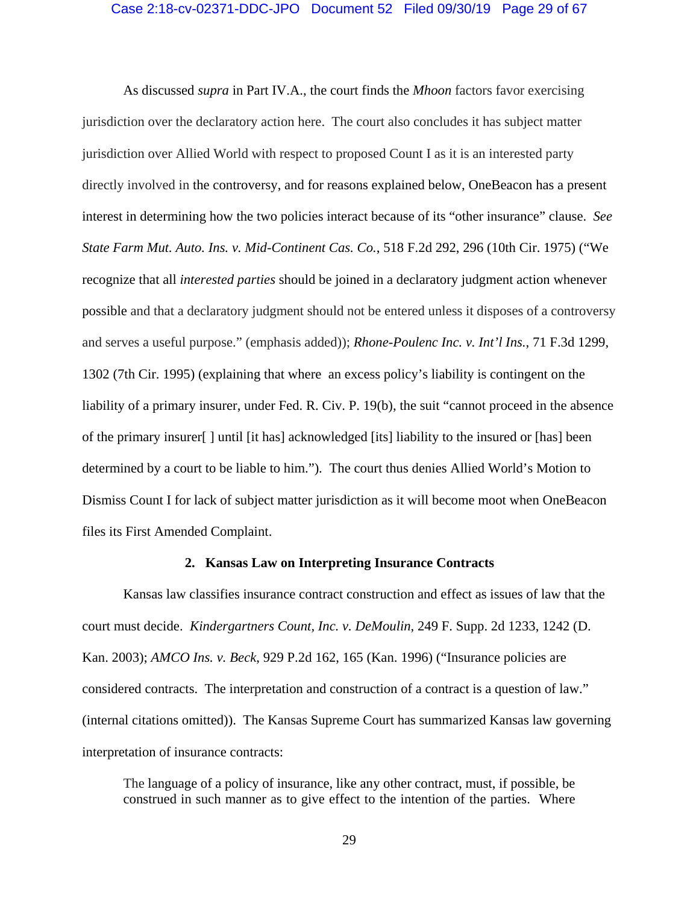# Case 2:18-cv-02371-DDC-JPO Document 52 Filed 09/30/19 Page 29 of 67

As discussed *supra* in Part IV.A., the court finds the *Mhoon* factors favor exercising jurisdiction over the declaratory action here. The court also concludes it has subject matter jurisdiction over Allied World with respect to proposed Count I as it is an interested party directly involved in the controversy, and for reasons explained below, OneBeacon has a present interest in determining how the two policies interact because of its "other insurance" clause. *See State Farm Mut. Auto. Ins. v. Mid-Continent Cas. Co.*, 518 F.2d 292, 296 (10th Cir. 1975) ("We recognize that all *interested parties* should be joined in a declaratory judgment action whenever possible and that a declaratory judgment should not be entered unless it disposes of a controversy and serves a useful purpose." (emphasis added)); *Rhone-Poulenc Inc. v. Int'l Ins.*, 71 F.3d 1299, 1302 (7th Cir. 1995) (explaining that where an excess policy's liability is contingent on the liability of a primary insurer, under Fed. R. Civ. P. 19(b), the suit "cannot proceed in the absence of the primary insurer[ ] until [it has] acknowledged [its] liability to the insured or [has] been determined by a court to be liable to him.")*.* The court thus denies Allied World's Motion to Dismiss Count I for lack of subject matter jurisdiction as it will become moot when OneBeacon files its First Amended Complaint.

#### **2. Kansas Law on Interpreting Insurance Contracts**

Kansas law classifies insurance contract construction and effect as issues of law that the court must decide. *Kindergartners Count, Inc. v. DeMoulin*, 249 F. Supp. 2d 1233, 1242 (D. Kan. 2003); *AMCO Ins. v. Beck*, 929 P.2d 162, 165 (Kan. 1996) ("Insurance policies are considered contracts. The interpretation and construction of a contract is a question of law." (internal citations omitted)). The Kansas Supreme Court has summarized Kansas law governing interpretation of insurance contracts:

The language of a policy of insurance, like any other contract, must, if possible, be construed in such manner as to give effect to the intention of the parties. Where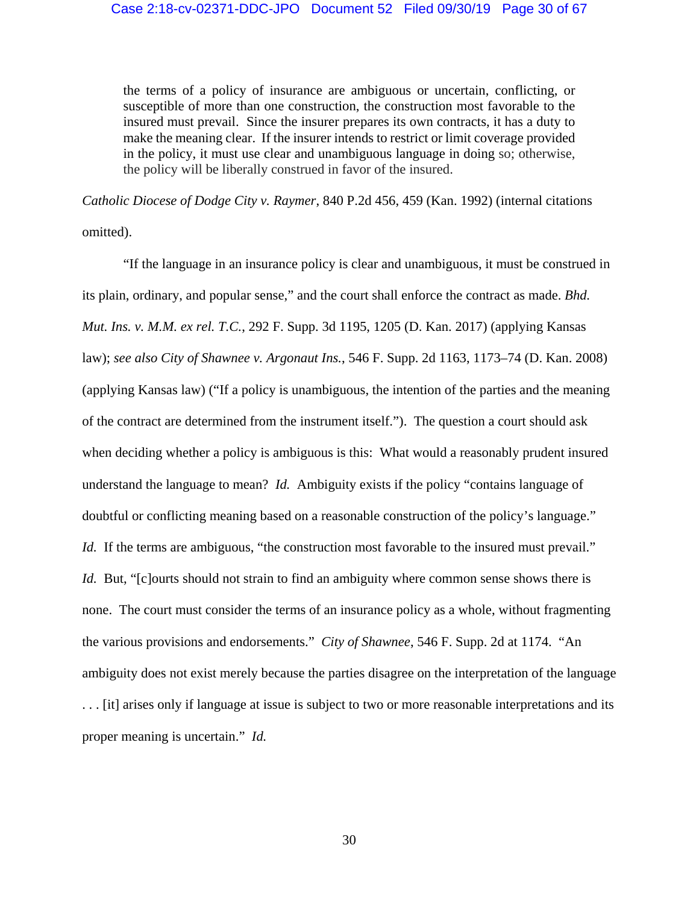the terms of a policy of insurance are ambiguous or uncertain, conflicting, or susceptible of more than one construction, the construction most favorable to the insured must prevail. Since the insurer prepares its own contracts, it has a duty to make the meaning clear. If the insurer intends to restrict or limit coverage provided in the policy, it must use clear and unambiguous language in doing so; otherwise, the policy will be liberally construed in favor of the insured.

*Catholic Diocese of Dodge City v. Raymer*, 840 P.2d 456, 459 (Kan. 1992) (internal citations omitted).

"If the language in an insurance policy is clear and unambiguous, it must be construed in its plain, ordinary, and popular sense," and the court shall enforce the contract as made. *Bhd. Mut. Ins. v. M.M. ex rel. T.C.*, 292 F. Supp. 3d 1195, 1205 (D. Kan. 2017) (applying Kansas law); *see also City of Shawnee v. Argonaut Ins.*, 546 F. Supp. 2d 1163, 1173–74 (D. Kan. 2008) (applying Kansas law) ("If a policy is unambiguous, the intention of the parties and the meaning of the contract are determined from the instrument itself."). The question a court should ask when deciding whether a policy is ambiguous is this: What would a reasonably prudent insured understand the language to mean? *Id.* Ambiguity exists if the policy "contains language of doubtful or conflicting meaning based on a reasonable construction of the policy's language." *Id.* If the terms are ambiguous, "the construction most favorable to the insured must prevail." *Id.* But, "[c]ourts should not strain to find an ambiguity where common sense shows there is none. The court must consider the terms of an insurance policy as a whole, without fragmenting the various provisions and endorsements." *City of Shawnee*, 546 F. Supp. 2d at 1174. "An ambiguity does not exist merely because the parties disagree on the interpretation of the language . . . [it] arises only if language at issue is subject to two or more reasonable interpretations and its proper meaning is uncertain." *Id.*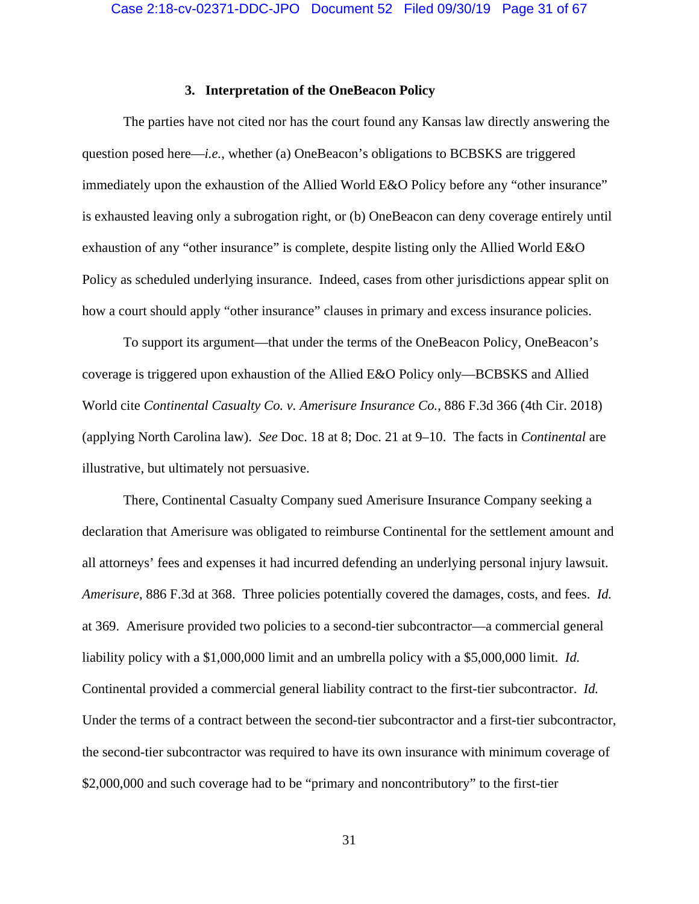#### **3. Interpretation of the OneBeacon Policy**

The parties have not cited nor has the court found any Kansas law directly answering the question posed here—*i.e.*, whether (a) OneBeacon's obligations to BCBSKS are triggered immediately upon the exhaustion of the Allied World E&O Policy before any "other insurance" is exhausted leaving only a subrogation right, or (b) OneBeacon can deny coverage entirely until exhaustion of any "other insurance" is complete, despite listing only the Allied World E&O Policy as scheduled underlying insurance. Indeed, cases from other jurisdictions appear split on how a court should apply "other insurance" clauses in primary and excess insurance policies.

To support its argument—that under the terms of the OneBeacon Policy, OneBeacon's coverage is triggered upon exhaustion of the Allied E&O Policy only—BCBSKS and Allied World cite *Continental Casualty Co. v. Amerisure Insurance Co.*, 886 F.3d 366 (4th Cir. 2018) (applying North Carolina law). *See* Doc. 18 at 8; Doc. 21 at 9–10. The facts in *Continental* are illustrative, but ultimately not persuasive.

There, Continental Casualty Company sued Amerisure Insurance Company seeking a declaration that Amerisure was obligated to reimburse Continental for the settlement amount and all attorneys' fees and expenses it had incurred defending an underlying personal injury lawsuit. *Amerisure*, 886 F.3d at 368. Three policies potentially covered the damages, costs, and fees. *Id.*  at 369. Amerisure provided two policies to a second-tier subcontractor—a commercial general liability policy with a \$1,000,000 limit and an umbrella policy with a \$5,000,000 limit. *Id.* Continental provided a commercial general liability contract to the first-tier subcontractor. *Id.*  Under the terms of a contract between the second-tier subcontractor and a first-tier subcontractor, the second-tier subcontractor was required to have its own insurance with minimum coverage of \$2,000,000 and such coverage had to be "primary and noncontributory" to the first-tier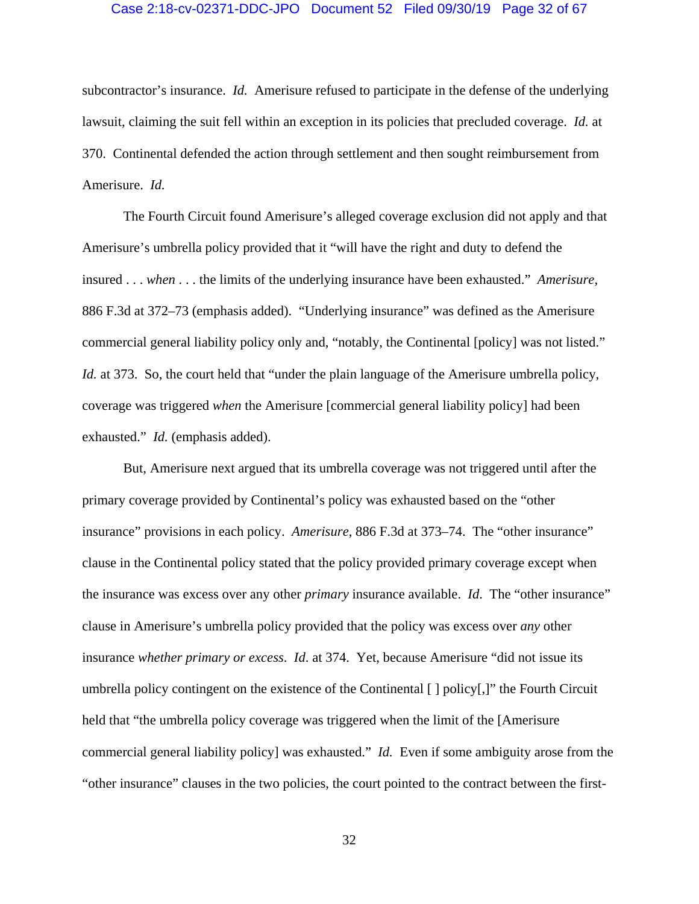#### Case 2:18-cv-02371-DDC-JPO Document 52 Filed 09/30/19 Page 32 of 67

subcontractor's insurance. *Id.* Amerisure refused to participate in the defense of the underlying lawsuit, claiming the suit fell within an exception in its policies that precluded coverage. *Id.* at 370. Continental defended the action through settlement and then sought reimbursement from Amerisure. *Id.* 

The Fourth Circuit found Amerisure's alleged coverage exclusion did not apply and that Amerisure's umbrella policy provided that it "will have the right and duty to defend the insured . . . *when* . . . the limits of the underlying insurance have been exhausted." *Amerisure*, 886 F.3d at 372–73 (emphasis added). "Underlying insurance" was defined as the Amerisure commercial general liability policy only and, "notably, the Continental [policy] was not listed." *Id.* at 373. So, the court held that "under the plain language of the Amerisure umbrella policy, coverage was triggered *when* the Amerisure [commercial general liability policy] had been exhausted." *Id.* (emphasis added).

But, Amerisure next argued that its umbrella coverage was not triggered until after the primary coverage provided by Continental's policy was exhausted based on the "other insurance" provisions in each policy. *Amerisure*, 886 F.3d at 373–74. The "other insurance" clause in the Continental policy stated that the policy provided primary coverage except when the insurance was excess over any other *primary* insurance available. *Id*. The "other insurance" clause in Amerisure's umbrella policy provided that the policy was excess over *any* other insurance *whether primary or excess*. *Id*. at 374. Yet, because Amerisure "did not issue its umbrella policy contingent on the existence of the Continental [ ] policy[,]" the Fourth Circuit held that "the umbrella policy coverage was triggered when the limit of the [Amerisure commercial general liability policy] was exhausted." *Id.* Even if some ambiguity arose from the "other insurance" clauses in the two policies, the court pointed to the contract between the first-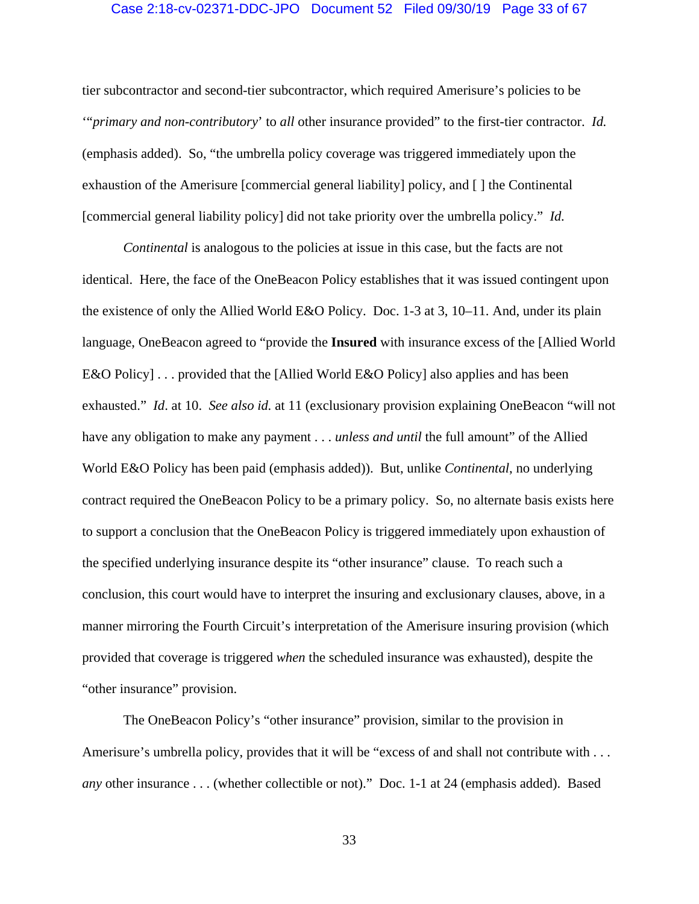## Case 2:18-cv-02371-DDC-JPO Document 52 Filed 09/30/19 Page 33 of 67

tier subcontractor and second-tier subcontractor, which required Amerisure's policies to be '"*primary and non-contributory*' to *all* other insurance provided" to the first-tier contractor. *Id.* (emphasis added). So, "the umbrella policy coverage was triggered immediately upon the exhaustion of the Amerisure [commercial general liability] policy, and [ ] the Continental [commercial general liability policy] did not take priority over the umbrella policy." *Id.* 

*Continental* is analogous to the policies at issue in this case, but the facts are not identical. Here, the face of the OneBeacon Policy establishes that it was issued contingent upon the existence of only the Allied World E&O Policy. Doc. 1-3 at 3, 10–11. And, under its plain language, OneBeacon agreed to "provide the **Insured** with insurance excess of the [Allied World E&O Policy] . . . provided that the [Allied World E&O Policy] also applies and has been exhausted." *Id*. at 10. *See also id.* at 11 (exclusionary provision explaining OneBeacon "will not have any obligation to make any payment . . . *unless and until* the full amount" of the Allied World E&O Policy has been paid (emphasis added)). But, unlike *Continental*, no underlying contract required the OneBeacon Policy to be a primary policy. So, no alternate basis exists here to support a conclusion that the OneBeacon Policy is triggered immediately upon exhaustion of the specified underlying insurance despite its "other insurance" clause. To reach such a conclusion, this court would have to interpret the insuring and exclusionary clauses, above, in a manner mirroring the Fourth Circuit's interpretation of the Amerisure insuring provision (which provided that coverage is triggered *when* the scheduled insurance was exhausted), despite the "other insurance" provision.

The OneBeacon Policy's "other insurance" provision, similar to the provision in Amerisure's umbrella policy, provides that it will be "excess of and shall not contribute with . . . *any* other insurance . . . (whether collectible or not)." Doc. 1-1 at 24 (emphasis added). Based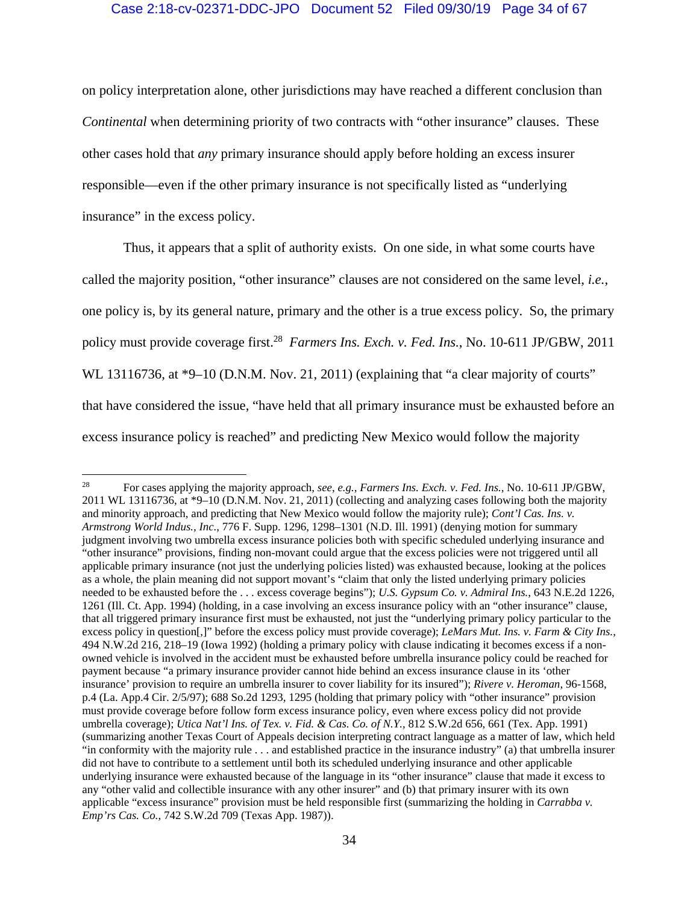# Case 2:18-cv-02371-DDC-JPO Document 52 Filed 09/30/19 Page 34 of 67

on policy interpretation alone, other jurisdictions may have reached a different conclusion than *Continental* when determining priority of two contracts with "other insurance" clauses. These other cases hold that *any* primary insurance should apply before holding an excess insurer responsible—even if the other primary insurance is not specifically listed as "underlying insurance" in the excess policy.

Thus, it appears that a split of authority exists. On one side, in what some courts have called the majority position, "other insurance" clauses are not considered on the same level, *i.e.*, one policy is, by its general nature, primary and the other is a true excess policy. So, the primary policy must provide coverage first.28 *Farmers Ins. Exch. v. Fed. Ins.*, No. 10-611 JP/GBW, 2011 WL 13116736, at \*9–10 (D.N.M. Nov. 21, 2011) (explaining that "a clear majority of courts" that have considered the issue, "have held that all primary insurance must be exhausted before an excess insurance policy is reached" and predicting New Mexico would follow the majority

<sup>28</sup> For cases applying the majority approach, *see*, *e.g.*, *Farmers Ins. Exch. v. Fed. Ins.*, No. 10-611 JP/GBW, 2011 WL 13116736, at \*9–10 (D.N.M. Nov. 21, 2011) (collecting and analyzing cases following both the majority and minority approach, and predicting that New Mexico would follow the majority rule); *Cont'l Cas. Ins. v. Armstrong World Indus., Inc.*, 776 F. Supp. 1296, 1298–1301 (N.D. Ill. 1991) (denying motion for summary judgment involving two umbrella excess insurance policies both with specific scheduled underlying insurance and "other insurance" provisions, finding non-movant could argue that the excess policies were not triggered until all applicable primary insurance (not just the underlying policies listed) was exhausted because, looking at the polices as a whole, the plain meaning did not support movant's "claim that only the listed underlying primary policies needed to be exhausted before the . . . excess coverage begins"); *U.S. Gypsum Co. v. Admiral Ins.*, 643 N.E.2d 1226, 1261 (Ill. Ct. App. 1994) (holding, in a case involving an excess insurance policy with an "other insurance" clause, that all triggered primary insurance first must be exhausted, not just the "underlying primary policy particular to the excess policy in question[,]" before the excess policy must provide coverage); *LeMars Mut. Ins. v. Farm & City Ins.*, 494 N.W.2d 216, 218–19 (Iowa 1992) (holding a primary policy with clause indicating it becomes excess if a nonowned vehicle is involved in the accident must be exhausted before umbrella insurance policy could be reached for payment because "a primary insurance provider cannot hide behind an excess insurance clause in its 'other insurance' provision to require an umbrella insurer to cover liability for its insured"); *Rivere v. Heroman*, 96-1568, p.4 (La. App.4 Cir. 2/5/97); 688 So.2d 1293, 1295 (holding that primary policy with "other insurance" provision must provide coverage before follow form excess insurance policy, even where excess policy did not provide umbrella coverage); *Utica Nat'l Ins. of Tex. v. Fid. & Cas. Co. of N.Y.*, 812 S.W.2d 656, 661 (Tex. App. 1991) (summarizing another Texas Court of Appeals decision interpreting contract language as a matter of law, which held "in conformity with the majority rule . . . and established practice in the insurance industry" (a) that umbrella insurer did not have to contribute to a settlement until both its scheduled underlying insurance and other applicable underlying insurance were exhausted because of the language in its "other insurance" clause that made it excess to any "other valid and collectible insurance with any other insurer" and (b) that primary insurer with its own applicable "excess insurance" provision must be held responsible first (summarizing the holding in *Carrabba v. Emp'rs Cas. Co.*, 742 S.W.2d 709 (Texas App. 1987)).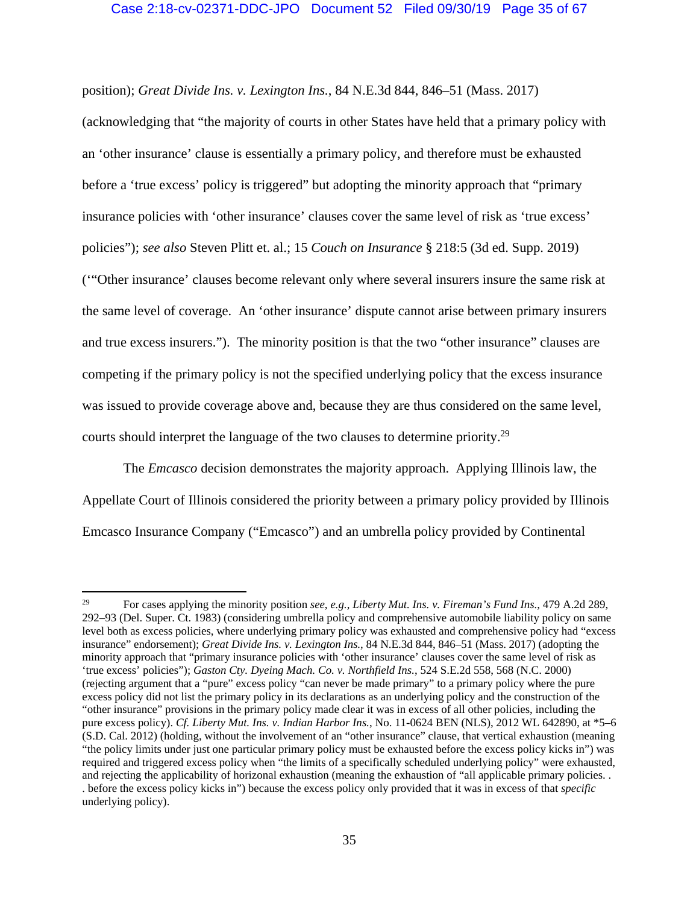# Case 2:18-cv-02371-DDC-JPO Document 52 Filed 09/30/19 Page 35 of 67

position); *Great Divide Ins. v. Lexington Ins.*, 84 N.E.3d 844, 846–51 (Mass. 2017)

(acknowledging that "the majority of courts in other States have held that a primary policy with an 'other insurance' clause is essentially a primary policy, and therefore must be exhausted before a 'true excess' policy is triggered" but adopting the minority approach that "primary insurance policies with 'other insurance' clauses cover the same level of risk as 'true excess' policies"); *see also* Steven Plitt et. al.; 15 *Couch on Insurance* § 218:5 (3d ed. Supp. 2019) ('"Other insurance' clauses become relevant only where several insurers insure the same risk at the same level of coverage. An 'other insurance' dispute cannot arise between primary insurers and true excess insurers."). The minority position is that the two "other insurance" clauses are competing if the primary policy is not the specified underlying policy that the excess insurance was issued to provide coverage above and, because they are thus considered on the same level, courts should interpret the language of the two clauses to determine priority.29

The *Emcasco* decision demonstrates the majority approach. Applying Illinois law, the Appellate Court of Illinois considered the priority between a primary policy provided by Illinois Emcasco Insurance Company ("Emcasco") and an umbrella policy provided by Continental

<sup>29</sup> For cases applying the minority position *see*, *e.g.*, *Liberty Mut. Ins. v. Fireman's Fund Ins.*, 479 A.2d 289, 292–93 (Del. Super. Ct. 1983) (considering umbrella policy and comprehensive automobile liability policy on same level both as excess policies, where underlying primary policy was exhausted and comprehensive policy had "excess insurance" endorsement); *Great Divide Ins. v. Lexington Ins.*, 84 N.E.3d 844, 846–51 (Mass. 2017) (adopting the minority approach that "primary insurance policies with 'other insurance' clauses cover the same level of risk as 'true excess' policies"); *Gaston Cty. Dyeing Mach. Co. v. Northfield Ins.*, 524 S.E.2d 558, 568 (N.C. 2000) (rejecting argument that a "pure" excess policy "can never be made primary" to a primary policy where the pure excess policy did not list the primary policy in its declarations as an underlying policy and the construction of the "other insurance" provisions in the primary policy made clear it was in excess of all other policies, including the pure excess policy). *Cf. Liberty Mut. Ins. v. Indian Harbor Ins.*, No. 11-0624 BEN (NLS), 2012 WL 642890, at \*5–6 (S.D. Cal. 2012) (holding, without the involvement of an "other insurance" clause, that vertical exhaustion (meaning "the policy limits under just one particular primary policy must be exhausted before the excess policy kicks in") was required and triggered excess policy when "the limits of a specifically scheduled underlying policy" were exhausted, and rejecting the applicability of horizonal exhaustion (meaning the exhaustion of "all applicable primary policies. . . before the excess policy kicks in") because the excess policy only provided that it was in excess of that *specific* underlying policy).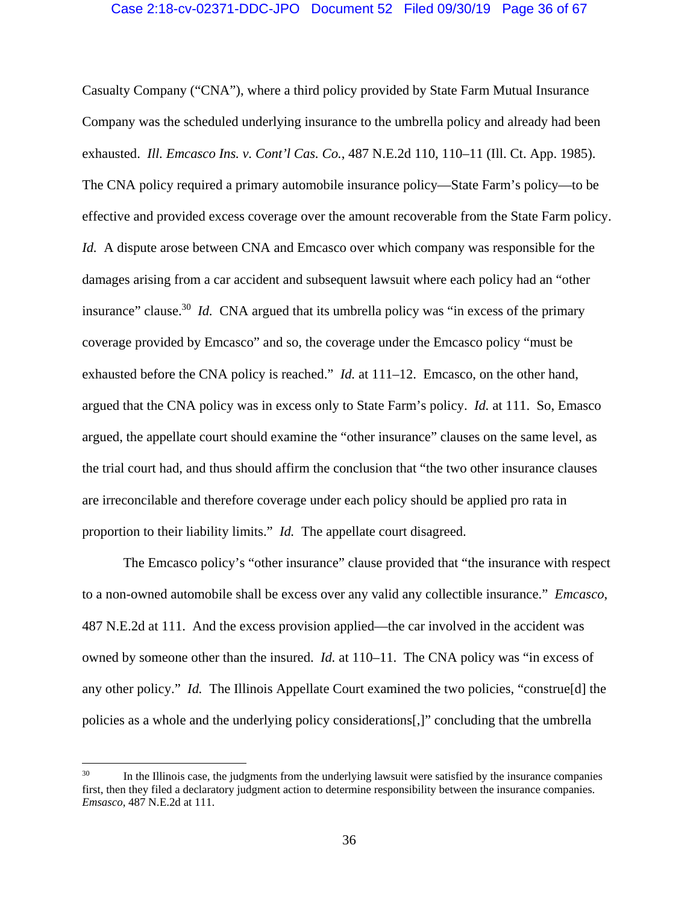#### Case 2:18-cv-02371-DDC-JPO Document 52 Filed 09/30/19 Page 36 of 67

Casualty Company ("CNA"), where a third policy provided by State Farm Mutual Insurance Company was the scheduled underlying insurance to the umbrella policy and already had been exhausted. *Ill. Emcasco Ins. v. Cont'l Cas. Co.*, 487 N.E.2d 110, 110–11 (Ill. Ct. App. 1985). The CNA policy required a primary automobile insurance policy—State Farm's policy—to be effective and provided excess coverage over the amount recoverable from the State Farm policy. *Id.* A dispute arose between CNA and Emcasco over which company was responsible for the damages arising from a car accident and subsequent lawsuit where each policy had an "other insurance" clause.<sup>30</sup> *Id.* CNA argued that its umbrella policy was "in excess of the primary coverage provided by Emcasco" and so, the coverage under the Emcasco policy "must be exhausted before the CNA policy is reached." *Id.* at 111–12. Emcasco, on the other hand, argued that the CNA policy was in excess only to State Farm's policy. *Id.* at 111. So, Emasco argued, the appellate court should examine the "other insurance" clauses on the same level, as the trial court had, and thus should affirm the conclusion that "the two other insurance clauses are irreconcilable and therefore coverage under each policy should be applied pro rata in proportion to their liability limits." *Id.* The appellate court disagreed.

The Emcasco policy's "other insurance" clause provided that "the insurance with respect to a non-owned automobile shall be excess over any valid any collectible insurance." *Emcasco*, 487 N.E.2d at 111. And the excess provision applied—the car involved in the accident was owned by someone other than the insured. *Id.* at 110–11. The CNA policy was "in excess of any other policy." *Id.* The Illinois Appellate Court examined the two policies, "construe[d] the policies as a whole and the underlying policy considerations[,]" concluding that the umbrella

<sup>&</sup>lt;sup>30</sup> In the Illinois case, the judgments from the underlying lawsuit were satisfied by the insurance companies first, then they filed a declaratory judgment action to determine responsibility between the insurance companies. *Emsasco*, 487 N.E.2d at 111.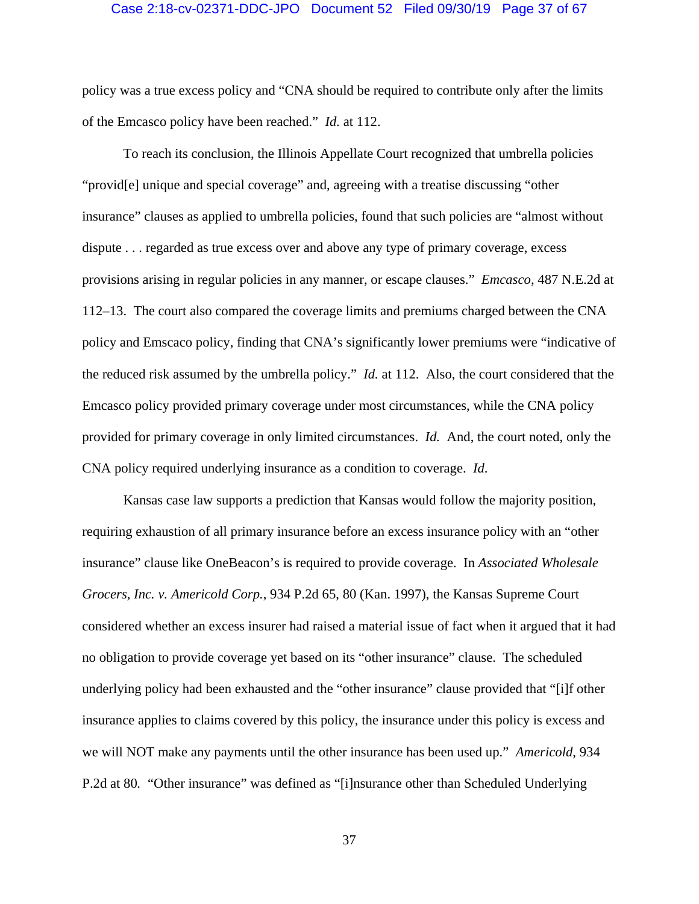#### Case 2:18-cv-02371-DDC-JPO Document 52 Filed 09/30/19 Page 37 of 67

policy was a true excess policy and "CNA should be required to contribute only after the limits of the Emcasco policy have been reached." *Id.* at 112.

To reach its conclusion, the Illinois Appellate Court recognized that umbrella policies "provid[e] unique and special coverage" and, agreeing with a treatise discussing "other insurance" clauses as applied to umbrella policies, found that such policies are "almost without dispute . . . regarded as true excess over and above any type of primary coverage, excess provisions arising in regular policies in any manner, or escape clauses." *Emcasco*, 487 N.E.2d at 112–13. The court also compared the coverage limits and premiums charged between the CNA policy and Emscaco policy, finding that CNA's significantly lower premiums were "indicative of the reduced risk assumed by the umbrella policy." *Id.* at 112. Also, the court considered that the Emcasco policy provided primary coverage under most circumstances, while the CNA policy provided for primary coverage in only limited circumstances. *Id.* And, the court noted, only the CNA policy required underlying insurance as a condition to coverage. *Id*.

Kansas case law supports a prediction that Kansas would follow the majority position, requiring exhaustion of all primary insurance before an excess insurance policy with an "other insurance" clause like OneBeacon's is required to provide coverage. In *Associated Wholesale Grocers, Inc. v. Americold Corp.*, 934 P.2d 65, 80 (Kan. 1997), the Kansas Supreme Court considered whether an excess insurer had raised a material issue of fact when it argued that it had no obligation to provide coverage yet based on its "other insurance" clause. The scheduled underlying policy had been exhausted and the "other insurance" clause provided that "[i]f other insurance applies to claims covered by this policy, the insurance under this policy is excess and we will NOT make any payments until the other insurance has been used up." *Americold*, 934 P.2d at 80. "Other insurance" was defined as "[i]nsurance other than Scheduled Underlying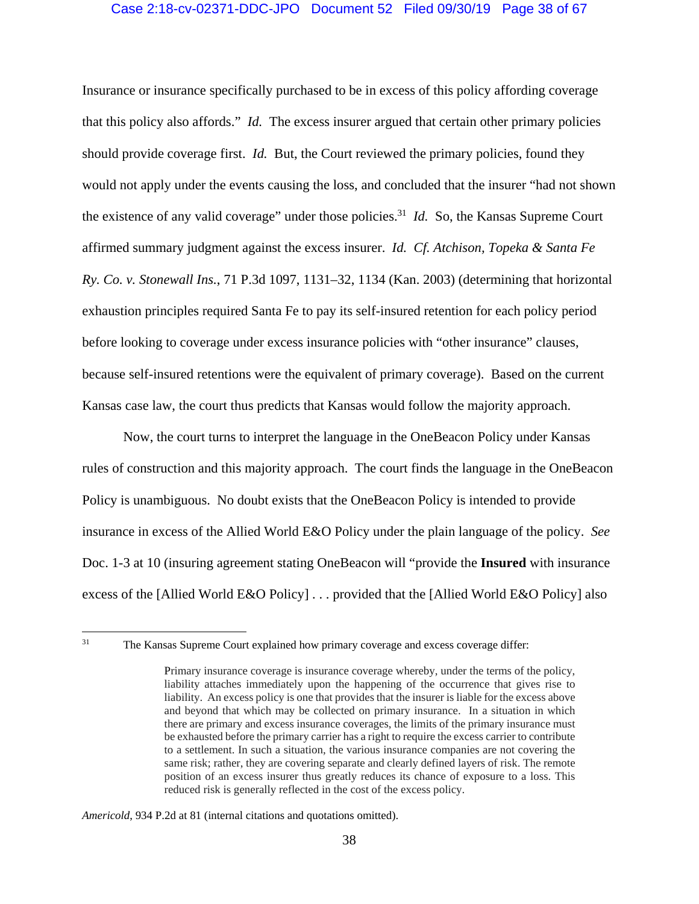# Case 2:18-cv-02371-DDC-JPO Document 52 Filed 09/30/19 Page 38 of 67

Insurance or insurance specifically purchased to be in excess of this policy affording coverage that this policy also affords." *Id.* The excess insurer argued that certain other primary policies should provide coverage first. *Id.* But, the Court reviewed the primary policies, found they would not apply under the events causing the loss, and concluded that the insurer "had not shown the existence of any valid coverage" under those policies.<sup>31</sup> *Id.* So, the Kansas Supreme Court affirmed summary judgment against the excess insurer. *Id. Cf. Atchison, Topeka & Santa Fe Ry. Co. v. Stonewall Ins.*, 71 P.3d 1097, 1131–32, 1134 (Kan. 2003) (determining that horizontal exhaustion principles required Santa Fe to pay its self-insured retention for each policy period before looking to coverage under excess insurance policies with "other insurance" clauses, because self-insured retentions were the equivalent of primary coverage). Based on the current Kansas case law, the court thus predicts that Kansas would follow the majority approach.

Now, the court turns to interpret the language in the OneBeacon Policy under Kansas rules of construction and this majority approach. The court finds the language in the OneBeacon Policy is unambiguous. No doubt exists that the OneBeacon Policy is intended to provide insurance in excess of the Allied World E&O Policy under the plain language of the policy. *See* Doc. 1-3 at 10 (insuring agreement stating OneBeacon will "provide the **Insured** with insurance excess of the [Allied World E&O Policy] . . . provided that the [Allied World E&O Policy] also

#### *Americold*, 934 P.2d at 81 (internal citations and quotations omitted).

<sup>&</sup>lt;sup>31</sup> The Kansas Supreme Court explained how primary coverage and excess coverage differ:

Primary insurance coverage is insurance coverage whereby, under the terms of the policy, liability attaches immediately upon the happening of the occurrence that gives rise to liability. An excess policy is one that provides that the insurer is liable for the excess above and beyond that which may be collected on primary insurance. In a situation in which there are primary and excess insurance coverages, the limits of the primary insurance must be exhausted before the primary carrier has a right to require the excess carrier to contribute to a settlement. In such a situation, the various insurance companies are not covering the same risk; rather, they are covering separate and clearly defined layers of risk. The remote position of an excess insurer thus greatly reduces its chance of exposure to a loss. This reduced risk is generally reflected in the cost of the excess policy.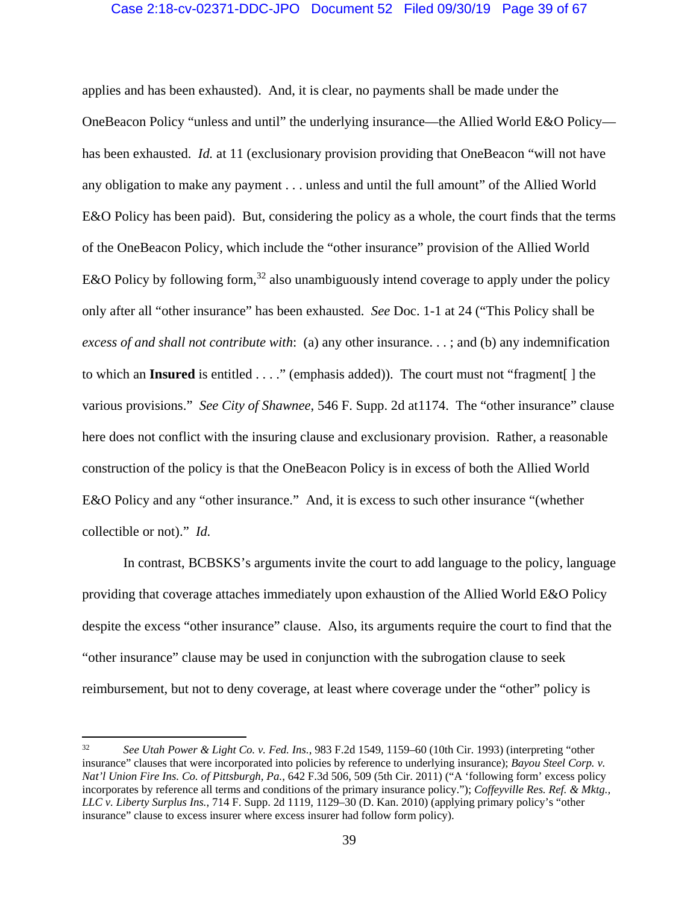# Case 2:18-cv-02371-DDC-JPO Document 52 Filed 09/30/19 Page 39 of 67

applies and has been exhausted). And, it is clear, no payments shall be made under the OneBeacon Policy "unless and until" the underlying insurance—the Allied World E&O Policy has been exhausted. *Id.* at 11 (exclusionary provision providing that OneBeacon "will not have any obligation to make any payment . . . unless and until the full amount" of the Allied World E&O Policy has been paid). But, considering the policy as a whole, the court finds that the terms of the OneBeacon Policy, which include the "other insurance" provision of the Allied World E&O Policy by following form,<sup>32</sup> also unambiguously intend coverage to apply under the policy only after all "other insurance" has been exhausted. *See* Doc. 1-1 at 24 ("This Policy shall be *excess of and shall not contribute with*: (a) any other insurance. . . ; and (b) any indemnification to which an **Insured** is entitled . . . ." (emphasis added)). The court must not "fragment[ ] the various provisions." *See City of Shawnee*, 546 F. Supp. 2d at1174. The "other insurance" clause here does not conflict with the insuring clause and exclusionary provision. Rather, a reasonable construction of the policy is that the OneBeacon Policy is in excess of both the Allied World E&O Policy and any "other insurance." And, it is excess to such other insurance "(whether collectible or not)." *Id.* 

In contrast, BCBSKS's arguments invite the court to add language to the policy, language providing that coverage attaches immediately upon exhaustion of the Allied World E&O Policy despite the excess "other insurance" clause. Also, its arguments require the court to find that the "other insurance" clause may be used in conjunction with the subrogation clause to seek reimbursement, but not to deny coverage, at least where coverage under the "other" policy is

<sup>32</sup> *See Utah Power & Light Co. v. Fed. Ins.*, 983 F.2d 1549, 1159–60 (10th Cir. 1993) (interpreting "other insurance" clauses that were incorporated into policies by reference to underlying insurance); *Bayou Steel Corp. v. Nat'l Union Fire Ins. Co. of Pittsburgh, Pa.*, 642 F.3d 506, 509 (5th Cir. 2011) ("A 'following form' excess policy incorporates by reference all terms and conditions of the primary insurance policy."); *Coffeyville Res. Ref. & Mktg., LLC v. Liberty Surplus Ins.*, 714 F. Supp. 2d 1119, 1129–30 (D. Kan. 2010) (applying primary policy's "other insurance" clause to excess insurer where excess insurer had follow form policy).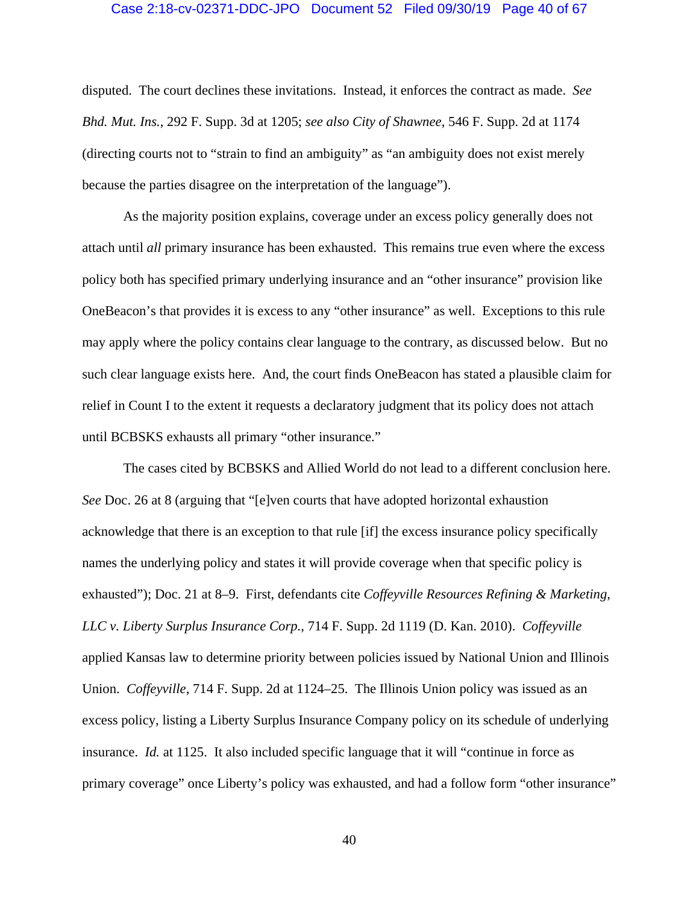#### Case 2:18-cv-02371-DDC-JPO Document 52 Filed 09/30/19 Page 40 of 67

disputed. The court declines these invitations. Instead, it enforces the contract as made. *See Bhd. Mut. Ins.*, 292 F. Supp. 3d at 1205; *see also City of Shawnee*, 546 F. Supp. 2d at 1174 (directing courts not to "strain to find an ambiguity" as "an ambiguity does not exist merely because the parties disagree on the interpretation of the language").

As the majority position explains, coverage under an excess policy generally does not attach until *all* primary insurance has been exhausted. This remains true even where the excess policy both has specified primary underlying insurance and an "other insurance" provision like OneBeacon's that provides it is excess to any "other insurance" as well. Exceptions to this rule may apply where the policy contains clear language to the contrary, as discussed below. But no such clear language exists here. And, the court finds OneBeacon has stated a plausible claim for relief in Count I to the extent it requests a declaratory judgment that its policy does not attach until BCBSKS exhausts all primary "other insurance."

The cases cited by BCBSKS and Allied World do not lead to a different conclusion here. *See* Doc. 26 at 8 (arguing that "[e]ven courts that have adopted horizontal exhaustion acknowledge that there is an exception to that rule [if] the excess insurance policy specifically names the underlying policy and states it will provide coverage when that specific policy is exhausted"); Doc. 21 at 8–9. First, defendants cite *Coffeyville Resources Refining & Marketing, LLC v. Liberty Surplus Insurance Corp.*, 714 F. Supp. 2d 1119 (D. Kan. 2010). *Coffeyville* applied Kansas law to determine priority between policies issued by National Union and Illinois Union. *Coffeyville*, 714 F. Supp. 2d at 1124–25. The Illinois Union policy was issued as an excess policy, listing a Liberty Surplus Insurance Company policy on its schedule of underlying insurance. *Id.* at 1125. It also included specific language that it will "continue in force as primary coverage" once Liberty's policy was exhausted, and had a follow form "other insurance"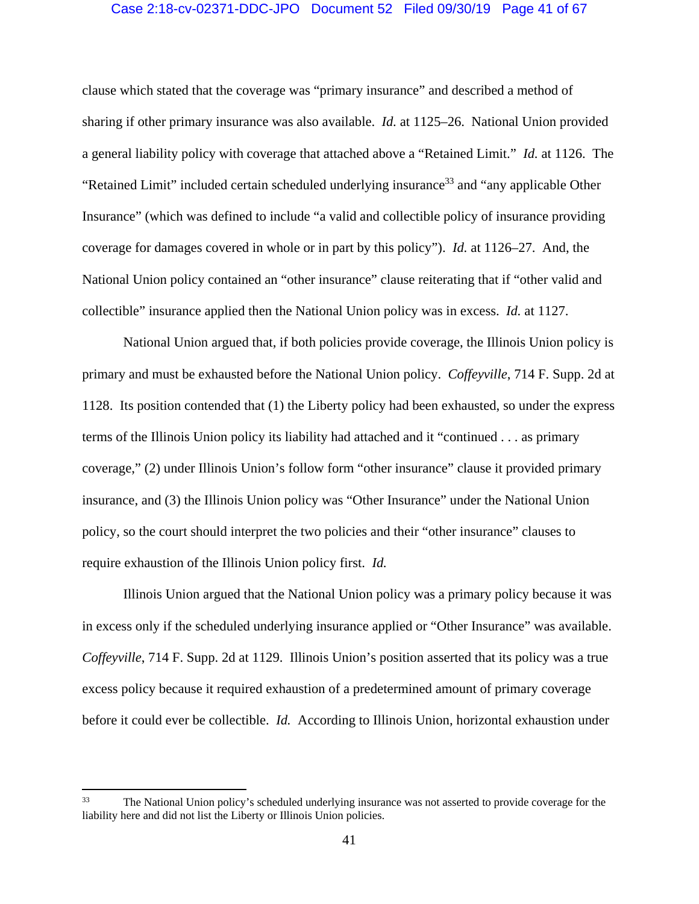#### Case 2:18-cv-02371-DDC-JPO Document 52 Filed 09/30/19 Page 41 of 67

clause which stated that the coverage was "primary insurance" and described a method of sharing if other primary insurance was also available. *Id.* at 1125–26. National Union provided a general liability policy with coverage that attached above a "Retained Limit." *Id.* at 1126. The "Retained Limit" included certain scheduled underlying insurance<sup>33</sup> and "any applicable Other Insurance" (which was defined to include "a valid and collectible policy of insurance providing coverage for damages covered in whole or in part by this policy"). *Id.* at 1126–27. And, the National Union policy contained an "other insurance" clause reiterating that if "other valid and collectible" insurance applied then the National Union policy was in excess. *Id.* at 1127.

National Union argued that, if both policies provide coverage, the Illinois Union policy is primary and must be exhausted before the National Union policy. *Coffeyville*, 714 F. Supp. 2d at 1128. Its position contended that (1) the Liberty policy had been exhausted, so under the express terms of the Illinois Union policy its liability had attached and it "continued . . . as primary coverage," (2) under Illinois Union's follow form "other insurance" clause it provided primary insurance, and (3) the Illinois Union policy was "Other Insurance" under the National Union policy, so the court should interpret the two policies and their "other insurance" clauses to require exhaustion of the Illinois Union policy first. *Id.* 

Illinois Union argued that the National Union policy was a primary policy because it was in excess only if the scheduled underlying insurance applied or "Other Insurance" was available. *Coffeyville*, 714 F. Supp. 2d at 1129. Illinois Union's position asserted that its policy was a true excess policy because it required exhaustion of a predetermined amount of primary coverage before it could ever be collectible. *Id.* According to Illinois Union, horizontal exhaustion under

<sup>&</sup>lt;sup>33</sup> The National Union policy's scheduled underlying insurance was not asserted to provide coverage for the liability here and did not list the Liberty or Illinois Union policies.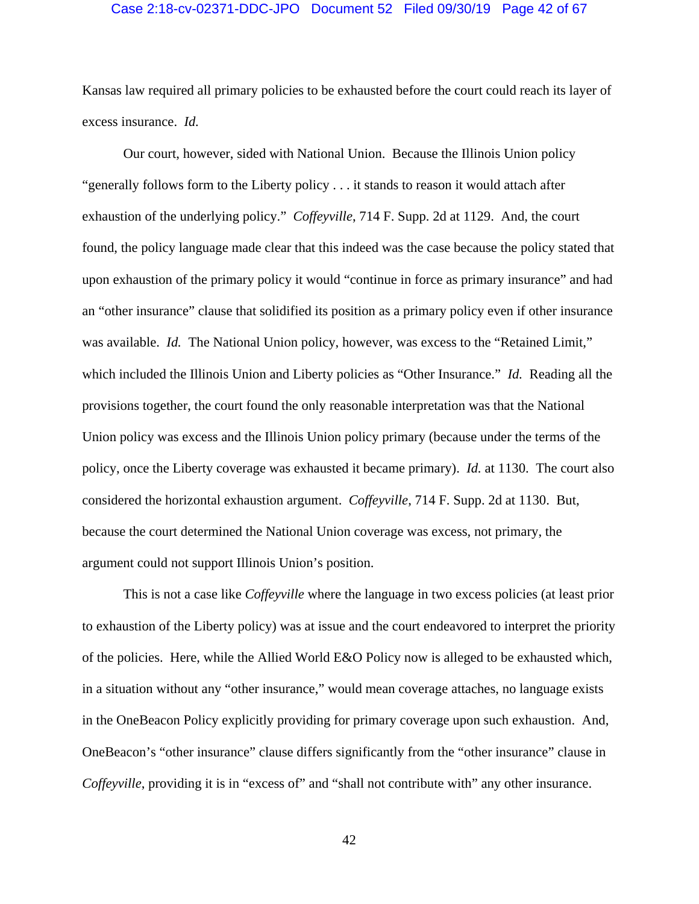#### Case 2:18-cv-02371-DDC-JPO Document 52 Filed 09/30/19 Page 42 of 67

Kansas law required all primary policies to be exhausted before the court could reach its layer of excess insurance. *Id.* 

Our court, however, sided with National Union. Because the Illinois Union policy "generally follows form to the Liberty policy . . . it stands to reason it would attach after exhaustion of the underlying policy." *Coffeyville*, 714 F. Supp. 2d at 1129. And, the court found, the policy language made clear that this indeed was the case because the policy stated that upon exhaustion of the primary policy it would "continue in force as primary insurance" and had an "other insurance" clause that solidified its position as a primary policy even if other insurance was available. *Id.* The National Union policy, however, was excess to the "Retained Limit," which included the Illinois Union and Liberty policies as "Other Insurance." *Id.* Reading all the provisions together, the court found the only reasonable interpretation was that the National Union policy was excess and the Illinois Union policy primary (because under the terms of the policy, once the Liberty coverage was exhausted it became primary). *Id.* at 1130. The court also considered the horizontal exhaustion argument. *Coffeyville*, 714 F. Supp. 2d at 1130. But, because the court determined the National Union coverage was excess, not primary, the argument could not support Illinois Union's position.

This is not a case like *Coffeyville* where the language in two excess policies (at least prior to exhaustion of the Liberty policy) was at issue and the court endeavored to interpret the priority of the policies. Here, while the Allied World E&O Policy now is alleged to be exhausted which, in a situation without any "other insurance," would mean coverage attaches, no language exists in the OneBeacon Policy explicitly providing for primary coverage upon such exhaustion. And, OneBeacon's "other insurance" clause differs significantly from the "other insurance" clause in *Coffeyville*, providing it is in "excess of" and "shall not contribute with" any other insurance.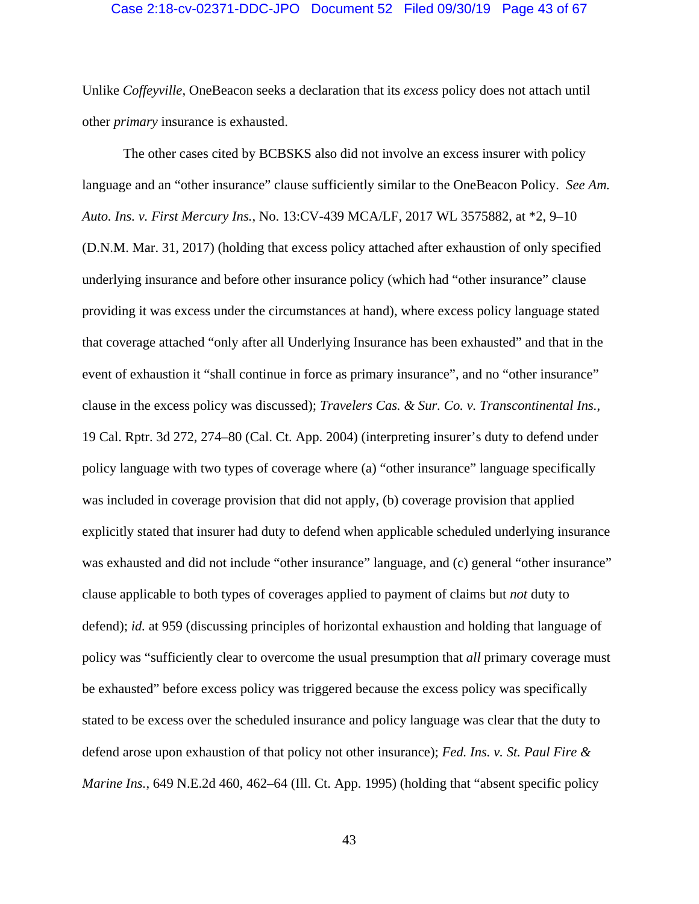#### Case 2:18-cv-02371-DDC-JPO Document 52 Filed 09/30/19 Page 43 of 67

Unlike *Coffeyville*, OneBeacon seeks a declaration that its *excess* policy does not attach until other *primary* insurance is exhausted.

The other cases cited by BCBSKS also did not involve an excess insurer with policy language and an "other insurance" clause sufficiently similar to the OneBeacon Policy. *See Am. Auto. Ins. v. First Mercury Ins.*, No. 13:CV-439 MCA/LF, 2017 WL 3575882, at \*2, 9–10 (D.N.M. Mar. 31, 2017) (holding that excess policy attached after exhaustion of only specified underlying insurance and before other insurance policy (which had "other insurance" clause providing it was excess under the circumstances at hand), where excess policy language stated that coverage attached "only after all Underlying Insurance has been exhausted" and that in the event of exhaustion it "shall continue in force as primary insurance", and no "other insurance" clause in the excess policy was discussed); *Travelers Cas. & Sur. Co. v. Transcontinental Ins.*, 19 Cal. Rptr. 3d 272, 274–80 (Cal. Ct. App. 2004) (interpreting insurer's duty to defend under policy language with two types of coverage where (a) "other insurance" language specifically was included in coverage provision that did not apply, (b) coverage provision that applied explicitly stated that insurer had duty to defend when applicable scheduled underlying insurance was exhausted and did not include "other insurance" language, and (c) general "other insurance" clause applicable to both types of coverages applied to payment of claims but *not* duty to defend); *id.* at 959 (discussing principles of horizontal exhaustion and holding that language of policy was "sufficiently clear to overcome the usual presumption that *all* primary coverage must be exhausted" before excess policy was triggered because the excess policy was specifically stated to be excess over the scheduled insurance and policy language was clear that the duty to defend arose upon exhaustion of that policy not other insurance); *Fed. Ins. v. St. Paul Fire & Marine Ins.*, 649 N.E.2d 460, 462–64 (Ill. Ct. App. 1995) (holding that "absent specific policy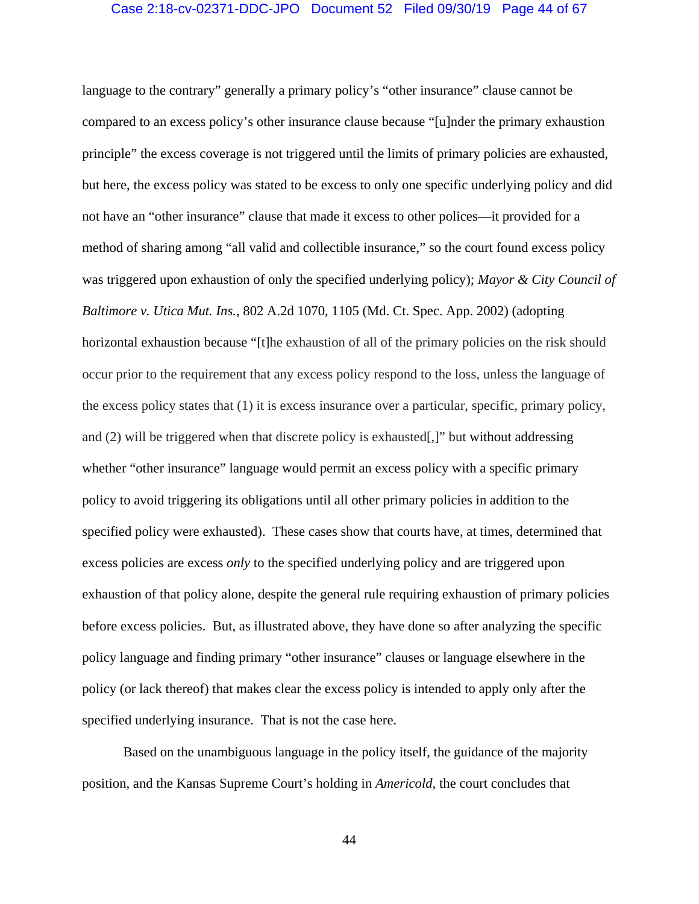# Case 2:18-cv-02371-DDC-JPO Document 52 Filed 09/30/19 Page 44 of 67

language to the contrary" generally a primary policy's "other insurance" clause cannot be compared to an excess policy's other insurance clause because "[u]nder the primary exhaustion principle" the excess coverage is not triggered until the limits of primary policies are exhausted, but here, the excess policy was stated to be excess to only one specific underlying policy and did not have an "other insurance" clause that made it excess to other polices—it provided for a method of sharing among "all valid and collectible insurance," so the court found excess policy was triggered upon exhaustion of only the specified underlying policy); *Mayor & City Council of Baltimore v. Utica Mut. Ins.*, 802 A.2d 1070, 1105 (Md. Ct. Spec. App. 2002) (adopting horizontal exhaustion because "[t]he exhaustion of all of the primary policies on the risk should occur prior to the requirement that any excess policy respond to the loss, unless the language of the excess policy states that (1) it is excess insurance over a particular, specific, primary policy, and (2) will be triggered when that discrete policy is exhausted[,]" but without addressing whether "other insurance" language would permit an excess policy with a specific primary policy to avoid triggering its obligations until all other primary policies in addition to the specified policy were exhausted). These cases show that courts have, at times, determined that excess policies are excess *only* to the specified underlying policy and are triggered upon exhaustion of that policy alone, despite the general rule requiring exhaustion of primary policies before excess policies. But, as illustrated above, they have done so after analyzing the specific policy language and finding primary "other insurance" clauses or language elsewhere in the policy (or lack thereof) that makes clear the excess policy is intended to apply only after the specified underlying insurance. That is not the case here.

Based on the unambiguous language in the policy itself, the guidance of the majority position, and the Kansas Supreme Court's holding in *Americold*, the court concludes that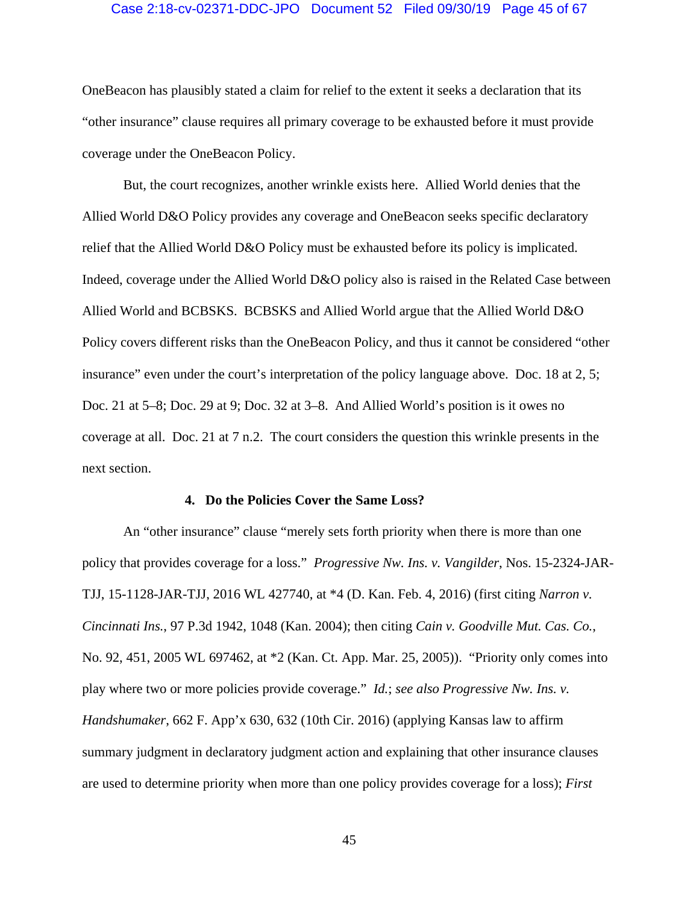#### Case 2:18-cv-02371-DDC-JPO Document 52 Filed 09/30/19 Page 45 of 67

OneBeacon has plausibly stated a claim for relief to the extent it seeks a declaration that its "other insurance" clause requires all primary coverage to be exhausted before it must provide coverage under the OneBeacon Policy.

But, the court recognizes, another wrinkle exists here. Allied World denies that the Allied World D&O Policy provides any coverage and OneBeacon seeks specific declaratory relief that the Allied World D&O Policy must be exhausted before its policy is implicated. Indeed, coverage under the Allied World D&O policy also is raised in the Related Case between Allied World and BCBSKS. BCBSKS and Allied World argue that the Allied World D&O Policy covers different risks than the OneBeacon Policy, and thus it cannot be considered "other insurance" even under the court's interpretation of the policy language above. Doc. 18 at 2, 5; Doc. 21 at 5–8; Doc. 29 at 9; Doc. 32 at 3–8. And Allied World's position is it owes no coverage at all. Doc. 21 at 7 n.2. The court considers the question this wrinkle presents in the next section.

#### **4. Do the Policies Cover the Same Loss?**

An "other insurance" clause "merely sets forth priority when there is more than one policy that provides coverage for a loss." *Progressive Nw. Ins. v. Vangilder*, Nos. 15-2324-JAR-TJJ, 15-1128-JAR-TJJ, 2016 WL 427740, at \*4 (D. Kan. Feb. 4, 2016) (first citing *Narron v. Cincinnati Ins.*, 97 P.3d 1942, 1048 (Kan. 2004); then citing *Cain v. Goodville Mut. Cas. Co.*, No. 92, 451, 2005 WL 697462, at \*2 (Kan. Ct. App. Mar. 25, 2005)). "Priority only comes into play where two or more policies provide coverage." *Id.*; *see also Progressive Nw. Ins. v. Handshumaker*, 662 F. App'x 630, 632 (10th Cir. 2016) (applying Kansas law to affirm summary judgment in declaratory judgment action and explaining that other insurance clauses are used to determine priority when more than one policy provides coverage for a loss); *First*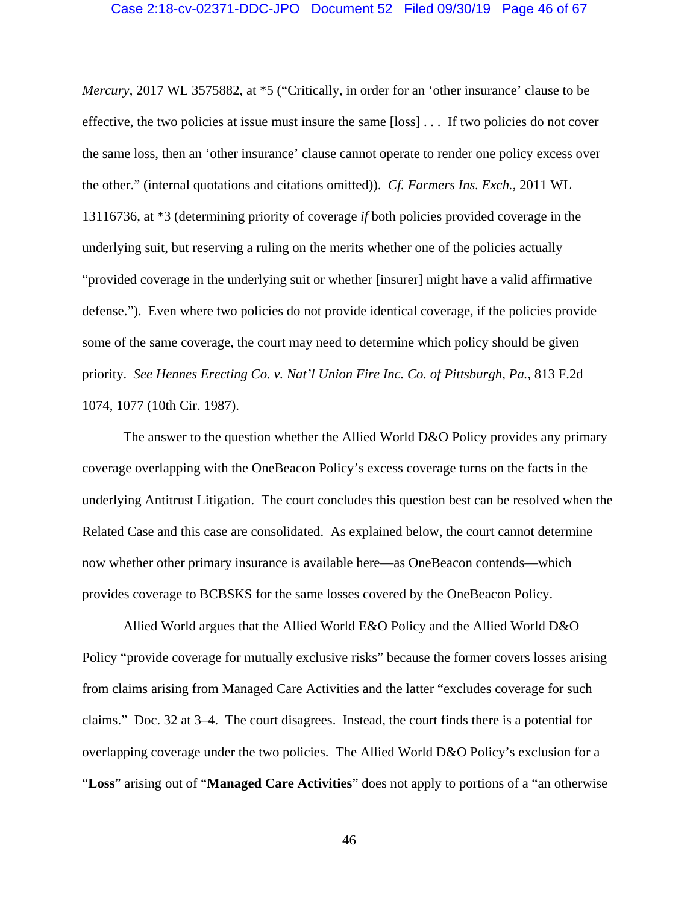## Case 2:18-cv-02371-DDC-JPO Document 52 Filed 09/30/19 Page 46 of 67

*Mercury*, 2017 WL 3575882, at \*5 ("Critically, in order for an 'other insurance' clause to be effective, the two policies at issue must insure the same [loss] . . . If two policies do not cover the same loss, then an 'other insurance' clause cannot operate to render one policy excess over the other." (internal quotations and citations omitted)). *Cf. Farmers Ins. Exch.*, 2011 WL 13116736, at \*3 (determining priority of coverage *if* both policies provided coverage in the underlying suit, but reserving a ruling on the merits whether one of the policies actually "provided coverage in the underlying suit or whether [insurer] might have a valid affirmative defense."). Even where two policies do not provide identical coverage, if the policies provide some of the same coverage, the court may need to determine which policy should be given priority. *See Hennes Erecting Co. v. Nat'l Union Fire Inc. Co. of Pittsburgh, Pa.*, 813 F.2d 1074, 1077 (10th Cir. 1987).

The answer to the question whether the Allied World D&O Policy provides any primary coverage overlapping with the OneBeacon Policy's excess coverage turns on the facts in the underlying Antitrust Litigation. The court concludes this question best can be resolved when the Related Case and this case are consolidated. As explained below, the court cannot determine now whether other primary insurance is available here—as OneBeacon contends—which provides coverage to BCBSKS for the same losses covered by the OneBeacon Policy.

Allied World argues that the Allied World E&O Policy and the Allied World D&O Policy "provide coverage for mutually exclusive risks" because the former covers losses arising from claims arising from Managed Care Activities and the latter "excludes coverage for such claims." Doc. 32 at 3–4. The court disagrees. Instead, the court finds there is a potential for overlapping coverage under the two policies. The Allied World D&O Policy's exclusion for a "**Loss**" arising out of "**Managed Care Activities**" does not apply to portions of a "an otherwise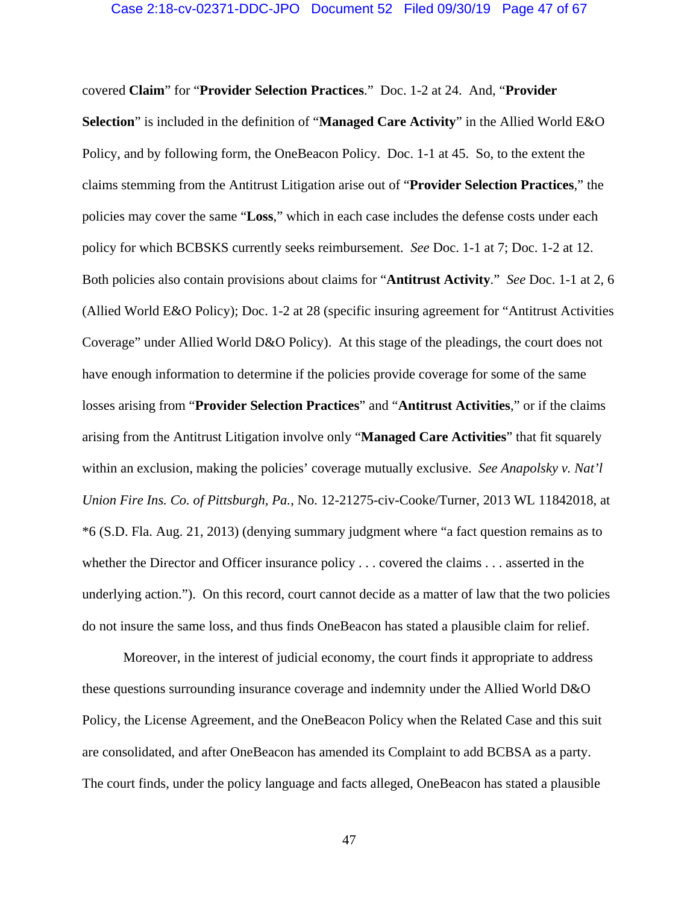### Case 2:18-cv-02371-DDC-JPO Document 52 Filed 09/30/19 Page 47 of 67

covered **Claim**" for "**Provider Selection Practices**." Doc. 1-2 at 24. And, "**Provider Selection**" is included in the definition of "**Managed Care Activity**" in the Allied World E&O Policy, and by following form, the OneBeacon Policy. Doc. 1-1 at 45. So, to the extent the claims stemming from the Antitrust Litigation arise out of "**Provider Selection Practices**," the policies may cover the same "**Loss**," which in each case includes the defense costs under each policy for which BCBSKS currently seeks reimbursement. *See* Doc. 1-1 at 7; Doc. 1-2 at 12. Both policies also contain provisions about claims for "**Antitrust Activity**." *See* Doc. 1-1 at 2, 6 (Allied World E&O Policy); Doc. 1-2 at 28 (specific insuring agreement for "Antitrust Activities Coverage" under Allied World D&O Policy). At this stage of the pleadings, the court does not have enough information to determine if the policies provide coverage for some of the same losses arising from "**Provider Selection Practices**" and "**Antitrust Activities**," or if the claims arising from the Antitrust Litigation involve only "**Managed Care Activities**" that fit squarely within an exclusion, making the policies' coverage mutually exclusive. *See Anapolsky v. Nat'l Union Fire Ins. Co. of Pittsburgh, Pa.*, No. 12-21275-civ-Cooke/Turner, 2013 WL 11842018, at \*6 (S.D. Fla. Aug. 21, 2013) (denying summary judgment where "a fact question remains as to whether the Director and Officer insurance policy . . . covered the claims . . . asserted in the underlying action."). On this record, court cannot decide as a matter of law that the two policies do not insure the same loss, and thus finds OneBeacon has stated a plausible claim for relief.

Moreover, in the interest of judicial economy, the court finds it appropriate to address these questions surrounding insurance coverage and indemnity under the Allied World D&O Policy, the License Agreement, and the OneBeacon Policy when the Related Case and this suit are consolidated, and after OneBeacon has amended its Complaint to add BCBSA as a party. The court finds, under the policy language and facts alleged, OneBeacon has stated a plausible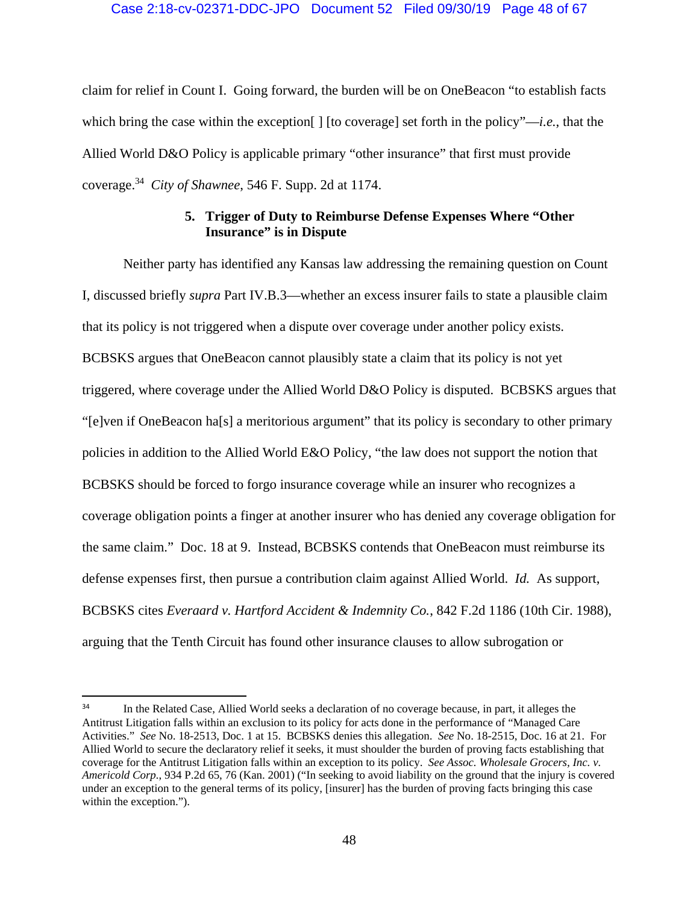# Case 2:18-cv-02371-DDC-JPO Document 52 Filed 09/30/19 Page 48 of 67

claim for relief in Count I. Going forward, the burden will be on OneBeacon "to establish facts which bring the case within the exception[ ] [to coverage] set forth in the policy"—*i.e.*, that the Allied World D&O Policy is applicable primary "other insurance" that first must provide coverage.34 *City of Shawnee*, 546 F. Supp. 2d at 1174.

# **5. Trigger of Duty to Reimburse Defense Expenses Where "Other Insurance" is in Dispute**

Neither party has identified any Kansas law addressing the remaining question on Count I, discussed briefly *supra* Part IV.B.3—whether an excess insurer fails to state a plausible claim that its policy is not triggered when a dispute over coverage under another policy exists. BCBSKS argues that OneBeacon cannot plausibly state a claim that its policy is not yet triggered, where coverage under the Allied World D&O Policy is disputed. BCBSKS argues that "[e]ven if OneBeacon ha[s] a meritorious argument" that its policy is secondary to other primary policies in addition to the Allied World E&O Policy, "the law does not support the notion that BCBSKS should be forced to forgo insurance coverage while an insurer who recognizes a coverage obligation points a finger at another insurer who has denied any coverage obligation for the same claim." Doc. 18 at 9. Instead, BCBSKS contends that OneBeacon must reimburse its defense expenses first, then pursue a contribution claim against Allied World. *Id.* As support, BCBSKS cites *Everaard v. Hartford Accident & Indemnity Co.*, 842 F.2d 1186 (10th Cir. 1988), arguing that the Tenth Circuit has found other insurance clauses to allow subrogation or

<sup>&</sup>lt;sup>34</sup> In the Related Case, Allied World seeks a declaration of no coverage because, in part, it alleges the Antitrust Litigation falls within an exclusion to its policy for acts done in the performance of "Managed Care Activities." *See* No. 18-2513, Doc. 1 at 15. BCBSKS denies this allegation. *See* No. 18-2515, Doc. 16 at 21. For Allied World to secure the declaratory relief it seeks, it must shoulder the burden of proving facts establishing that coverage for the Antitrust Litigation falls within an exception to its policy. *See Assoc. Wholesale Grocers, Inc. v. Americold Corp.*, 934 P.2d 65, 76 (Kan. 2001) ("In seeking to avoid liability on the ground that the injury is covered under an exception to the general terms of its policy, [insurer] has the burden of proving facts bringing this case within the exception.").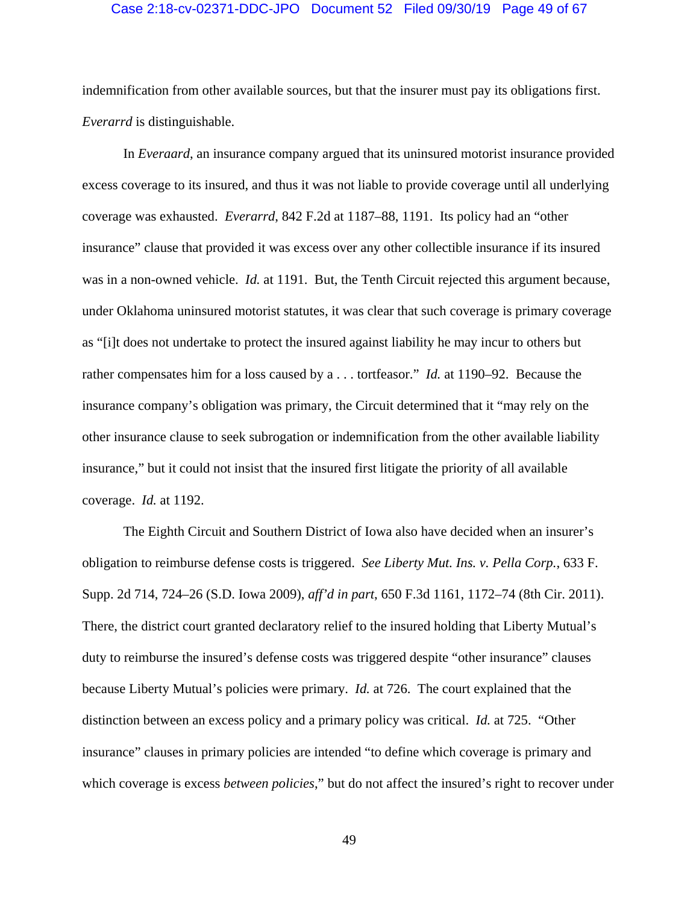#### Case 2:18-cv-02371-DDC-JPO Document 52 Filed 09/30/19 Page 49 of 67

indemnification from other available sources, but that the insurer must pay its obligations first. *Everarrd* is distinguishable.

In *Everaard*, an insurance company argued that its uninsured motorist insurance provided excess coverage to its insured, and thus it was not liable to provide coverage until all underlying coverage was exhausted. *Everarrd*, 842 F.2d at 1187–88, 1191. Its policy had an "other insurance" clause that provided it was excess over any other collectible insurance if its insured was in a non-owned vehicle. *Id.* at 1191. But, the Tenth Circuit rejected this argument because, under Oklahoma uninsured motorist statutes, it was clear that such coverage is primary coverage as "[i]t does not undertake to protect the insured against liability he may incur to others but rather compensates him for a loss caused by a . . . tortfeasor." *Id.* at 1190–92. Because the insurance company's obligation was primary, the Circuit determined that it "may rely on the other insurance clause to seek subrogation or indemnification from the other available liability insurance," but it could not insist that the insured first litigate the priority of all available coverage. *Id.* at 1192.

The Eighth Circuit and Southern District of Iowa also have decided when an insurer's obligation to reimburse defense costs is triggered. *See Liberty Mut. Ins. v. Pella Corp.*, 633 F. Supp. 2d 714, 724–26 (S.D. Iowa 2009), *aff'd in part*, 650 F.3d 1161, 1172–74 (8th Cir. 2011). There, the district court granted declaratory relief to the insured holding that Liberty Mutual's duty to reimburse the insured's defense costs was triggered despite "other insurance" clauses because Liberty Mutual's policies were primary. *Id.* at 726. The court explained that the distinction between an excess policy and a primary policy was critical. *Id.* at 725. "Other insurance" clauses in primary policies are intended "to define which coverage is primary and which coverage is excess *between policies*," but do not affect the insured's right to recover under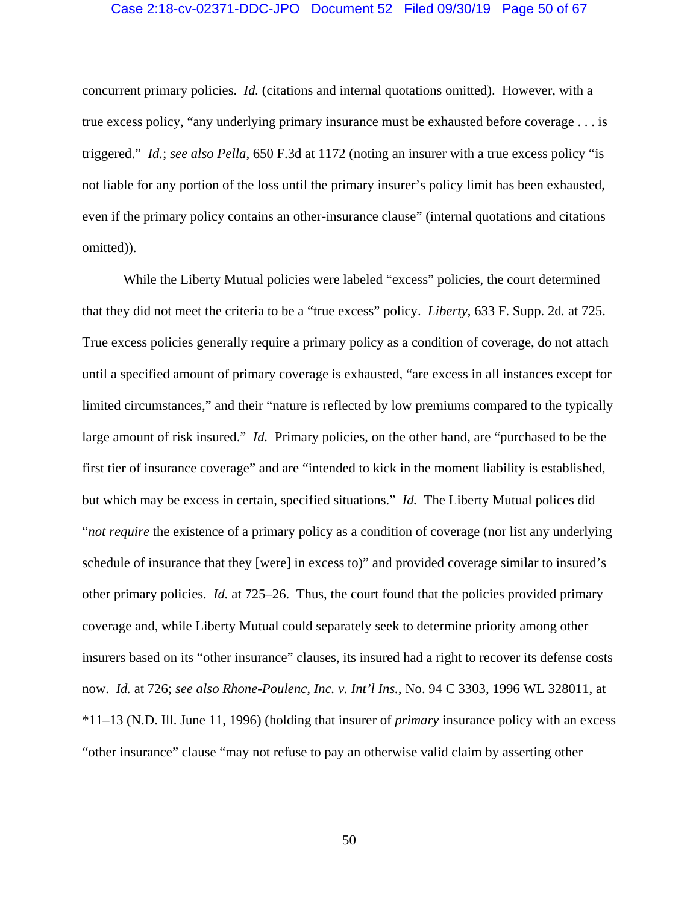#### Case 2:18-cv-02371-DDC-JPO Document 52 Filed 09/30/19 Page 50 of 67

concurrent primary policies. *Id.* (citations and internal quotations omitted). However, with a true excess policy, "any underlying primary insurance must be exhausted before coverage . . . is triggered." *Id.*; *see also Pella*, 650 F.3d at 1172 (noting an insurer with a true excess policy "is not liable for any portion of the loss until the primary insurer's policy limit has been exhausted, even if the primary policy contains an other-insurance clause" (internal quotations and citations omitted)).

While the Liberty Mutual policies were labeled "excess" policies, the court determined that they did not meet the criteria to be a "true excess" policy. *Liberty*, 633 F. Supp. 2d*.* at 725. True excess policies generally require a primary policy as a condition of coverage, do not attach until a specified amount of primary coverage is exhausted, "are excess in all instances except for limited circumstances," and their "nature is reflected by low premiums compared to the typically large amount of risk insured." *Id.* Primary policies, on the other hand, are "purchased to be the first tier of insurance coverage" and are "intended to kick in the moment liability is established, but which may be excess in certain, specified situations." *Id.* The Liberty Mutual polices did "*not require* the existence of a primary policy as a condition of coverage (nor list any underlying schedule of insurance that they [were] in excess to)" and provided coverage similar to insured's other primary policies. *Id.* at 725–26. Thus, the court found that the policies provided primary coverage and, while Liberty Mutual could separately seek to determine priority among other insurers based on its "other insurance" clauses, its insured had a right to recover its defense costs now. *Id.* at 726; *see also Rhone-Poulenc, Inc. v. Int'l Ins.*, No. 94 C 3303, 1996 WL 328011, at \*11–13 (N.D. Ill. June 11, 1996) (holding that insurer of *primary* insurance policy with an excess "other insurance" clause "may not refuse to pay an otherwise valid claim by asserting other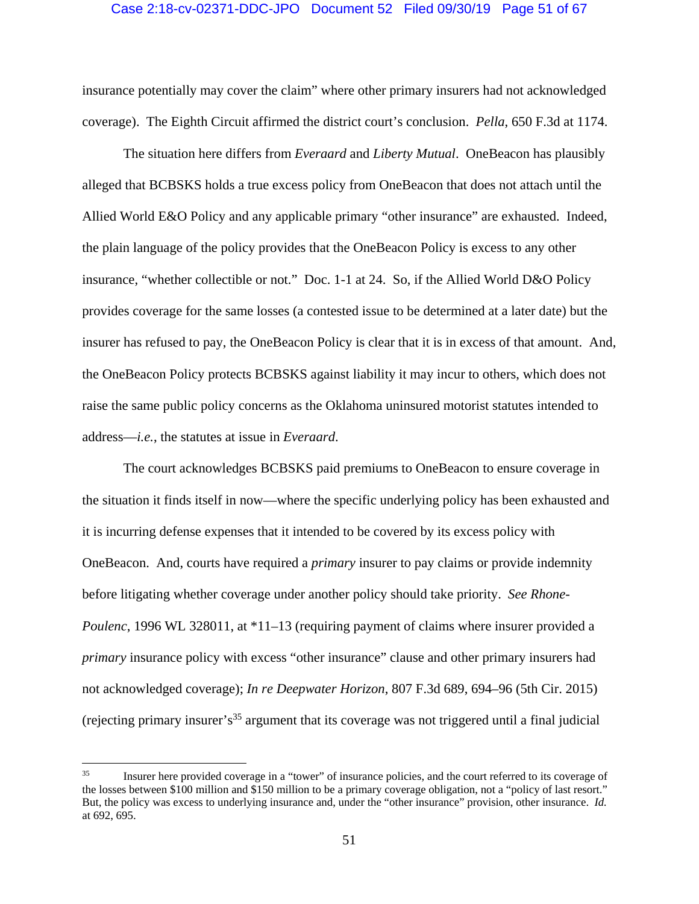#### Case 2:18-cv-02371-DDC-JPO Document 52 Filed 09/30/19 Page 51 of 67

insurance potentially may cover the claim" where other primary insurers had not acknowledged coverage). The Eighth Circuit affirmed the district court's conclusion. *Pella*, 650 F.3d at 1174.

The situation here differs from *Everaard* and *Liberty Mutual*. OneBeacon has plausibly alleged that BCBSKS holds a true excess policy from OneBeacon that does not attach until the Allied World E&O Policy and any applicable primary "other insurance" are exhausted. Indeed, the plain language of the policy provides that the OneBeacon Policy is excess to any other insurance, "whether collectible or not." Doc. 1-1 at 24. So, if the Allied World D&O Policy provides coverage for the same losses (a contested issue to be determined at a later date) but the insurer has refused to pay, the OneBeacon Policy is clear that it is in excess of that amount. And, the OneBeacon Policy protects BCBSKS against liability it may incur to others, which does not raise the same public policy concerns as the Oklahoma uninsured motorist statutes intended to address—*i.e.*, the statutes at issue in *Everaard*.

The court acknowledges BCBSKS paid premiums to OneBeacon to ensure coverage in the situation it finds itself in now—where the specific underlying policy has been exhausted and it is incurring defense expenses that it intended to be covered by its excess policy with OneBeacon. And, courts have required a *primary* insurer to pay claims or provide indemnity before litigating whether coverage under another policy should take priority. *See Rhone-Poulenc*, 1996 WL 328011, at \*11–13 (requiring payment of claims where insurer provided a *primary* insurance policy with excess "other insurance" clause and other primary insurers had not acknowledged coverage); *In re Deepwater Horizon*, 807 F.3d 689, 694–96 (5th Cir. 2015) (rejecting primary insurer's<sup>35</sup> argument that its coverage was not triggered until a final judicial

<sup>35</sup> Insurer here provided coverage in a "tower" of insurance policies, and the court referred to its coverage of the losses between \$100 million and \$150 million to be a primary coverage obligation, not a "policy of last resort." But, the policy was excess to underlying insurance and, under the "other insurance" provision, other insurance. *Id.*  at 692, 695.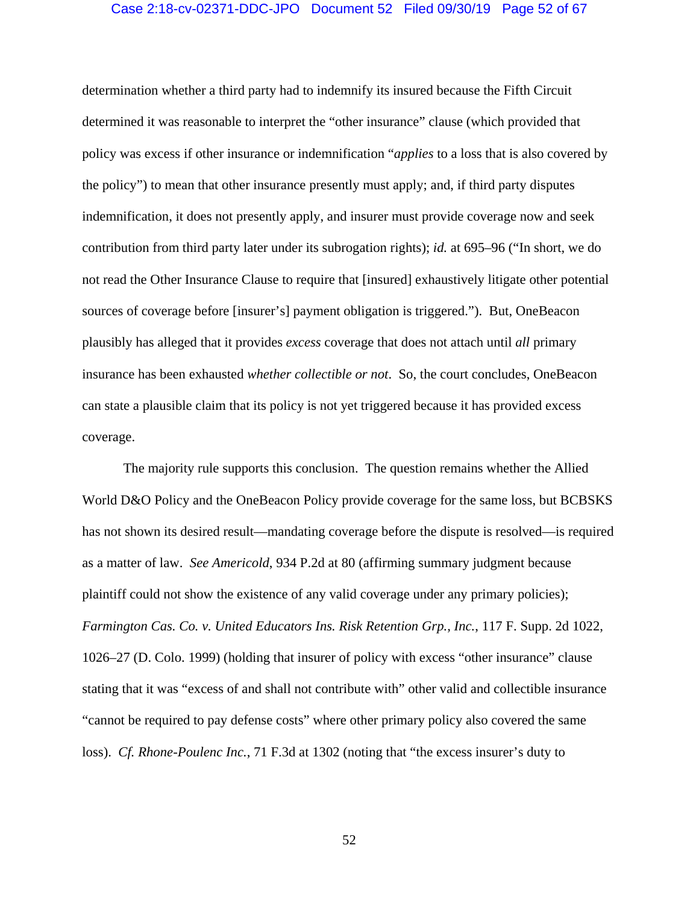# Case 2:18-cv-02371-DDC-JPO Document 52 Filed 09/30/19 Page 52 of 67

determination whether a third party had to indemnify its insured because the Fifth Circuit determined it was reasonable to interpret the "other insurance" clause (which provided that policy was excess if other insurance or indemnification "*applies* to a loss that is also covered by the policy") to mean that other insurance presently must apply; and, if third party disputes indemnification, it does not presently apply, and insurer must provide coverage now and seek contribution from third party later under its subrogation rights); *id.* at 695–96 ("In short, we do not read the Other Insurance Clause to require that [insured] exhaustively litigate other potential sources of coverage before [insurer's] payment obligation is triggered."). But, OneBeacon plausibly has alleged that it provides *excess* coverage that does not attach until *all* primary insurance has been exhausted *whether collectible or not*. So, the court concludes, OneBeacon can state a plausible claim that its policy is not yet triggered because it has provided excess coverage.

The majority rule supports this conclusion. The question remains whether the Allied World D&O Policy and the OneBeacon Policy provide coverage for the same loss, but BCBSKS has not shown its desired result—mandating coverage before the dispute is resolved—is required as a matter of law. *See Americold*, 934 P.2d at 80 (affirming summary judgment because plaintiff could not show the existence of any valid coverage under any primary policies); *Farmington Cas. Co. v. United Educators Ins. Risk Retention Grp., Inc.*, 117 F. Supp. 2d 1022, 1026–27 (D. Colo. 1999) (holding that insurer of policy with excess "other insurance" clause stating that it was "excess of and shall not contribute with" other valid and collectible insurance "cannot be required to pay defense costs" where other primary policy also covered the same loss). *Cf. Rhone-Poulenc Inc.*, 71 F.3d at 1302 (noting that "the excess insurer's duty to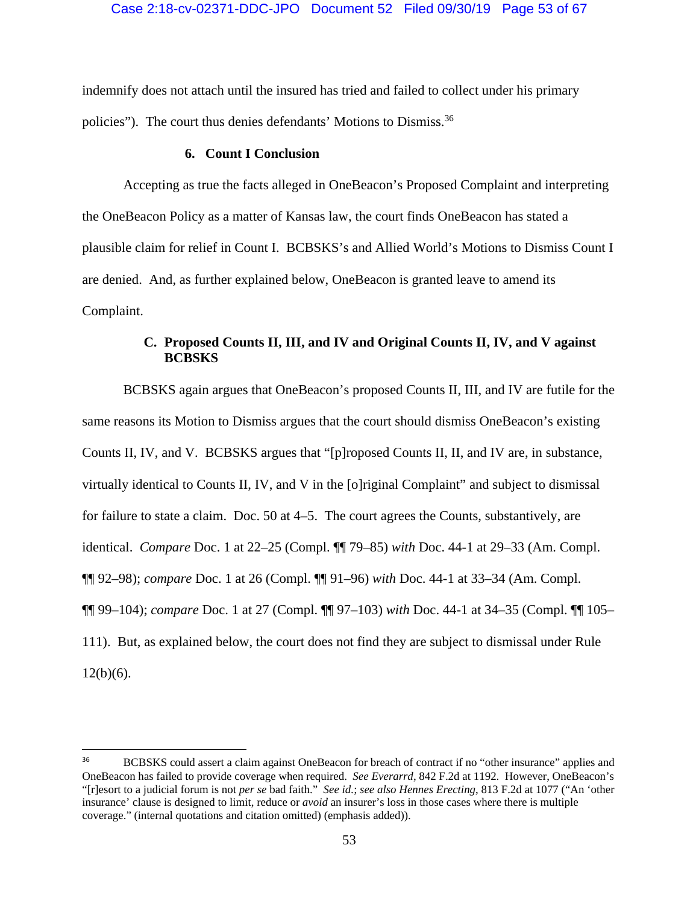indemnify does not attach until the insured has tried and failed to collect under his primary policies"). The court thus denies defendants' Motions to Dismiss.<sup>36</sup>

## **6. Count I Conclusion**

Accepting as true the facts alleged in OneBeacon's Proposed Complaint and interpreting the OneBeacon Policy as a matter of Kansas law, the court finds OneBeacon has stated a plausible claim for relief in Count I. BCBSKS's and Allied World's Motions to Dismiss Count I are denied. And, as further explained below, OneBeacon is granted leave to amend its Complaint.

# **C. Proposed Counts II, III, and IV and Original Counts II, IV, and V against BCBSKS**

BCBSKS again argues that OneBeacon's proposed Counts II, III, and IV are futile for the same reasons its Motion to Dismiss argues that the court should dismiss OneBeacon's existing Counts II, IV, and V. BCBSKS argues that "[p]roposed Counts II, II, and IV are, in substance, virtually identical to Counts II, IV, and V in the [o]riginal Complaint" and subject to dismissal for failure to state a claim. Doc. 50 at 4–5. The court agrees the Counts, substantively, are identical. *Compare* Doc. 1 at 22–25 (Compl. ¶¶ 79–85) *with* Doc. 44-1 at 29–33 (Am. Compl. ¶¶ 92–98); *compare* Doc. 1 at 26 (Compl. ¶¶ 91–96) *with* Doc. 44-1 at 33–34 (Am. Compl. ¶¶ 99–104); *compare* Doc. 1 at 27 (Compl. ¶¶ 97–103) *with* Doc. 44-1 at 34–35 (Compl. ¶¶ 105– 111). But, as explained below, the court does not find they are subject to dismissal under Rule  $12(b)(6)$ .

<sup>&</sup>lt;sup>36</sup> BCBSKS could assert a claim against OneBeacon for breach of contract if no "other insurance" applies and OneBeacon has failed to provide coverage when required. *See Everarrd*, 842 F.2d at 1192. However, OneBeacon's "[r]esort to a judicial forum is not *per se* bad faith." *See id.*; *see also Hennes Erecting*, 813 F.2d at 1077 ("An 'other insurance' clause is designed to limit, reduce or *avoid* an insurer's loss in those cases where there is multiple coverage." (internal quotations and citation omitted) (emphasis added)).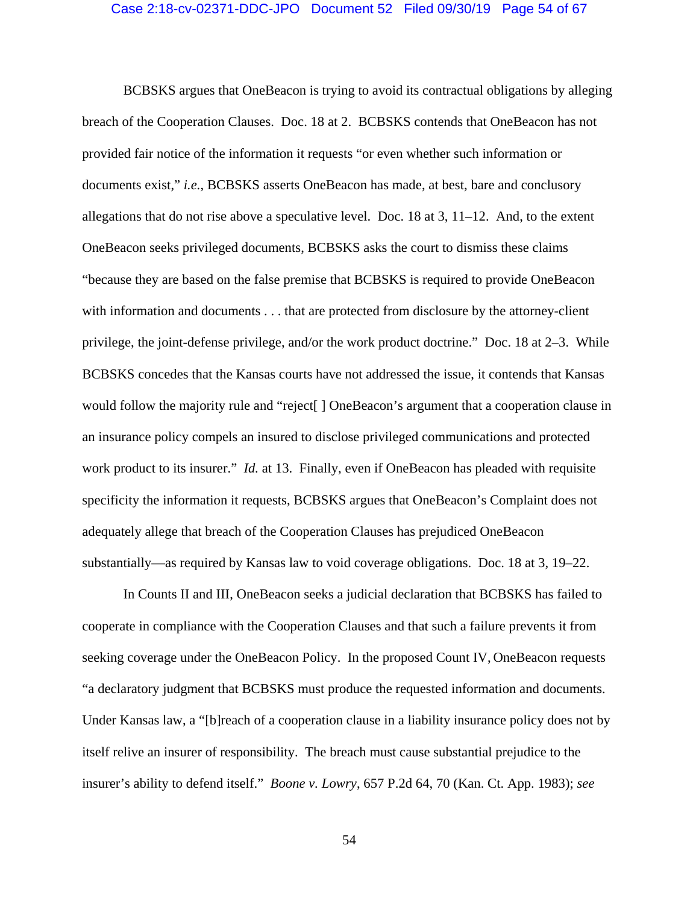#### Case 2:18-cv-02371-DDC-JPO Document 52 Filed 09/30/19 Page 54 of 67

BCBSKS argues that OneBeacon is trying to avoid its contractual obligations by alleging breach of the Cooperation Clauses. Doc. 18 at 2. BCBSKS contends that OneBeacon has not provided fair notice of the information it requests "or even whether such information or documents exist," *i.e.*, BCBSKS asserts OneBeacon has made, at best, bare and conclusory allegations that do not rise above a speculative level. Doc.  $18$  at  $3$ ,  $11-12$ . And, to the extent OneBeacon seeks privileged documents, BCBSKS asks the court to dismiss these claims "because they are based on the false premise that BCBSKS is required to provide OneBeacon with information and documents . . . that are protected from disclosure by the attorney-client privilege, the joint-defense privilege, and/or the work product doctrine." Doc. 18 at 2–3. While BCBSKS concedes that the Kansas courts have not addressed the issue, it contends that Kansas would follow the majority rule and "reject[ ] OneBeacon's argument that a cooperation clause in an insurance policy compels an insured to disclose privileged communications and protected work product to its insurer." *Id.* at 13. Finally, even if OneBeacon has pleaded with requisite specificity the information it requests, BCBSKS argues that OneBeacon's Complaint does not adequately allege that breach of the Cooperation Clauses has prejudiced OneBeacon substantially—as required by Kansas law to void coverage obligations. Doc. 18 at 3, 19–22.

In Counts II and III, OneBeacon seeks a judicial declaration that BCBSKS has failed to cooperate in compliance with the Cooperation Clauses and that such a failure prevents it from seeking coverage under the OneBeacon Policy. In the proposed Count IV, OneBeacon requests "a declaratory judgment that BCBSKS must produce the requested information and documents. Under Kansas law, a "[b]reach of a cooperation clause in a liability insurance policy does not by itself relive an insurer of responsibility. The breach must cause substantial prejudice to the insurer's ability to defend itself." *Boone v. Lowry*, 657 P.2d 64, 70 (Kan. Ct. App. 1983); *see*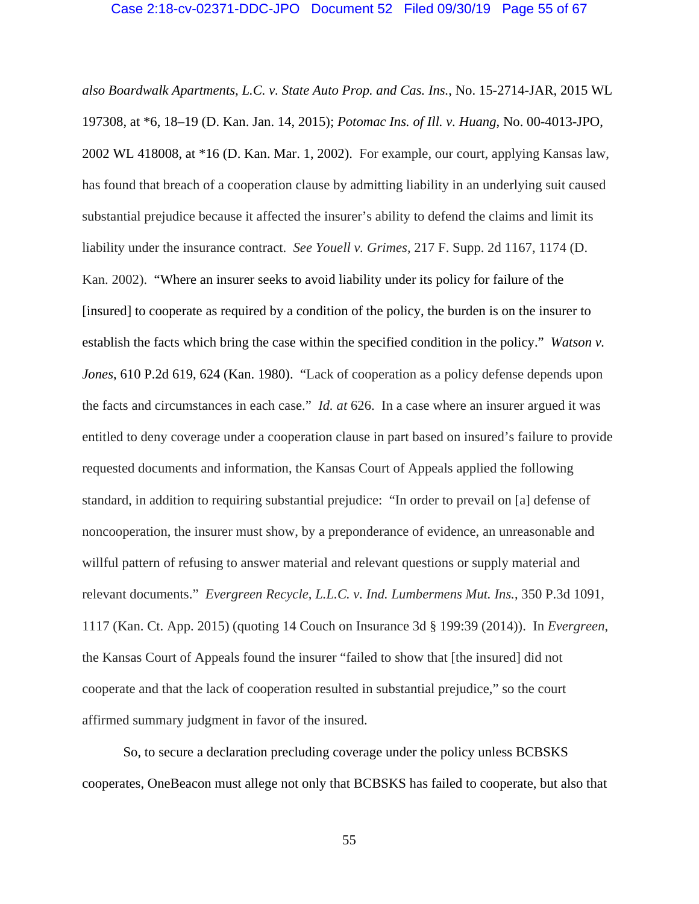#### Case 2:18-cv-02371-DDC-JPO Document 52 Filed 09/30/19 Page 55 of 67

*also Boardwalk Apartments, L.C. v. State Auto Prop. and Cas. Ins.*, No. 15-2714-JAR, 2015 WL 197308, at \*6, 18–19 (D. Kan. Jan. 14, 2015); *Potomac Ins. of Ill. v. Huang*, No. 00-4013-JPO, 2002 WL 418008, at \*16 (D. Kan. Mar. 1, 2002). For example, our court, applying Kansas law, has found that breach of a cooperation clause by admitting liability in an underlying suit caused substantial prejudice because it affected the insurer's ability to defend the claims and limit its liability under the insurance contract. *See Youell v. Grimes*, 217 F. Supp. 2d 1167, 1174 (D. Kan. 2002). "Where an insurer seeks to avoid liability under its policy for failure of the [insured] to cooperate as required by a condition of the policy, the burden is on the insurer to establish the facts which bring the case within the specified condition in the policy." *Watson v. Jones*, 610 P.2d 619, 624 (Kan. 1980). "Lack of cooperation as a policy defense depends upon the facts and circumstances in each case." *Id. at* 626. In a case where an insurer argued it was entitled to deny coverage under a cooperation clause in part based on insured's failure to provide requested documents and information, the Kansas Court of Appeals applied the following standard, in addition to requiring substantial prejudice: "In order to prevail on [a] defense of noncooperation, the insurer must show, by a preponderance of evidence, an unreasonable and willful pattern of refusing to answer material and relevant questions or supply material and relevant documents." *Evergreen Recycle, L.L.C. v. Ind. Lumbermens Mut. Ins.*, 350 P.3d 1091, 1117 (Kan. Ct. App. 2015) (quoting 14 Couch on Insurance 3d § 199:39 (2014)). In *Evergreen*, the Kansas Court of Appeals found the insurer "failed to show that [the insured] did not cooperate and that the lack of cooperation resulted in substantial prejudice," so the court affirmed summary judgment in favor of the insured.

So, to secure a declaration precluding coverage under the policy unless BCBSKS cooperates, OneBeacon must allege not only that BCBSKS has failed to cooperate, but also that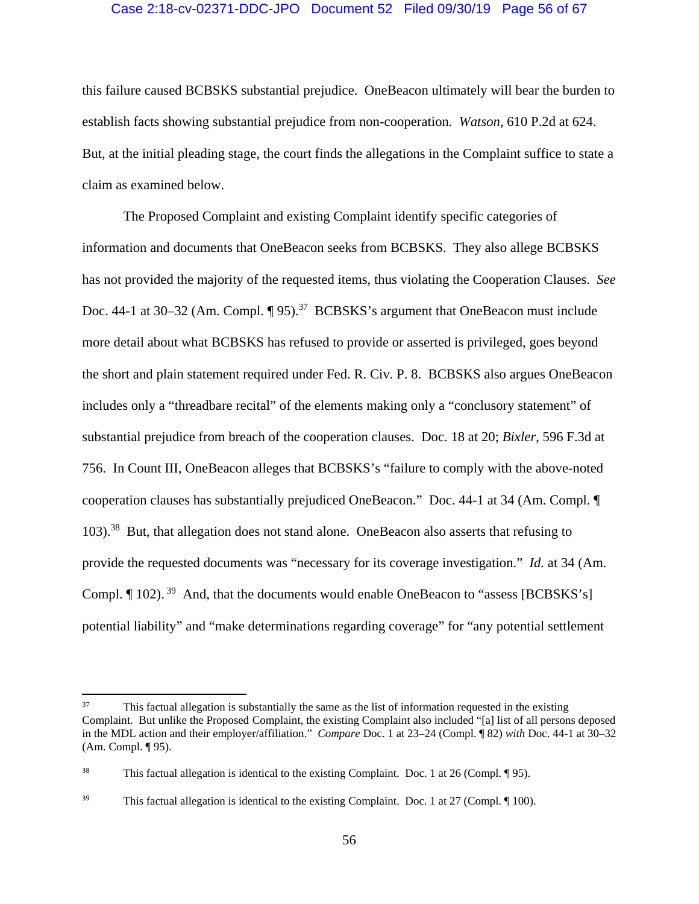# Case 2:18-cv-02371-DDC-JPO Document 52 Filed 09/30/19 Page 56 of 67

this failure caused BCBSKS substantial prejudice. OneBeacon ultimately will bear the burden to establish facts showing substantial prejudice from non-cooperation. *Watson*, 610 P.2d at 624. But, at the initial pleading stage, the court finds the allegations in the Complaint suffice to state a claim as examined below.

The Proposed Complaint and existing Complaint identify specific categories of information and documents that OneBeacon seeks from BCBSKS. They also allege BCBSKS has not provided the majority of the requested items, thus violating the Cooperation Clauses. *See*  Doc. 44-1 at 30–32 (Am. Compl. ¶ 95).<sup>37</sup> BCBSKS's argument that OneBeacon must include more detail about what BCBSKS has refused to provide or asserted is privileged, goes beyond the short and plain statement required under Fed. R. Civ. P. 8. BCBSKS also argues OneBeacon includes only a "threadbare recital" of the elements making only a "conclusory statement" of substantial prejudice from breach of the cooperation clauses. Doc. 18 at 20; *Bixler*, 596 F.3d at 756. In Count III, OneBeacon alleges that BCBSKS's "failure to comply with the above-noted cooperation clauses has substantially prejudiced OneBeacon." Doc. 44-1 at 34 (Am. Compl. ¶ 103).38 But, that allegation does not stand alone. OneBeacon also asserts that refusing to provide the requested documents was "necessary for its coverage investigation." *Id.* at 34 (Am. Compl.  $\P$  102).<sup>39</sup> And, that the documents would enable OneBeacon to "assess [BCBSKS's] potential liability" and "make determinations regarding coverage" for "any potential settlement

<sup>&</sup>lt;sup>37</sup> This factual allegation is substantially the same as the list of information requested in the existing Complaint. But unlike the Proposed Complaint, the existing Complaint also included "[a] list of all persons deposed in the MDL action and their employer/affiliation." *Compare* Doc. 1 at 23–24 (Compl. ¶ 82) *with* Doc. 44-1 at 30–32 (Am. Compl. ¶ 95).

<sup>&</sup>lt;sup>38</sup> This factual allegation is identical to the existing Complaint. Doc. 1 at 26 (Compl. ¶ 95).

<sup>&</sup>lt;sup>39</sup> This factual allegation is identical to the existing Complaint. Doc. 1 at 27 (Compl. ¶ 100).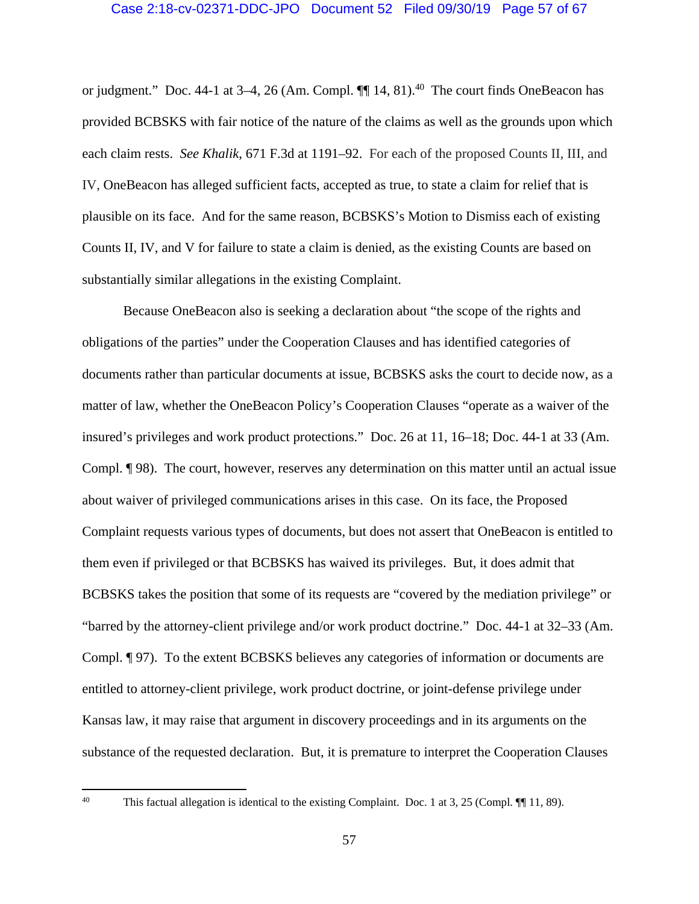# Case 2:18-cv-02371-DDC-JPO Document 52 Filed 09/30/19 Page 57 of 67

or judgment." Doc. 44-1 at 3-4, 26 (Am. Compl.  $\P\P$  14, 81).<sup>40</sup> The court finds OneBeacon has provided BCBSKS with fair notice of the nature of the claims as well as the grounds upon which each claim rests. *See Khalik*, 671 F.3d at 1191–92. For each of the proposed Counts II, III, and IV, OneBeacon has alleged sufficient facts, accepted as true, to state a claim for relief that is plausible on its face. And for the same reason, BCBSKS's Motion to Dismiss each of existing Counts II, IV, and V for failure to state a claim is denied, as the existing Counts are based on substantially similar allegations in the existing Complaint.

Because OneBeacon also is seeking a declaration about "the scope of the rights and obligations of the parties" under the Cooperation Clauses and has identified categories of documents rather than particular documents at issue, BCBSKS asks the court to decide now, as a matter of law, whether the OneBeacon Policy's Cooperation Clauses "operate as a waiver of the insured's privileges and work product protections." Doc. 26 at 11, 16–18; Doc. 44-1 at 33 (Am. Compl. ¶ 98). The court, however, reserves any determination on this matter until an actual issue about waiver of privileged communications arises in this case. On its face, the Proposed Complaint requests various types of documents, but does not assert that OneBeacon is entitled to them even if privileged or that BCBSKS has waived its privileges. But, it does admit that BCBSKS takes the position that some of its requests are "covered by the mediation privilege" or "barred by the attorney-client privilege and/or work product doctrine." Doc. 44-1 at 32–33 (Am. Compl. ¶ 97). To the extent BCBSKS believes any categories of information or documents are entitled to attorney-client privilege, work product doctrine, or joint-defense privilege under Kansas law, it may raise that argument in discovery proceedings and in its arguments on the substance of the requested declaration. But, it is premature to interpret the Cooperation Clauses

<sup>&</sup>lt;sup>40</sup> This factual allegation is identical to the existing Complaint. Doc. 1 at 3, 25 (Compl. ¶ 11, 89).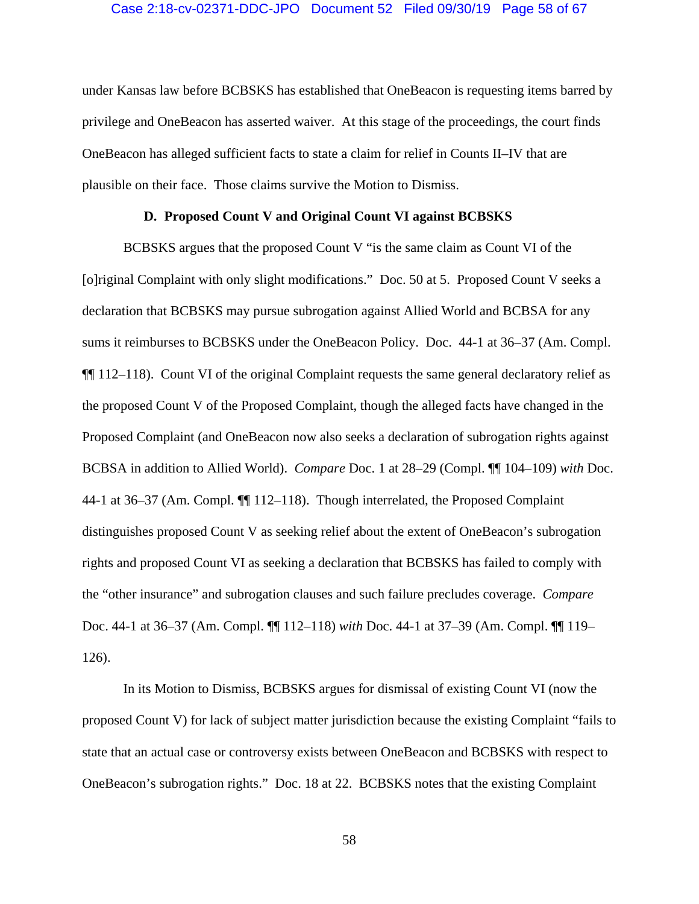#### Case 2:18-cv-02371-DDC-JPO Document 52 Filed 09/30/19 Page 58 of 67

under Kansas law before BCBSKS has established that OneBeacon is requesting items barred by privilege and OneBeacon has asserted waiver. At this stage of the proceedings, the court finds OneBeacon has alleged sufficient facts to state a claim for relief in Counts II–IV that are plausible on their face. Those claims survive the Motion to Dismiss.

#### **D. Proposed Count V and Original Count VI against BCBSKS**

BCBSKS argues that the proposed Count V "is the same claim as Count VI of the [o]riginal Complaint with only slight modifications." Doc. 50 at 5. Proposed Count V seeks a declaration that BCBSKS may pursue subrogation against Allied World and BCBSA for any sums it reimburses to BCBSKS under the OneBeacon Policy. Doc. 44-1 at 36–37 (Am. Compl. ¶¶ 112–118). Count VI of the original Complaint requests the same general declaratory relief as the proposed Count V of the Proposed Complaint, though the alleged facts have changed in the Proposed Complaint (and OneBeacon now also seeks a declaration of subrogation rights against BCBSA in addition to Allied World). *Compare* Doc. 1 at 28–29 (Compl. ¶¶ 104–109) *with* Doc. 44-1 at 36–37 (Am. Compl. ¶¶ 112–118). Though interrelated, the Proposed Complaint distinguishes proposed Count V as seeking relief about the extent of OneBeacon's subrogation rights and proposed Count VI as seeking a declaration that BCBSKS has failed to comply with the "other insurance" and subrogation clauses and such failure precludes coverage. *Compare* Doc. 44-1 at 36–37 (Am. Compl. ¶¶ 112–118) *with* Doc. 44-1 at 37–39 (Am. Compl. ¶¶ 119– 126).

In its Motion to Dismiss, BCBSKS argues for dismissal of existing Count VI (now the proposed Count V) for lack of subject matter jurisdiction because the existing Complaint "fails to state that an actual case or controversy exists between OneBeacon and BCBSKS with respect to OneBeacon's subrogation rights." Doc. 18 at 22. BCBSKS notes that the existing Complaint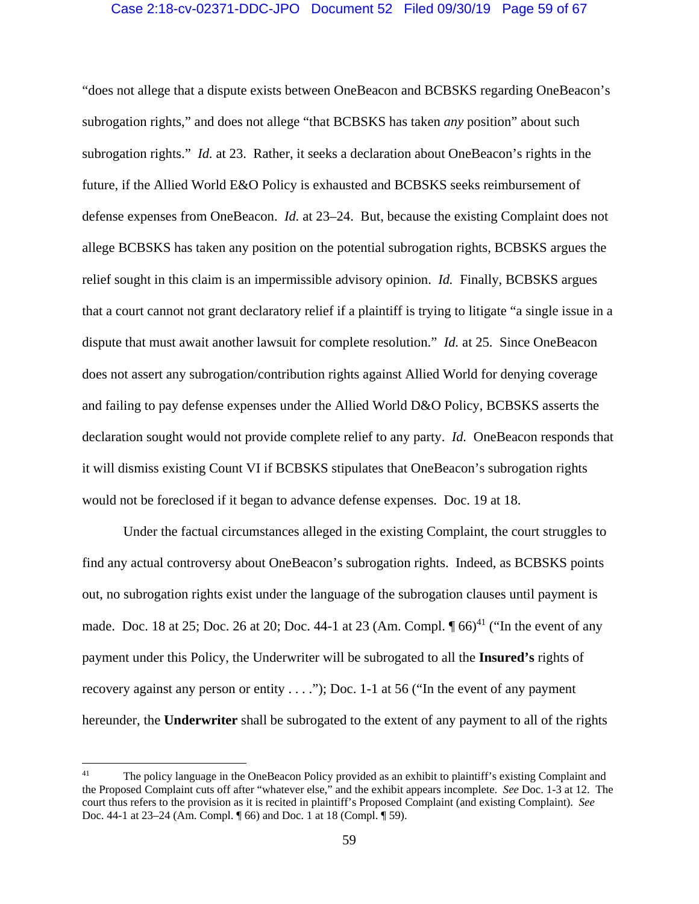## Case 2:18-cv-02371-DDC-JPO Document 52 Filed 09/30/19 Page 59 of 67

"does not allege that a dispute exists between OneBeacon and BCBSKS regarding OneBeacon's subrogation rights," and does not allege "that BCBSKS has taken *any* position" about such subrogation rights." *Id.* at 23. Rather, it seeks a declaration about OneBeacon's rights in the future, if the Allied World E&O Policy is exhausted and BCBSKS seeks reimbursement of defense expenses from OneBeacon. *Id.* at 23–24. But, because the existing Complaint does not allege BCBSKS has taken any position on the potential subrogation rights, BCBSKS argues the relief sought in this claim is an impermissible advisory opinion. *Id.* Finally, BCBSKS argues that a court cannot not grant declaratory relief if a plaintiff is trying to litigate "a single issue in a dispute that must await another lawsuit for complete resolution." *Id.* at 25. Since OneBeacon does not assert any subrogation/contribution rights against Allied World for denying coverage and failing to pay defense expenses under the Allied World D&O Policy, BCBSKS asserts the declaration sought would not provide complete relief to any party. *Id.* OneBeacon responds that it will dismiss existing Count VI if BCBSKS stipulates that OneBeacon's subrogation rights would not be foreclosed if it began to advance defense expenses. Doc. 19 at 18.

Under the factual circumstances alleged in the existing Complaint, the court struggles to find any actual controversy about OneBeacon's subrogation rights. Indeed, as BCBSKS points out, no subrogation rights exist under the language of the subrogation clauses until payment is made. Doc. 18 at 25; Doc. 26 at 20; Doc. 44-1 at 23 (Am. Compl.  $\P$  66)<sup>41</sup> ("In the event of any payment under this Policy, the Underwriter will be subrogated to all the **Insured's** rights of recovery against any person or entity . . . ."); Doc. 1-1 at 56 ("In the event of any payment hereunder, the **Underwriter** shall be subrogated to the extent of any payment to all of the rights

<sup>&</sup>lt;sup>41</sup> The policy language in the OneBeacon Policy provided as an exhibit to plaintiff's existing Complaint and the Proposed Complaint cuts off after "whatever else," and the exhibit appears incomplete. *See* Doc. 1-3 at 12. The court thus refers to the provision as it is recited in plaintiff's Proposed Complaint (and existing Complaint). *See* Doc. 44-1 at 23–24 (Am. Compl. ¶ 66) and Doc. 1 at 18 (Compl. ¶ 59).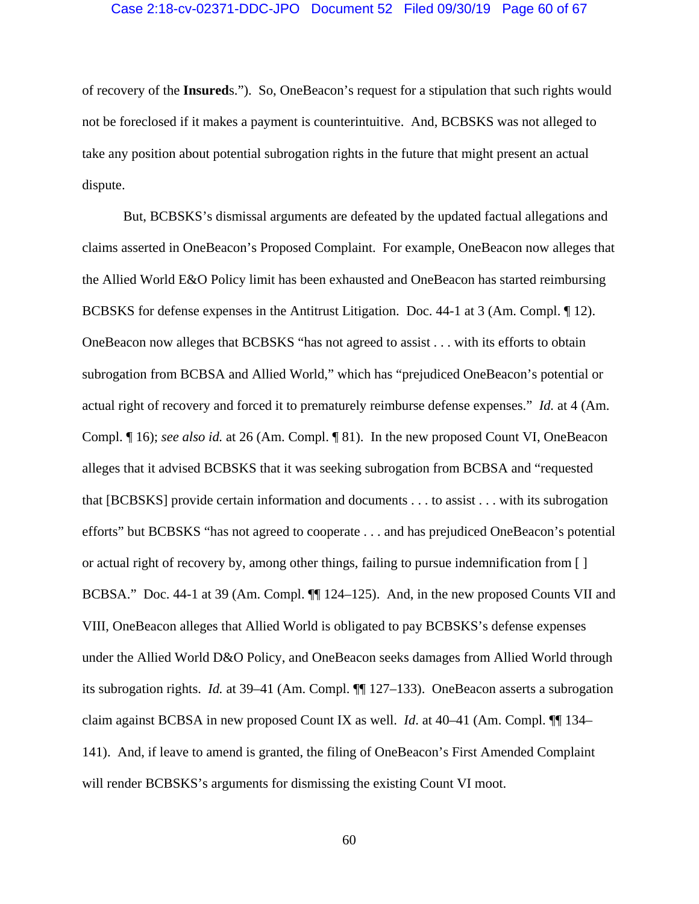#### Case 2:18-cv-02371-DDC-JPO Document 52 Filed 09/30/19 Page 60 of 67

of recovery of the **Insured**s."). So, OneBeacon's request for a stipulation that such rights would not be foreclosed if it makes a payment is counterintuitive. And, BCBSKS was not alleged to take any position about potential subrogation rights in the future that might present an actual dispute.

But, BCBSKS's dismissal arguments are defeated by the updated factual allegations and claims asserted in OneBeacon's Proposed Complaint. For example, OneBeacon now alleges that the Allied World E&O Policy limit has been exhausted and OneBeacon has started reimbursing BCBSKS for defense expenses in the Antitrust Litigation. Doc. 44-1 at 3 (Am. Compl. ¶ 12). OneBeacon now alleges that BCBSKS "has not agreed to assist . . . with its efforts to obtain subrogation from BCBSA and Allied World," which has "prejudiced OneBeacon's potential or actual right of recovery and forced it to prematurely reimburse defense expenses." *Id.* at 4 (Am. Compl. ¶ 16); *see also id.* at 26 (Am. Compl. ¶ 81). In the new proposed Count VI, OneBeacon alleges that it advised BCBSKS that it was seeking subrogation from BCBSA and "requested that [BCBSKS] provide certain information and documents . . . to assist . . . with its subrogation efforts" but BCBSKS "has not agreed to cooperate . . . and has prejudiced OneBeacon's potential or actual right of recovery by, among other things, failing to pursue indemnification from [ ] BCBSA." Doc. 44-1 at 39 (Am. Compl.  $\P$  124–125). And, in the new proposed Counts VII and VIII, OneBeacon alleges that Allied World is obligated to pay BCBSKS's defense expenses under the Allied World D&O Policy, and OneBeacon seeks damages from Allied World through its subrogation rights. *Id.* at 39–41 (Am. Compl. ¶¶ 127–133). OneBeacon asserts a subrogation claim against BCBSA in new proposed Count IX as well. *Id*. at 40–41 (Am. Compl. ¶¶ 134– 141). And, if leave to amend is granted, the filing of OneBeacon's First Amended Complaint will render BCBSKS's arguments for dismissing the existing Count VI moot.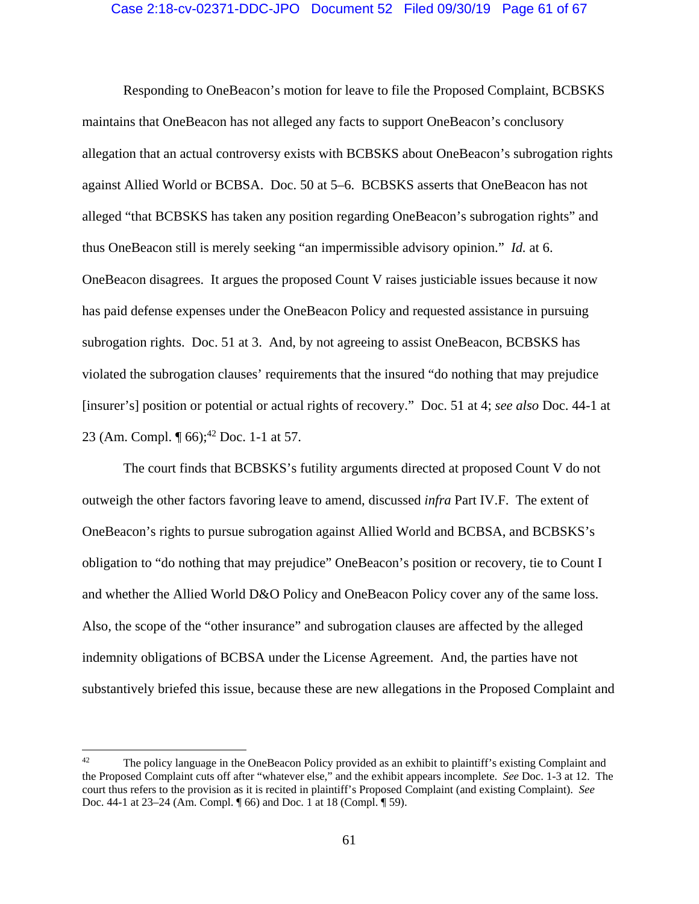#### Case 2:18-cv-02371-DDC-JPO Document 52 Filed 09/30/19 Page 61 of 67

Responding to OneBeacon's motion for leave to file the Proposed Complaint, BCBSKS maintains that OneBeacon has not alleged any facts to support OneBeacon's conclusory allegation that an actual controversy exists with BCBSKS about OneBeacon's subrogation rights against Allied World or BCBSA. Doc. 50 at 5–6. BCBSKS asserts that OneBeacon has not alleged "that BCBSKS has taken any position regarding OneBeacon's subrogation rights" and thus OneBeacon still is merely seeking "an impermissible advisory opinion." *Id.* at 6. OneBeacon disagrees. It argues the proposed Count V raises justiciable issues because it now has paid defense expenses under the OneBeacon Policy and requested assistance in pursuing subrogation rights. Doc. 51 at 3. And, by not agreeing to assist OneBeacon, BCBSKS has violated the subrogation clauses' requirements that the insured "do nothing that may prejudice [insurer's] position or potential or actual rights of recovery." Doc. 51 at 4; *see also* Doc. 44-1 at 23 (Am. Compl.  $\P$  66);<sup>42</sup> Doc. 1-1 at 57.

The court finds that BCBSKS's futility arguments directed at proposed Count V do not outweigh the other factors favoring leave to amend, discussed *infra* Part IV.F. The extent of OneBeacon's rights to pursue subrogation against Allied World and BCBSA, and BCBSKS's obligation to "do nothing that may prejudice" OneBeacon's position or recovery, tie to Count I and whether the Allied World D&O Policy and OneBeacon Policy cover any of the same loss. Also, the scope of the "other insurance" and subrogation clauses are affected by the alleged indemnity obligations of BCBSA under the License Agreement. And, the parties have not substantively briefed this issue, because these are new allegations in the Proposed Complaint and

<sup>&</sup>lt;sup>42</sup> The policy language in the OneBeacon Policy provided as an exhibit to plaintiff's existing Complaint and the Proposed Complaint cuts off after "whatever else," and the exhibit appears incomplete. *See* Doc. 1-3 at 12. The court thus refers to the provision as it is recited in plaintiff's Proposed Complaint (and existing Complaint). *See* Doc. 44-1 at 23–24 (Am. Compl. ¶ 66) and Doc. 1 at 18 (Compl. ¶ 59).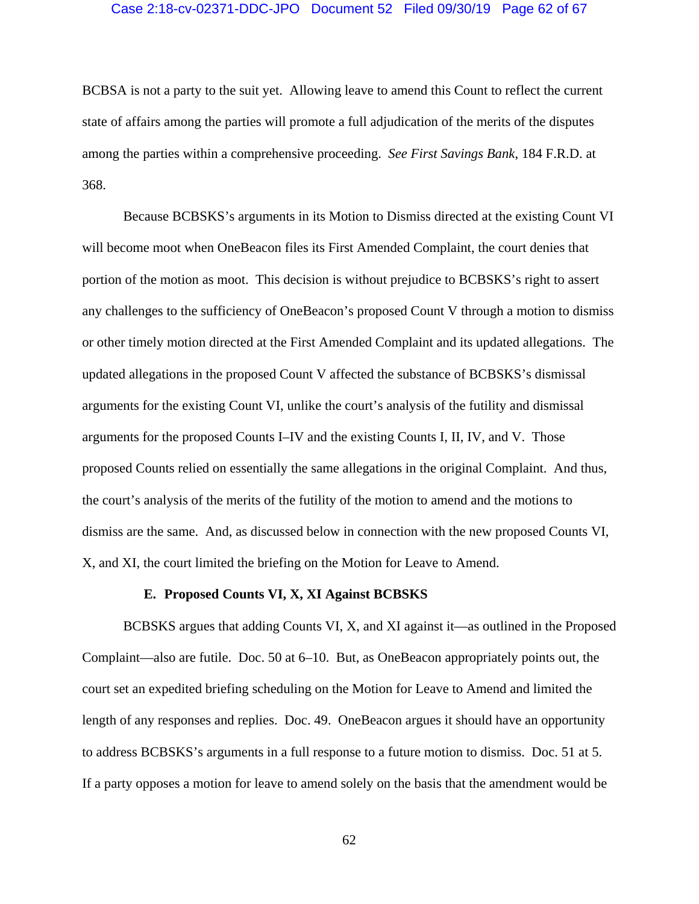# Case 2:18-cv-02371-DDC-JPO Document 52 Filed 09/30/19 Page 62 of 67

BCBSA is not a party to the suit yet. Allowing leave to amend this Count to reflect the current state of affairs among the parties will promote a full adjudication of the merits of the disputes among the parties within a comprehensive proceeding. *See First Savings Bank*, 184 F.R.D. at 368.

Because BCBSKS's arguments in its Motion to Dismiss directed at the existing Count VI will become moot when OneBeacon files its First Amended Complaint, the court denies that portion of the motion as moot. This decision is without prejudice to BCBSKS's right to assert any challenges to the sufficiency of OneBeacon's proposed Count V through a motion to dismiss or other timely motion directed at the First Amended Complaint and its updated allegations. The updated allegations in the proposed Count V affected the substance of BCBSKS's dismissal arguments for the existing Count VI, unlike the court's analysis of the futility and dismissal arguments for the proposed Counts I–IV and the existing Counts I, II, IV, and V. Those proposed Counts relied on essentially the same allegations in the original Complaint. And thus, the court's analysis of the merits of the futility of the motion to amend and the motions to dismiss are the same. And, as discussed below in connection with the new proposed Counts VI, X, and XI, the court limited the briefing on the Motion for Leave to Amend.

### **E. Proposed Counts VI, X, XI Against BCBSKS**

BCBSKS argues that adding Counts VI, X, and XI against it—as outlined in the Proposed Complaint—also are futile. Doc. 50 at 6–10. But, as OneBeacon appropriately points out, the court set an expedited briefing scheduling on the Motion for Leave to Amend and limited the length of any responses and replies. Doc. 49. OneBeacon argues it should have an opportunity to address BCBSKS's arguments in a full response to a future motion to dismiss. Doc. 51 at 5. If a party opposes a motion for leave to amend solely on the basis that the amendment would be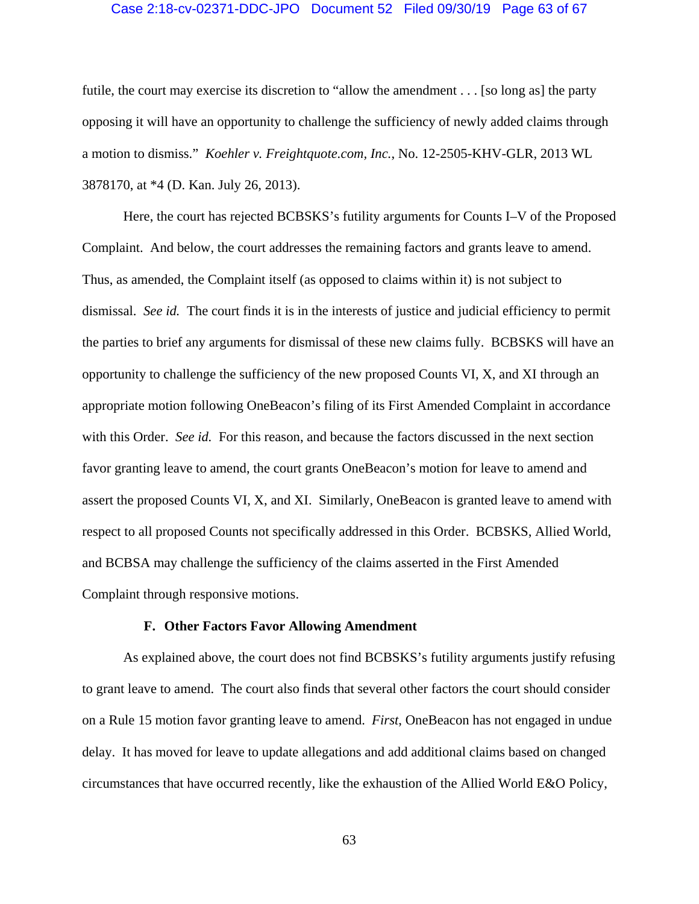#### Case 2:18-cv-02371-DDC-JPO Document 52 Filed 09/30/19 Page 63 of 67

futile, the court may exercise its discretion to "allow the amendment . . . [so long as] the party opposing it will have an opportunity to challenge the sufficiency of newly added claims through a motion to dismiss." *Koehler v. Freightquote.com, Inc.*, No. 12-2505-KHV-GLR, 2013 WL 3878170, at \*4 (D. Kan. July 26, 2013).

Here, the court has rejected BCBSKS's futility arguments for Counts I–V of the Proposed Complaint. And below, the court addresses the remaining factors and grants leave to amend. Thus, as amended, the Complaint itself (as opposed to claims within it) is not subject to dismissal. *See id.* The court finds it is in the interests of justice and judicial efficiency to permit the parties to brief any arguments for dismissal of these new claims fully. BCBSKS will have an opportunity to challenge the sufficiency of the new proposed Counts VI, X, and XI through an appropriate motion following OneBeacon's filing of its First Amended Complaint in accordance with this Order. *See id.* For this reason, and because the factors discussed in the next section favor granting leave to amend, the court grants OneBeacon's motion for leave to amend and assert the proposed Counts VI, X, and XI. Similarly, OneBeacon is granted leave to amend with respect to all proposed Counts not specifically addressed in this Order. BCBSKS, Allied World, and BCBSA may challenge the sufficiency of the claims asserted in the First Amended Complaint through responsive motions.

#### **F. Other Factors Favor Allowing Amendment**

As explained above, the court does not find BCBSKS's futility arguments justify refusing to grant leave to amend. The court also finds that several other factors the court should consider on a Rule 15 motion favor granting leave to amend. *First*, OneBeacon has not engaged in undue delay. It has moved for leave to update allegations and add additional claims based on changed circumstances that have occurred recently, like the exhaustion of the Allied World E&O Policy,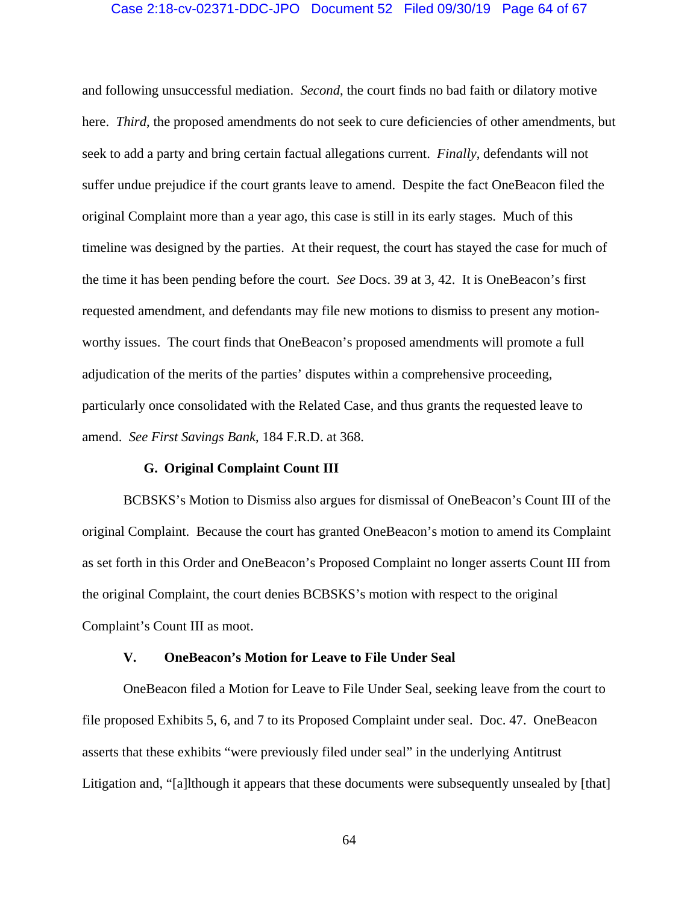# Case 2:18-cv-02371-DDC-JPO Document 52 Filed 09/30/19 Page 64 of 67

and following unsuccessful mediation. *Second*, the court finds no bad faith or dilatory motive here. *Third*, the proposed amendments do not seek to cure deficiencies of other amendments, but seek to add a party and bring certain factual allegations current. *Finally*, defendants will not suffer undue prejudice if the court grants leave to amend. Despite the fact OneBeacon filed the original Complaint more than a year ago, this case is still in its early stages. Much of this timeline was designed by the parties. At their request, the court has stayed the case for much of the time it has been pending before the court. *See* Docs. 39 at 3, 42. It is OneBeacon's first requested amendment, and defendants may file new motions to dismiss to present any motionworthy issues. The court finds that OneBeacon's proposed amendments will promote a full adjudication of the merits of the parties' disputes within a comprehensive proceeding, particularly once consolidated with the Related Case, and thus grants the requested leave to amend. *See First Savings Bank*, 184 F.R.D. at 368.

## **G. Original Complaint Count III**

BCBSKS's Motion to Dismiss also argues for dismissal of OneBeacon's Count III of the original Complaint. Because the court has granted OneBeacon's motion to amend its Complaint as set forth in this Order and OneBeacon's Proposed Complaint no longer asserts Count III from the original Complaint, the court denies BCBSKS's motion with respect to the original Complaint's Count III as moot.

# **V. OneBeacon's Motion for Leave to File Under Seal**

OneBeacon filed a Motion for Leave to File Under Seal, seeking leave from the court to file proposed Exhibits 5, 6, and 7 to its Proposed Complaint under seal. Doc. 47. OneBeacon asserts that these exhibits "were previously filed under seal" in the underlying Antitrust Litigation and, "[a]lthough it appears that these documents were subsequently unsealed by [that]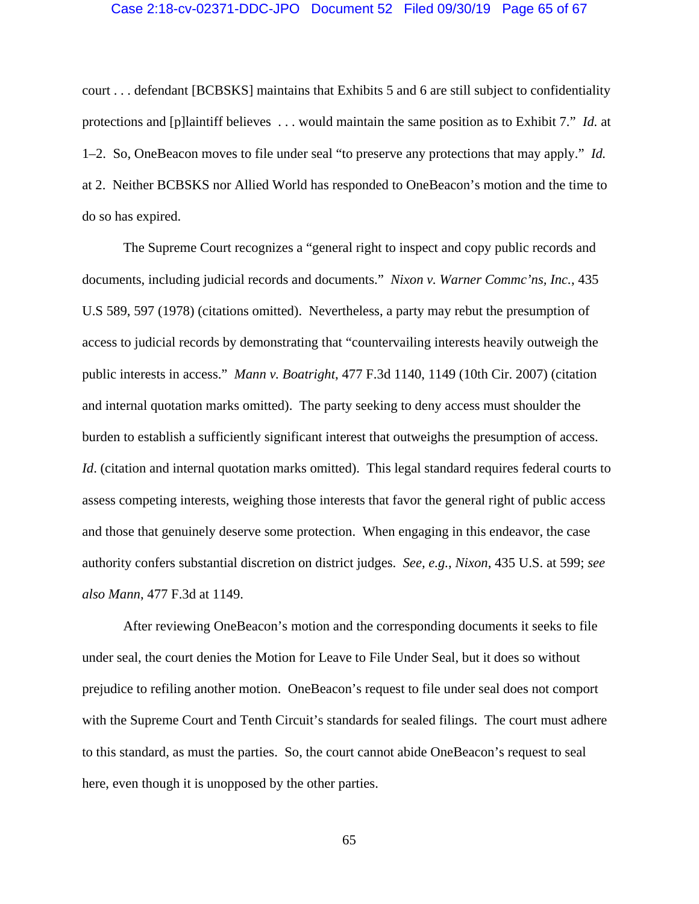#### Case 2:18-cv-02371-DDC-JPO Document 52 Filed 09/30/19 Page 65 of 67

court . . . defendant [BCBSKS] maintains that Exhibits 5 and 6 are still subject to confidentiality protections and [p]laintiff believes . . . would maintain the same position as to Exhibit 7." *Id.* at 1–2. So, OneBeacon moves to file under seal "to preserve any protections that may apply." *Id.*  at 2. Neither BCBSKS nor Allied World has responded to OneBeacon's motion and the time to do so has expired.

The Supreme Court recognizes a "general right to inspect and copy public records and documents, including judicial records and documents." *Nixon v. Warner Commc'ns, Inc.*, 435 U.S 589, 597 (1978) (citations omitted). Nevertheless, a party may rebut the presumption of access to judicial records by demonstrating that "countervailing interests heavily outweigh the public interests in access." *Mann v. Boatright*, 477 F.3d 1140, 1149 (10th Cir. 2007) (citation and internal quotation marks omitted). The party seeking to deny access must shoulder the burden to establish a sufficiently significant interest that outweighs the presumption of access. *Id.* (citation and internal quotation marks omitted). This legal standard requires federal courts to assess competing interests, weighing those interests that favor the general right of public access and those that genuinely deserve some protection. When engaging in this endeavor, the case authority confers substantial discretion on district judges. *See, e.g.*, *Nixon*, 435 U.S. at 599; *see also Mann*, 477 F.3d at 1149.

After reviewing OneBeacon's motion and the corresponding documents it seeks to file under seal, the court denies the Motion for Leave to File Under Seal, but it does so without prejudice to refiling another motion. OneBeacon's request to file under seal does not comport with the Supreme Court and Tenth Circuit's standards for sealed filings. The court must adhere to this standard, as must the parties. So, the court cannot abide OneBeacon's request to seal here, even though it is unopposed by the other parties.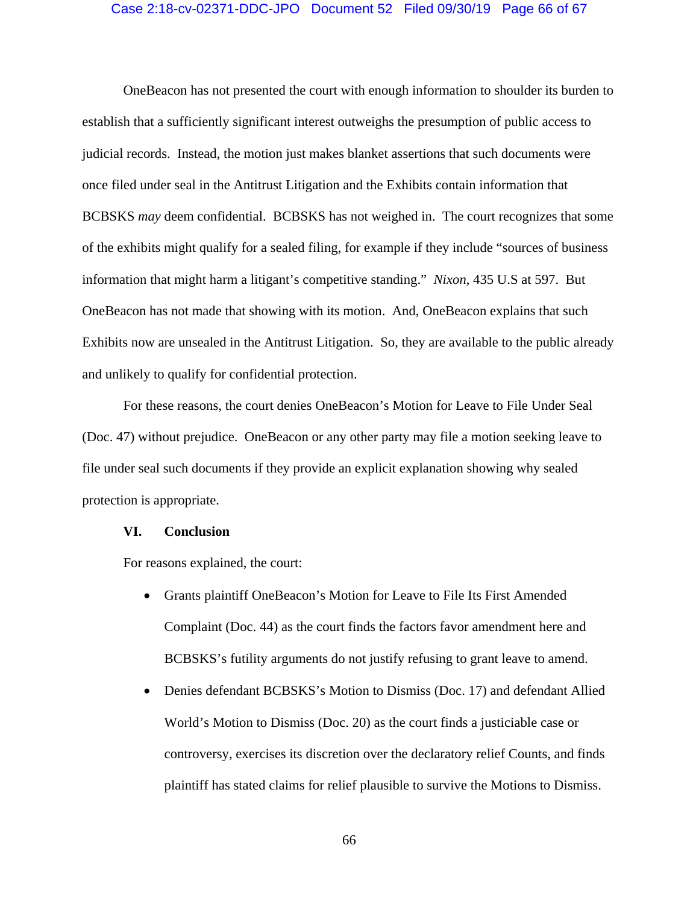# Case 2:18-cv-02371-DDC-JPO Document 52 Filed 09/30/19 Page 66 of 67

OneBeacon has not presented the court with enough information to shoulder its burden to establish that a sufficiently significant interest outweighs the presumption of public access to judicial records. Instead, the motion just makes blanket assertions that such documents were once filed under seal in the Antitrust Litigation and the Exhibits contain information that BCBSKS *may* deem confidential. BCBSKS has not weighed in. The court recognizes that some of the exhibits might qualify for a sealed filing, for example if they include "sources of business information that might harm a litigant's competitive standing." *Nixon*, 435 U.S at 597. But OneBeacon has not made that showing with its motion. And, OneBeacon explains that such Exhibits now are unsealed in the Antitrust Litigation. So, they are available to the public already and unlikely to qualify for confidential protection.

 For these reasons, the court denies OneBeacon's Motion for Leave to File Under Seal (Doc. 47) without prejudice. OneBeacon or any other party may file a motion seeking leave to file under seal such documents if they provide an explicit explanation showing why sealed protection is appropriate.

#### **VI. Conclusion**

For reasons explained, the court:

- Grants plaintiff OneBeacon's Motion for Leave to File Its First Amended Complaint (Doc. 44) as the court finds the factors favor amendment here and BCBSKS's futility arguments do not justify refusing to grant leave to amend.
- Denies defendant BCBSKS's Motion to Dismiss (Doc. 17) and defendant Allied World's Motion to Dismiss (Doc. 20) as the court finds a justiciable case or controversy, exercises its discretion over the declaratory relief Counts, and finds plaintiff has stated claims for relief plausible to survive the Motions to Dismiss.